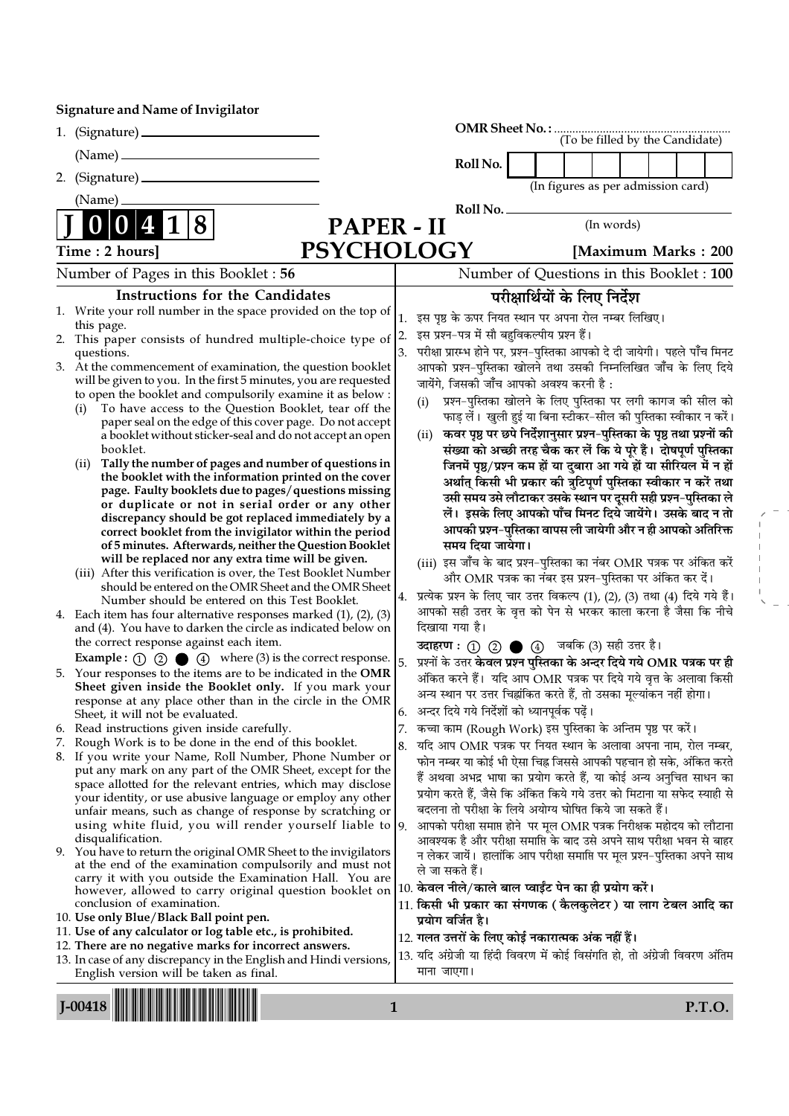## Signature and Name of Invigilator

|    | $(Name)$ $-$                                                                                                                                                                                                                                                                                                                                                                                                                                                                                                                                                                                                                                                                                                                                                                                                                                                                                                                                                                                                                        |                | Roll No.                                                                                                                                                                                                                                                                                                                                                                                                                                                                                                                                                                                                                                                                                                                                                                                                                                                                                                                                                                                       |
|----|-------------------------------------------------------------------------------------------------------------------------------------------------------------------------------------------------------------------------------------------------------------------------------------------------------------------------------------------------------------------------------------------------------------------------------------------------------------------------------------------------------------------------------------------------------------------------------------------------------------------------------------------------------------------------------------------------------------------------------------------------------------------------------------------------------------------------------------------------------------------------------------------------------------------------------------------------------------------------------------------------------------------------------------|----------------|------------------------------------------------------------------------------------------------------------------------------------------------------------------------------------------------------------------------------------------------------------------------------------------------------------------------------------------------------------------------------------------------------------------------------------------------------------------------------------------------------------------------------------------------------------------------------------------------------------------------------------------------------------------------------------------------------------------------------------------------------------------------------------------------------------------------------------------------------------------------------------------------------------------------------------------------------------------------------------------------|
| 2. |                                                                                                                                                                                                                                                                                                                                                                                                                                                                                                                                                                                                                                                                                                                                                                                                                                                                                                                                                                                                                                     |                | (In figures as per admission card)                                                                                                                                                                                                                                                                                                                                                                                                                                                                                                                                                                                                                                                                                                                                                                                                                                                                                                                                                             |
|    | (Name)                                                                                                                                                                                                                                                                                                                                                                                                                                                                                                                                                                                                                                                                                                                                                                                                                                                                                                                                                                                                                              |                | Roll No.                                                                                                                                                                                                                                                                                                                                                                                                                                                                                                                                                                                                                                                                                                                                                                                                                                                                                                                                                                                       |
|    | 8<br>PAPER - II                                                                                                                                                                                                                                                                                                                                                                                                                                                                                                                                                                                                                                                                                                                                                                                                                                                                                                                                                                                                                     |                | (In words)                                                                                                                                                                                                                                                                                                                                                                                                                                                                                                                                                                                                                                                                                                                                                                                                                                                                                                                                                                                     |
|    | <b>PSYCHOLOGY</b><br>Time: 2 hours]                                                                                                                                                                                                                                                                                                                                                                                                                                                                                                                                                                                                                                                                                                                                                                                                                                                                                                                                                                                                 |                | [Maximum Marks: 200]                                                                                                                                                                                                                                                                                                                                                                                                                                                                                                                                                                                                                                                                                                                                                                                                                                                                                                                                                                           |
|    |                                                                                                                                                                                                                                                                                                                                                                                                                                                                                                                                                                                                                                                                                                                                                                                                                                                                                                                                                                                                                                     |                |                                                                                                                                                                                                                                                                                                                                                                                                                                                                                                                                                                                                                                                                                                                                                                                                                                                                                                                                                                                                |
|    | Number of Pages in this Booklet: 56                                                                                                                                                                                                                                                                                                                                                                                                                                                                                                                                                                                                                                                                                                                                                                                                                                                                                                                                                                                                 |                | Number of Questions in this Booklet : 100                                                                                                                                                                                                                                                                                                                                                                                                                                                                                                                                                                                                                                                                                                                                                                                                                                                                                                                                                      |
| 2. | <b>Instructions for the Candidates</b><br>1. Write your roll number in the space provided on the top of<br>this page.<br>This paper consists of hundred multiple-choice type of<br>questions.<br>3. At the commencement of examination, the question booklet<br>will be given to you. In the first 5 minutes, you are requested<br>to open the booklet and compulsorily examine it as below :<br>To have access to the Question Booklet, tear off the<br>(i)<br>paper seal on the edge of this cover page. Do not accept<br>a booklet without sticker-seal and do not accept an open<br>booklet.<br>Tally the number of pages and number of questions in<br>(ii)<br>the booklet with the information printed on the cover<br>page. Faulty booklets due to pages/questions missing<br>or duplicate or not in serial order or any other<br>discrepancy should be got replaced immediately by a<br>correct booklet from the invigilator within the period<br>of 5 minutes. Afterwards, neither the Question Booklet                    | 1.<br>2.<br>3. | परीक्षार्थियों के लिए निर्देश<br>इस पृष्ठ के ऊपर नियत स्थान पर अपना रोल नम्बर लिखिए।<br>इस प्रश्न-पत्र में सौ बहुविकल्पीय प्रश्न हैं।<br>परीक्षा प्रारम्भ होने पर, प्रश्न-पुस्तिका आपको दे दी जायेगी। पहले पाँच मिनट<br>आपको प्रश्न-पुस्तिका खोलने तथा उसकी निम्नलिखित जाँच के लिए दिये<br>जायेंगे, जिसकी जाँच आपको अवश्य करनी है :<br>प्रश्न-पुस्तिका खोलने के लिए पुस्तिका पर लगी कागज की सील को<br>(i)<br>फाड़ लें। खुली हुई या बिना स्टीकर–सील की पुस्तिका स्वीकार न करें।<br>कवर पृष्ठ पर छपे निर्देशानुसार प्रश्न-पुस्तिका के पृष्ठ तथा प्रश्नों की<br>(ii)<br>संख्या को अच्छी तरह चैक कर लें कि ये पूरे हैं। दोषपूर्ण पुस्तिका<br>जिनमें पृष्ठ/प्रश्न कम हों या दुबारा आ गये हों या सीरियल में न हों<br>अर्थात् किसी भी प्रकार की त्रुटिपूर्ण पुस्तिका स्वीकार न करें तथा<br>उसी समय उसे लौटाकर उसके स्थान पर दूसरी सही प्रश्न-पुस्तिका ले<br>लें। इसके लिए आपको पाँच मिनट दिये जायेंगे। उसके बाद न तो<br>आपकी प्रश्न-पुस्तिका वापस ली जायेगी और न ही आपको अतिरिक्त<br>समय दिया जायेगा। |
|    | will be replaced nor any extra time will be given.<br>(iii) After this verification is over, the Test Booklet Number<br>should be entered on the OMR Sheet and the OMR Sheet<br>Number should be entered on this Test Booklet.<br>4. Each item has four alternative responses marked $(1)$ , $(2)$ , $(3)$<br>and (4). You have to darken the circle as indicated below on                                                                                                                                                                                                                                                                                                                                                                                                                                                                                                                                                                                                                                                          | 4.             | (iii) इस जाँच के बाद प्रश्न-पुस्तिका का नंबर OMR पत्रक पर अंकित करें<br>और OMR पत्रक का नंबर इस प्रश्न-पुस्तिका पर अंकित कर दें।<br>प्रत्येक प्रश्न के लिए चार उत्तर विकल्प (1), (2), (3) तथा (4) दिये गये हैं।<br>आपको सही उत्तर के वृत्त को पेन से भरकर काला करना है जैसा कि नीचे<br>दिखाया गया है।                                                                                                                                                                                                                                                                                                                                                                                                                                                                                                                                                                                                                                                                                          |
|    | the correct response against each item.<br><b>Example :</b> $\odot$ $\odot$ $\odot$ $\odot$ $\odot$ $\odot$ where (3) is the correct response.<br>5. Your responses to the items are to be indicated in the OMR<br>Sheet given inside the Booklet only. If you mark your<br>response at any place other than in the circle in the OMR<br>Sheet, it will not be evaluated.                                                                                                                                                                                                                                                                                                                                                                                                                                                                                                                                                                                                                                                           | 5.<br>6.       | उदाहरण: (1) (2) (4) जबकि (3) सही उत्तर है।<br>प्रश्नों के उत्तर केवल प्रश्न पुस्तिका के अन्दर दिये गये OMR पत्रक पर ही<br>अंकित करने हैं। यदि आप OMR पत्रक पर दिये गये वृत्त के अलावा किसी<br>अन्य स्थान पर उत्तर चिह्नांकित करते हैं, तो उसका मूल्यांकन नहीं होगा।<br>अन्दर दिये गये निर्देशों को ध्यानपूर्वक पढ़ें।                                                                                                                                                                                                                                                                                                                                                                                                                                                                                                                                                                                                                                                                          |
| 6. | Read instructions given inside carefully.<br>Rough Work is to be done in the end of this booklet.<br>8. If you write your Name, Roll Number, Phone Number or<br>put any mark on any part of the OMR Sheet, except for the<br>space allotted for the relevant entries, which may disclose<br>your identity, or use abusive language or employ any other<br>unfair means, such as change of response by scratching or<br>using white fluid, you will render yourself liable to $ 9$ .<br>disqualification.<br>9. You have to return the original OMR Sheet to the invigilators<br>at the end of the examination compulsorily and must not<br>carry it with you outside the Examination Hall. You are<br>however, allowed to carry original question booklet on<br>conclusion of examination.<br>10. Use only Blue/Black Ball point pen.<br>11. Use of any calculator or log table etc., is prohibited.<br>12. There are no negative marks for incorrect answers.<br>13. In case of any discrepancy in the English and Hindi versions, | 8.             | 7. कच्चा काम (Rough Work) इस पुस्तिका के अन्तिम पृष्ठ पर करें।<br>यदि आप OMR पत्रक पर नियत स्थान के अलावा अपना नाम, रोल नम्बर,<br>फोन नम्बर या कोई भी ऐसा चिह्न जिससे आपकी पहचान हो सके, अंकित करते<br>हैं अथवा अभद्र भाषा का प्रयोग करते हैं, या कोई अन्य अनुचित साधन का<br>प्रयोग करते हैं, जैसे कि अंकित किये गये उत्तर को मिटाना या सफेद स्याही से<br>बदलना तो परीक्षा के लिये अयोग्य घोषित किये जा सकते हैं।<br>आपको परीक्षा समाप्त होने पर मूल OMR पत्रक निरीक्षक महोदय को लौटाना<br>आवश्यक है और परीक्षा समाप्ति के बाद उसे अपने साथ परीक्षा भवन से बाहर<br>न लेकर जायें। हालांकि आप परीक्षा समाप्ति पर मूल प्रश्न–पुस्तिका अपने साथ<br>ले जा सकते हैं।<br>10. केवल नीले/काले बाल प्वाईंट पेन का ही प्रयोग करें।<br>11. किसी भी प्रकार का संगणक ( कैलकुलेटर ) या लाग टेबल आदि का<br>प्रयोग वर्जित है।<br>12. गलत उत्तरों के लिए कोई नकारात्मक अंक नहीं हैं।<br>13. यदि अंग्रेजी या हिंदी विवरण में कोई विसंगति हो, तो अंग्रेजी विवरण अंतिम                                              |
|    | English version will be taken as final.                                                                                                                                                                                                                                                                                                                                                                                                                                                                                                                                                                                                                                                                                                                                                                                                                                                                                                                                                                                             |                | माना जाएगा।                                                                                                                                                                                                                                                                                                                                                                                                                                                                                                                                                                                                                                                                                                                                                                                                                                                                                                                                                                                    |

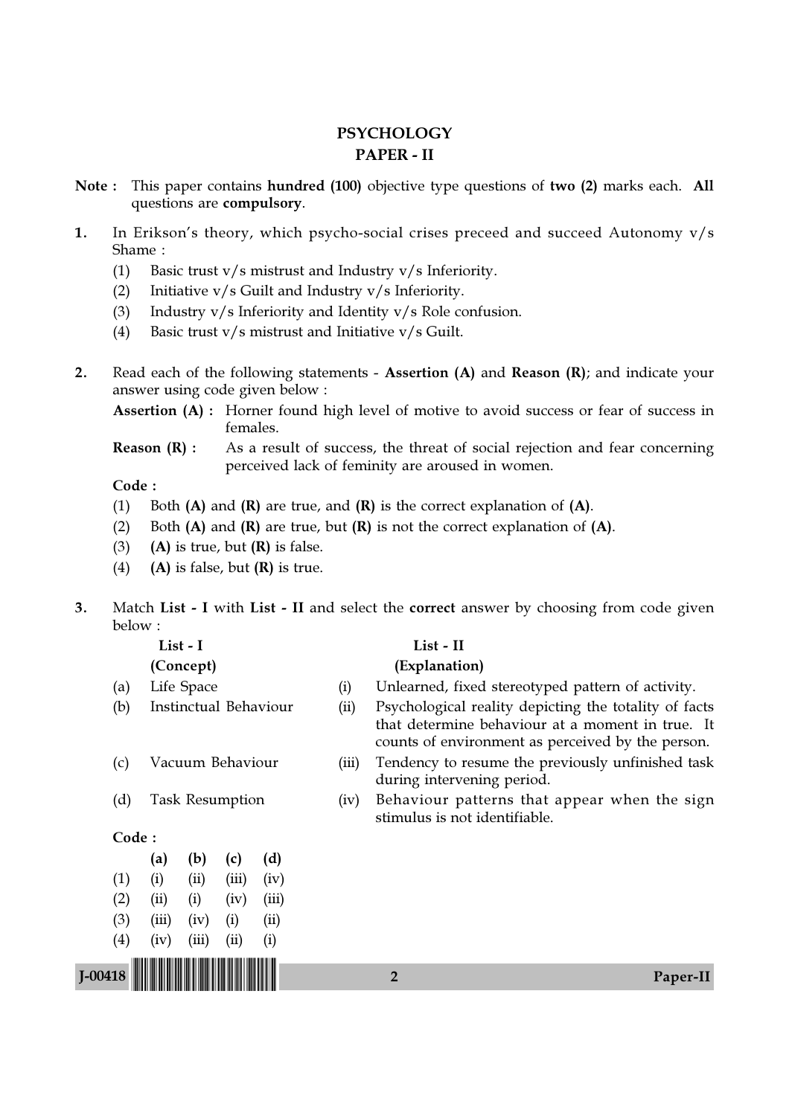## **PSYCHOLOGY** PAPER - II

- Note : This paper contains hundred (100) objective type questions of two (2) marks each. All questions are compulsory.
- 1. In Erikson's theory, which psycho-social crises preceed and succeed Autonomy v/s Shame :
	- (1) Basic trust v/s mistrust and Industry v/s Inferiority.
	- (2) Initiative v/s Guilt and Industry v/s Inferiority.
	- (3) Industry v/s Inferiority and Identity v/s Role confusion.
	- (4) Basic trust v/s mistrust and Initiative v/s Guilt.
- 2. Read each of the following statements Assertion (A) and Reason (R); and indicate your answer using code given below :

Assertion (A) : Horner found high level of motive to avoid success or fear of success in females.

**Reason (R) :** As a result of success, the threat of social rejection and fear concerning perceived lack of feminity are aroused in women.

- (1) Both  $(A)$  and  $(R)$  are true, and  $(R)$  is the correct explanation of  $(A)$ .
- (2) Both  $(A)$  and  $(R)$  are true, but  $(R)$  is not the correct explanation of  $(A)$ .
- (3) (A) is true, but  $(R)$  is false.
- (4) (A) is false, but  $(R)$  is true.
- 3. Match List I with List II and select the correct answer by choosing from code given below :

| List - I  |                     |                              |       |       |       |       | List - II                                                                                                                                                      |
|-----------|---------------------|------------------------------|-------|-------|-------|-------|----------------------------------------------------------------------------------------------------------------------------------------------------------------|
| (Concept) |                     |                              |       |       |       |       | (Explanation)                                                                                                                                                  |
|           | (a)                 | Life Space                   |       |       |       | (i)   | Unlearned, fixed stereotyped pattern of activity.                                                                                                              |
|           | (b)                 | <b>Instinctual Behaviour</b> |       |       |       | (ii)  | Psychological reality depicting the totality of facts<br>that determine behaviour at a moment in true. It<br>counts of environment as perceived by the person. |
|           | (c)                 | Vacuum Behaviour             |       |       |       | (iii) | Tendency to resume the previously unfinished task<br>during intervening period.                                                                                |
|           | (d)                 | <b>Task Resumption</b>       |       |       |       | (iv)  | Behaviour patterns that appear when the sign<br>stimulus is not identifiable.                                                                                  |
|           | Code:               |                              |       |       |       |       |                                                                                                                                                                |
|           |                     | (a)                          | (b)   | (c)   | (d)   |       |                                                                                                                                                                |
|           | (1)                 | (i)                          | (ii)  | (iii) | (iv)  |       |                                                                                                                                                                |
|           | (2)                 | (ii)                         | (i)   | (iv)  | (iii) |       |                                                                                                                                                                |
|           | (3)                 | (iii)                        | (iv)  | (i)   | (ii)  |       |                                                                                                                                                                |
|           | $\scriptstyle{(4)}$ | (iv)                         | (iii) | (ii)  | (i)   |       |                                                                                                                                                                |
| $I-00418$ |                     |                              |       |       |       |       | 2<br>Paper-II                                                                                                                                                  |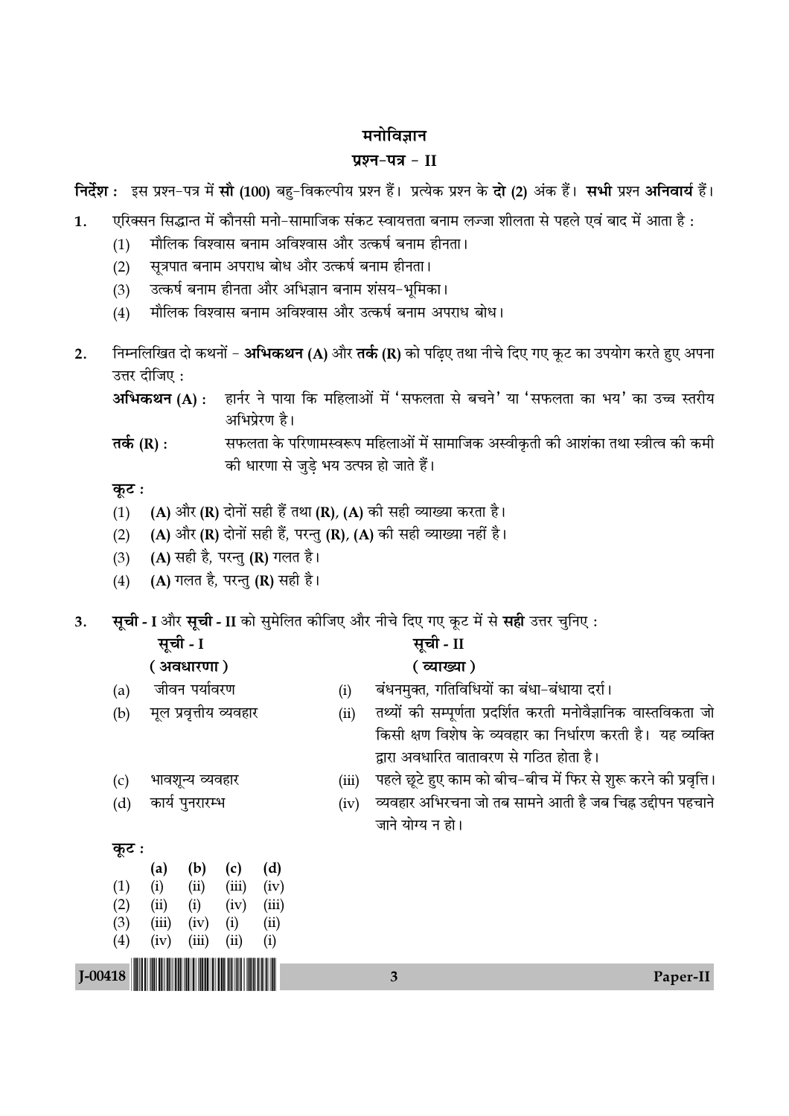## मनोविज्ञान

## प्रश्न-पत्र - II

निर्देश : इस प्रश्न-पत्र में सौ (100) बहु-विकल्पीय प्रश्न हैं। प्रत्येक प्रश्न के दो (2) अंक हैं। सभी प्रश्न अनिवार्य हैं।

- एरिक्सन सिद्धान्त में कौनसी मनो-सामाजिक संकट स्वायत्तता बनाम लज्जा शीलता से पहले एवं बाद में आता है :  $\overline{1}$ .
	- मौलिक विश्वास बनाम अविश्वास और उत्कर्ष बनाम हीनता।  $(1)$
	- सूत्रपात बनाम अपराध बोध और उत्कर्ष बनाम हीनता।  $(2)$
	- उत्कर्ष बनाम हीनता और अभिज्ञान बनाम शंसय-भूमिका।  $(3)$
	- मौलिक विश्वास बनाम अविश्वास और उत्कर्ष बनाम अपराध बोध।  $(4)$
- निम्नलिखित दो कथनों अभिकथन (A) और तर्क (R) को पढ़िए तथा नीचे दिए गए कूट का उपयोग करते हुए अपना  $2.$ उत्तर दीजिए :

हार्नर ने पाया कि महिलाओं में 'सफलता से बचने' या 'सफलता का भय' का उच्च स्तरीय अभिकथन (A) : अभिप्रेरण है।

तर्क (R) : सफलता के परिणामस्वरूप महिलाओं में सामाजिक अस्वीकृती की आशंका तथा स्त्रीत्व की कमी की धारणा से जुडे भय उत्पन्न हो जाते हैं।

## कुट:

- (A) और (R) दोनों सही हैं तथा (R), (A) की सही व्याख्या करता है।  $(1)$
- (A) और (R) दोनों सही हैं, परन्तु (R), (A) की सही व्याख्या नहीं है।  $(2)$
- $(3)$ (A) सही है, परन्तु (R) गलत है।
- (A) गलत है, परन्तु (R) सही है।  $(4)$
- सूची I और सूची II को सुमेलित कीजिए और नीचे दिए गए कूट में से सही उत्तर चुनिए : 3.

| सूची - I   |
|------------|
| ( अवधारणा) |

# सूची - II

## (व्याख्या)

- जीवन पर्यावरण  $(a)$
- मूल प्रवृत्तीय व्यवहार  $(b)$

भावशून्य व्यवहार

कार्य पुनरारम्भ

- बंधनमुक्त, गतिविधियों का बंधा-बंधाया दर्रा।  $(i)$
- तथ्यों की सम्पूर्णता प्रदर्शित करती मनोवैज्ञानिक वास्तविकता जो  $(ii)$ किसी क्षण विशेष के व्यवहार का निर्धारण करती है। यह व्यक्ति द्वारा अवधारित वातावरण से गठित होता है।
- पहले छूटे हुए काम को बीच-बीच में फिर से शुरू करने की प्रवृत्ति ।  $(iii)$
- व्यवहार अभिरचना जो तब सामने आती है जब चिह्न उद्दीपन पहचाने  $(iv)$ जाने योग्य न हो।

| कूट ः |     |      |
|-------|-----|------|
|       | (a) | (b)  |
| (1)   | (i) | (ii) |

 $(c)$ 

 $(d)$ 

 $J - 00418$ 

| $\left( 1\right)$ | (i)   | (ii)  | (iii) | (iv)      |
|-------------------|-------|-------|-------|-----------|
| (2)               | (ii)  | (i)   | (iv)  | (iii)     |
| (3)               | (iii) | (iv)  | (i)   | $\rm(ii)$ |
| $\left( 4\right)$ | (iv)  | (iii) | (ii)  | (i)       |
|                   |       |       |       |           |

 $(d)$ 

 $(c)$ 

 $\overline{\mathbf{3}}$ 

Paper-II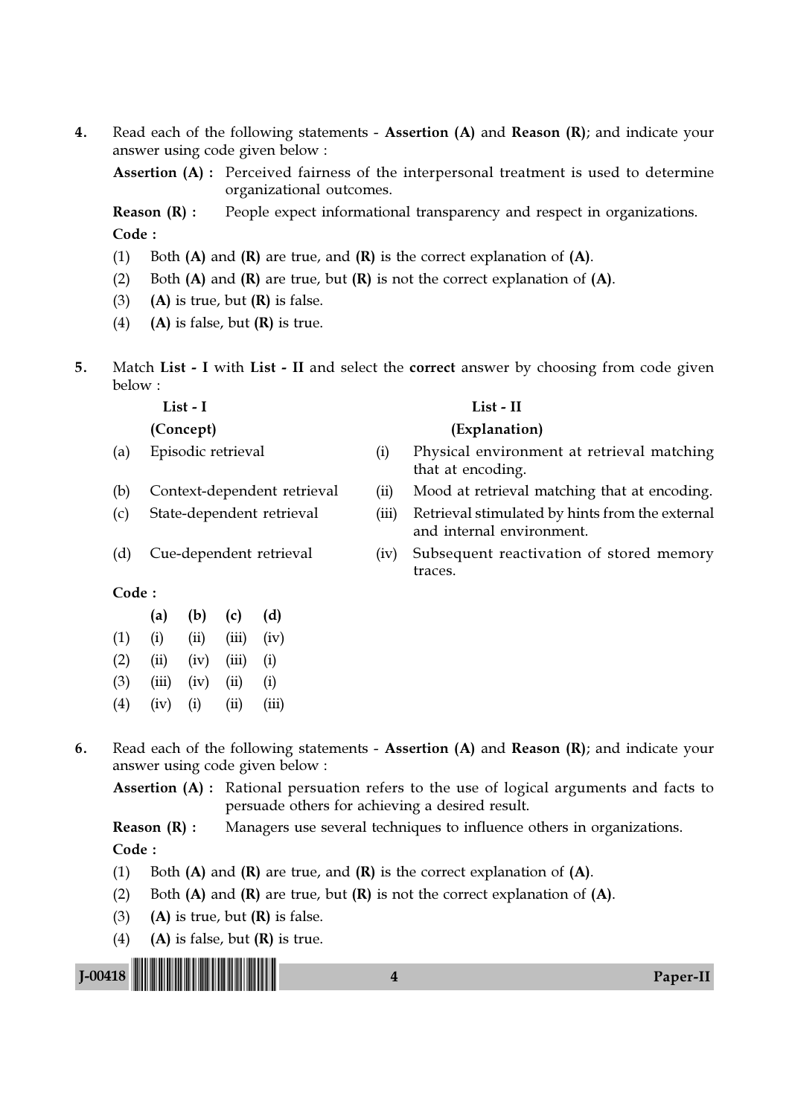4. Read each of the following statements - Assertion (A) and Reason (R); and indicate your answer using code given below :

Assertion (A) : Perceived fairness of the interpersonal treatment is used to determine organizational outcomes.

**Reason (R) :** People expect informational transparency and respect in organizations. Code :

- (1) Both  $(A)$  and  $(R)$  are true, and  $(R)$  is the correct explanation of  $(A)$ .
- (2) Both  $(A)$  and  $(R)$  are true, but  $(R)$  is not the correct explanation of  $(A)$ .
- (3) (A) is true, but  $(R)$  is false.
- (4) (A) is false, but  $(R)$  is true.
- 5. Match List I with List II and select the correct answer by choosing from code given below :

- 
- 
- 
- 

#### List - I List - II

#### (Concept) (Explanation)

- (a) Episodic retrieval (i) Physical environment at retrieval matching that at encoding.
- (b) Context-dependent retrieval (ii) Mood at retrieval matching that at encoding.
- (c) State-dependent retrieval (iii) Retrieval stimulated by hints from the external and internal environment.
- (d) Cue-dependent retrieval (iv) Subsequent reactivation of stored memory traces.

#### Code :

|           | (a)   | (b)  | (c)   | (d)      |
|-----------|-------|------|-------|----------|
| (1)       | (i)   | (ii) | (iii) | (iv)     |
| (2)       | (ii)  | (iv) | (iii) | (i)      |
| (3)       | (iii) | (iv) | (ii)  | (i)      |
| $\lambda$ |       |      |       | $\cdots$ |

- $(4)$   $(iv)$   $(i)$   $(ii)$   $(iii)$
- 6. Read each of the following statements Assertion (A) and Reason (R); and indicate your answer using code given below :

Assertion (A) : Rational persuation refers to the use of logical arguments and facts to persuade others for achieving a desired result.

**Reason**  $(R)$ **:** Managers use several techniques to influence others in organizations.

- (1) Both  $(A)$  and  $(R)$  are true, and  $(R)$  is the correct explanation of  $(A)$ .
- (2) Both  $(A)$  and  $(R)$  are true, but  $(R)$  is not the correct explanation of  $(A)$ .
- (3) (A) is true, but  $(R)$  is false.
- (4) (A) is false, but  $(R)$  is true.

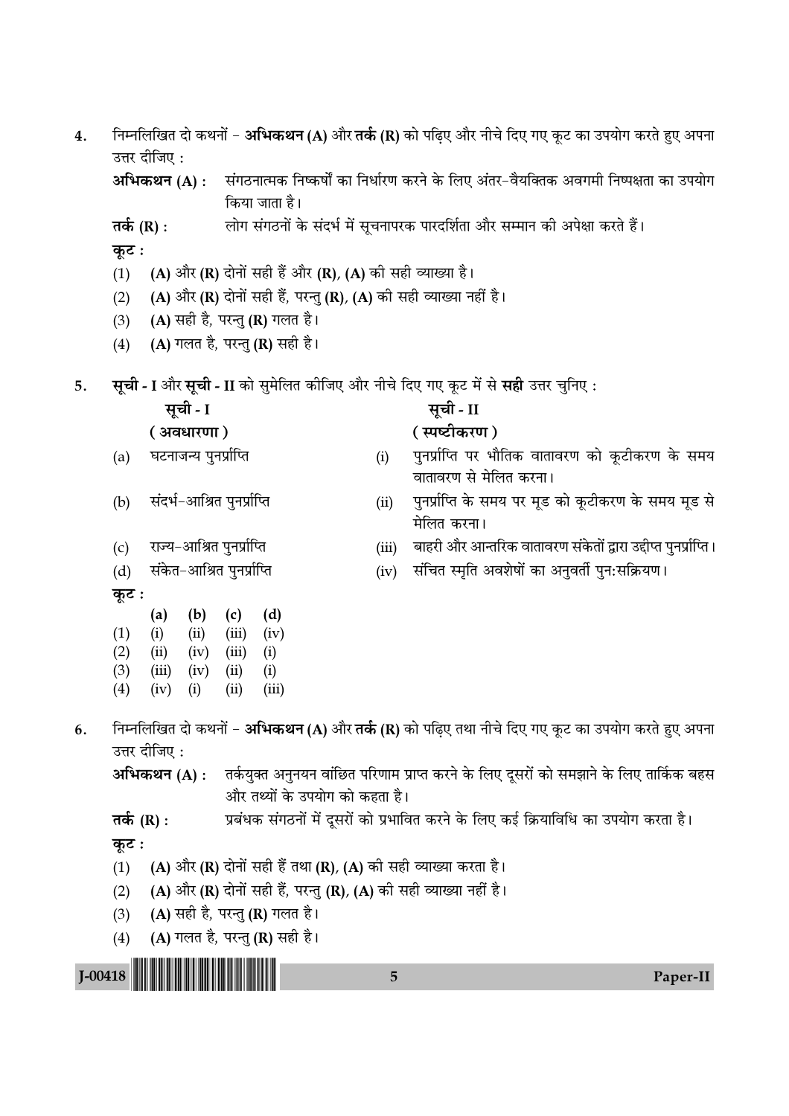| 4.          | निम्नलिखित दो कथनों – <b>अभिकथन (A)</b> और <b>तर्क (R)</b> को पढ़िए और नीचे दिए गए कूट का उपयोग करते हुए अपना<br>उत्तर दीजिए : |                             |                                                                    |                                                                                    |                                                                                                         |  |  |
|-------------|--------------------------------------------------------------------------------------------------------------------------------|-----------------------------|--------------------------------------------------------------------|------------------------------------------------------------------------------------|---------------------------------------------------------------------------------------------------------|--|--|
|             |                                                                                                                                | अभिकथन (A) :                | किया जाता है।                                                      |                                                                                    | संगठनात्मक निष्कर्षों का निर्धारण करने के लिए अंतर–वैयक्तिक अवगमी निष्पक्षता का उपयोग                   |  |  |
|             | तर्क $(R)$ :                                                                                                                   |                             |                                                                    |                                                                                    | लोग संगठनों के संदर्भ में सूचनापरक पारदर्शिता और सम्मान की अपेक्षा करते हैं।                            |  |  |
|             | कूट :                                                                                                                          |                             |                                                                    |                                                                                    |                                                                                                         |  |  |
|             | (1)                                                                                                                            |                             | (A) और (R) दोनों सही हैं और (R), (A) की सही व्याख्या है।           |                                                                                    |                                                                                                         |  |  |
|             | (2)                                                                                                                            |                             | (A) और (R) दोनों सही हैं, परन्तु (R), (A) की सही व्याख्या नहीं है। |                                                                                    |                                                                                                         |  |  |
|             | (3)                                                                                                                            |                             | (A) सही है, परन्तु (R) गलत है।                                     |                                                                                    |                                                                                                         |  |  |
|             | (4)                                                                                                                            |                             | (A) गलत है, परन्तु (R) सही है।                                     |                                                                                    |                                                                                                         |  |  |
| 5.          |                                                                                                                                |                             |                                                                    |                                                                                    | <b>सूची - I</b> और <b>सूची - II</b> को सुमेलित कीजिए और नीचे दिए गए कूट में से <b>सही</b> उत्तर चुनिए : |  |  |
|             |                                                                                                                                | सूची - I                    |                                                                    |                                                                                    | सूची - II                                                                                               |  |  |
|             |                                                                                                                                | (अवधारणा)                   |                                                                    |                                                                                    | (स्पष्टीकरण)                                                                                            |  |  |
|             | (a)                                                                                                                            | घटनाजन्य पुनर्प्राप्ति      |                                                                    | (i)                                                                                | पुनर्प्राप्ति पर भौतिक वातावरण को कूटीकरण के समय<br>वातावरण से मेलित करना।                              |  |  |
|             | (b)                                                                                                                            | संदर्भ-आश्रित पुनर्प्राप्ति |                                                                    | (ii)                                                                               | पुनर्प्राप्ति के समय पर मूड को कूटीकरण के समय मूड से<br>मेलित करना।                                     |  |  |
|             | (c)                                                                                                                            | राज्य-आश्रित पुनर्प्राप्ति  |                                                                    | (iii)                                                                              | बाहरी और आन्तरिक वातावरण संकेतों द्वारा उद्दीप्त पुनर्प्राप्ति ।                                        |  |  |
|             | (d)                                                                                                                            | संकेत-आश्रित पुनर्प्राप्ति  |                                                                    | (iv)                                                                               | संचित स्मृति अवशेषों का अनुवर्ती पुन:सक्रियण।                                                           |  |  |
|             | कूट :                                                                                                                          |                             |                                                                    |                                                                                    |                                                                                                         |  |  |
|             |                                                                                                                                | (a)<br>(b)                  | (d)<br>(c)                                                         |                                                                                    |                                                                                                         |  |  |
|             | (1)<br>(2)                                                                                                                     | (ii)<br>(i)<br>(iv)<br>(ii) | (iii)<br>(iv)<br>(iii)<br>(i)                                      |                                                                                    |                                                                                                         |  |  |
|             | (3)                                                                                                                            | (iv)<br>(iii)               | (i)<br>(ii)                                                        |                                                                                    |                                                                                                         |  |  |
|             | (4)                                                                                                                            | (iv)<br>(i)                 | (ii)<br>(iii)                                                      |                                                                                    |                                                                                                         |  |  |
| 6.          |                                                                                                                                | उत्तर दीजिए :               |                                                                    |                                                                                    | निम्नलिखित दो कथनों – अभिकथन (A) और तर्क (R) को पढ़िए तथा नीचे दिए गए कूट का उपयोग करते हुए अपना        |  |  |
|             |                                                                                                                                |                             |                                                                    |                                                                                    | अभिकथन (A) :     तर्कयुक्त अनुनयन वांछित परिणाम प्राप्त करने के लिए दूसरों को समझाने के लिए तार्किक बहस |  |  |
|             |                                                                                                                                |                             | और तथ्यों के उपयोग को कहता है।                                     |                                                                                    |                                                                                                         |  |  |
|             | तर्क $(R)$ :                                                                                                                   |                             |                                                                    | प्रबंधक संगठनों में दूसरों को प्रभावित करने के लिए कई क्रियाविधि का उपयोग करता है। |                                                                                                         |  |  |
|             | कूट :                                                                                                                          |                             |                                                                    |                                                                                    |                                                                                                         |  |  |
|             | (1)                                                                                                                            |                             | (A) और (R) दोनों सही हैं तथा (R), (A) को सही व्याख्या करता है।     |                                                                                    |                                                                                                         |  |  |
|             | (2)                                                                                                                            |                             | (A) और (R) दोनों सही हैं, परन्तु (R), (A) की सही व्याख्या नहीं है। |                                                                                    |                                                                                                         |  |  |
|             | (3)                                                                                                                            |                             | (A) सही है, परन्तु (R) गलत है।                                     |                                                                                    |                                                                                                         |  |  |
|             | (4)                                                                                                                            |                             | (A) गलत है, परन्तु (R) सही है।                                     |                                                                                    |                                                                                                         |  |  |
| $J - 00418$ |                                                                                                                                |                             |                                                                    | 5                                                                                  | Paper-II                                                                                                |  |  |
|             |                                                                                                                                |                             |                                                                    |                                                                                    |                                                                                                         |  |  |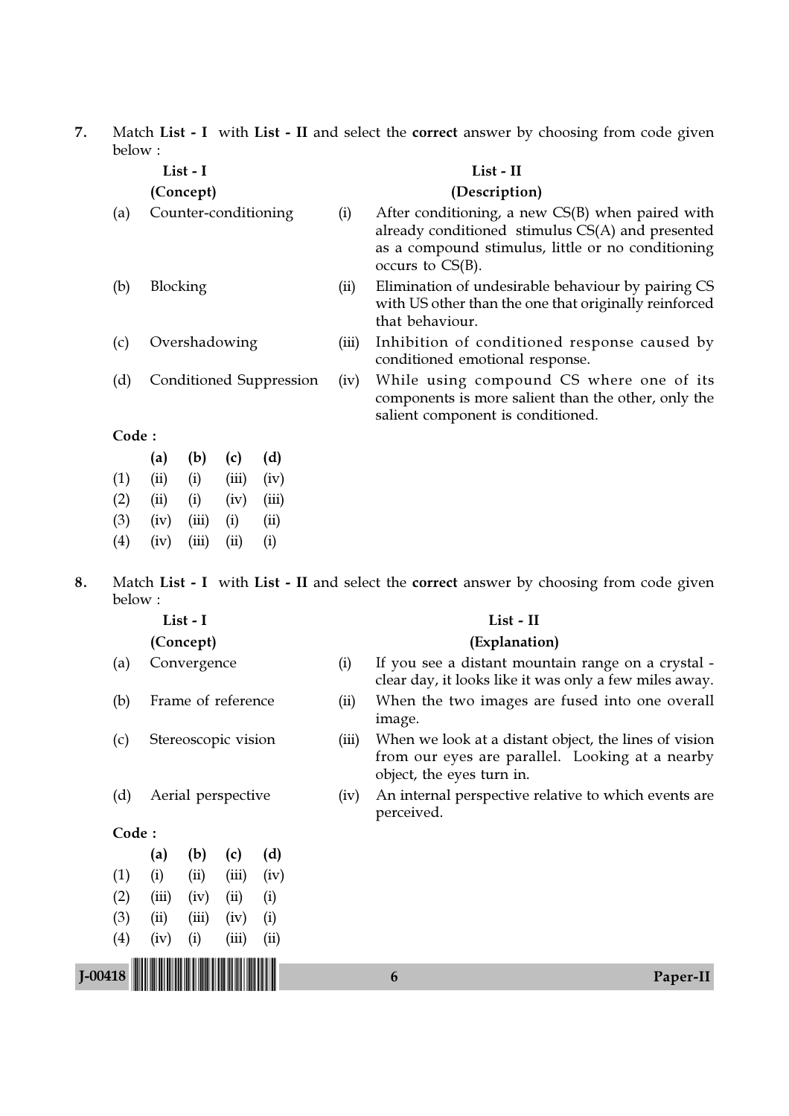7. Match List - I with List - II and select the correct answer by choosing from code given below :

| List - I          |                         |                      |       |       |       | List - II                                                                                                                                                                          |
|-------------------|-------------------------|----------------------|-------|-------|-------|------------------------------------------------------------------------------------------------------------------------------------------------------------------------------------|
|                   |                         | (Concept)            |       |       |       | (Description)                                                                                                                                                                      |
| (a)               |                         | Counter-conditioning |       |       | (i)   | After conditioning, a new $CS(B)$ when paired with<br>already conditioned stimulus CS(A) and presented<br>as a compound stimulus, little or no conditioning<br>occurs to $CS(B)$ . |
| (b)               | <b>Blocking</b>         |                      |       |       | (ii)  | Elimination of undesirable behaviour by pairing CS<br>with US other than the one that originally reinforced<br>that behaviour.                                                     |
| (c)               | Overshadowing           |                      |       |       | (iii) | Inhibition of conditioned response caused by<br>conditioned emotional response.                                                                                                    |
| (d)               | Conditioned Suppression |                      |       |       | (iv)  | While using compound CS where one of its<br>components is more salient than the other, only the<br>salient component is conditioned.                                               |
| Code:             |                         |                      |       |       |       |                                                                                                                                                                                    |
|                   | (a)                     | (b)                  | (c)   | (d)   |       |                                                                                                                                                                                    |
| (1)               | (ii)                    | (i)                  | (iii) | (iv)  |       |                                                                                                                                                                                    |
| (2)               | (ii)                    | (i)                  | (iv)  | (iii) |       |                                                                                                                                                                                    |
| (3)               | (iv)                    | (iii)                | (i)   | (ii)  |       |                                                                                                                                                                                    |
| $\left( 4\right)$ | (iv)                    | (iii)                | (ii)  | (i)   |       |                                                                                                                                                                                    |

8. Match List - I with List - II and select the correct answer by choosing from code given below :

| л.<br>ואו<br>u |  |
|----------------|--|
|----------------|--|

- 
- 
- 
- 

### Code :

|     | (a)   | (b)                 | (c)        | (d)  |
|-----|-------|---------------------|------------|------|
| (1) | (i)   | $\left( ii \right)$ | (iii)      | (iv) |
| (2) | (iii) | (iv)                | $\rm (ii)$ | (i)  |
| (3) | (ii)  | (iii)               | (iv)       | (i)  |
| (4) | (iv)  | (i)                 | (iii)      | (ii) |
|     |       |                     |            |      |

#### List - II

#### (Concept) (Explanation)

- (a) Convergence (i) If you see a distant mountain range on a crystal clear day, it looks like it was only a few miles away.
- (b) Frame of reference (ii) When the two images are fused into one overall image.
- (c) Stereoscopic vision (iii) When we look at a distant object, the lines of vision from our eyes are parallel. Looking at a nearby object, the eyes turn in.
- (d) Aerial perspective (iv) An internal perspective relative to which events are perceived.

J-00418 !J-00418-PAPER-II! <sup>6</sup> Paper-II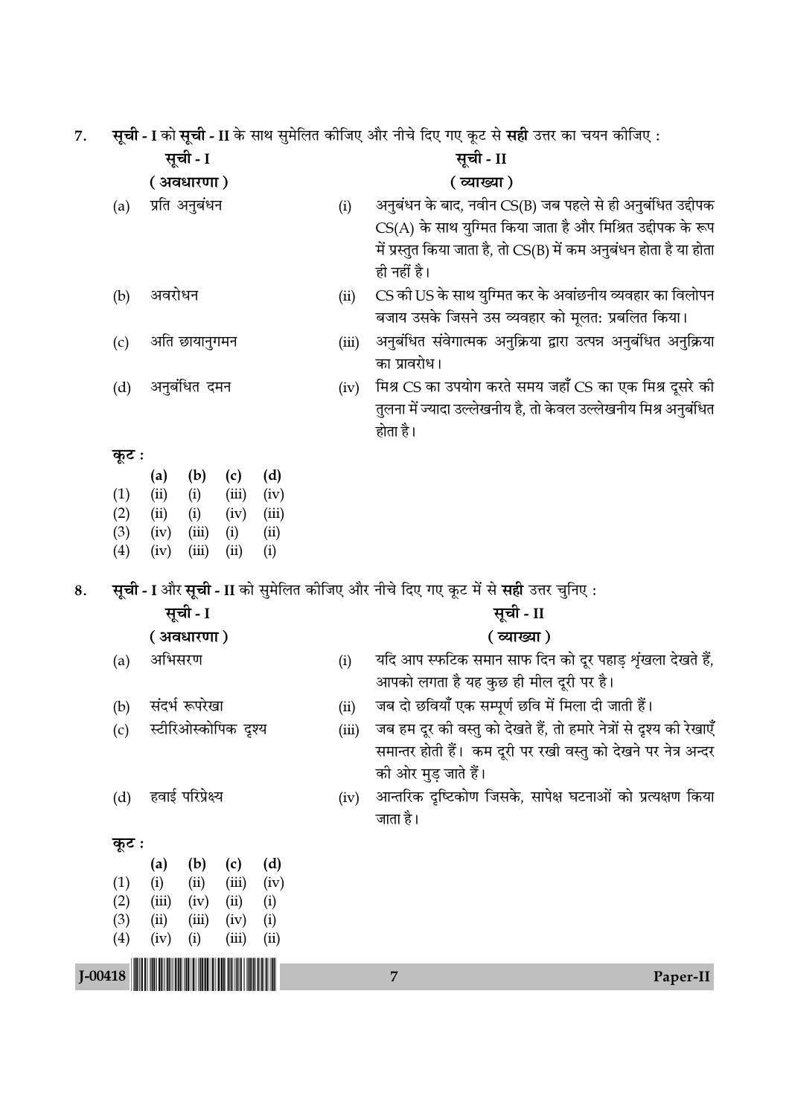7. सूची - I को सूची - II के साथ सुमेलित कीजिए और नीचे दिए गए कट से **सही** उत्तर का चयन कीजिए :

|             |                      | सूची - I                                                     | $\pi$ जा - 1 का लूजा - 11 का लांच लुगारात कामगर जार भाव गरर गर कृष्य ले लेखा प्रतर का चक्म कामगर . | सूची - II                                                                          |
|-------------|----------------------|--------------------------------------------------------------|----------------------------------------------------------------------------------------------------|------------------------------------------------------------------------------------|
|             |                      | ( अवधारणा)                                                   |                                                                                                    | ( व्याख्या )                                                                       |
|             | प्रति अनुबंधन<br>(a) |                                                              | (i)                                                                                                | अनुबंधन के बाद, नवीन CS(B) जब पहले से ही अनुबंधित उद्दीपक                          |
|             |                      |                                                              |                                                                                                    | $CS(A)$ के साथ युग्मित किया जाता है और मिश्रित उद्दीपक के रूप                      |
|             |                      |                                                              |                                                                                                    | में प्रस्तुत किया जाता है, तो CS(B) में कम अनुबंधन होता है या होता                 |
|             |                      |                                                              |                                                                                                    | ही नहीं है।                                                                        |
|             | (b)                  | अवरोधन                                                       | (ii)                                                                                               | CS की US के साथ युग्मित कर के अवांछनीय व्यवहार का विलोपन                           |
|             |                      |                                                              |                                                                                                    | बजाय उसके जिसने उस व्यवहार को मूलत: प्रबलित किया।                                  |
|             | (c)                  | अति छायानुगमन                                                | (iii)                                                                                              | अनुबंधित संवेगात्मक अनुक्रिया द्वारा उत्पन्न अनुबंधित अनुक्रिया                    |
|             |                      |                                                              |                                                                                                    | का प्रावरोध।                                                                       |
|             | (d)                  | अनुबंधित दमन                                                 | (iv)                                                                                               | मिश्र CS का उपयोग करते समय जहाँ CS का एक मिश्र दूसरे की                            |
|             |                      |                                                              |                                                                                                    | तुलना में ज्यादा उल्लेखनीय है, तो केवल उल्लेखनीय मिश्र अनुबंधित                    |
|             |                      |                                                              |                                                                                                    | होता है।                                                                           |
|             | कूट :                |                                                              |                                                                                                    |                                                                                    |
|             |                      | (d)<br>(b)<br>(c)<br>(a)                                     |                                                                                                    |                                                                                    |
|             | (1)<br>(2)           | (ii)<br>(iii)<br>(i)<br>(iv)<br>(ii)<br>(iv)<br>(iii)<br>(i) |                                                                                                    |                                                                                    |
|             | (3)                  | (iii)<br>(iv)<br>(i)<br>(ii)                                 |                                                                                                    |                                                                                    |
|             | (4)                  | (i)<br>(iv)<br>(iii)<br>(ii)                                 |                                                                                                    |                                                                                    |
| 8.          |                      |                                                              |                                                                                                    | सूची - I और सूची - II को सुमेलित कीजिए और नीचे दिए गए कूट में से सही उत्तर चुनिए : |
|             |                      | सूची - I                                                     |                                                                                                    | सूची - II                                                                          |
|             |                      | ( अवधारणा)                                                   |                                                                                                    | (व्याख्या)                                                                         |
|             | (a)                  | अभिसरण                                                       | (i)                                                                                                | यदि आप स्फटिक समान साफ दिन को दूर पहाड़ शृंखला देखते हैं,                          |
|             |                      |                                                              |                                                                                                    |                                                                                    |
|             |                      |                                                              |                                                                                                    | आपको लगता है यह कुछ ही मील दूरी पर है।                                             |
|             | (b)                  | संदर्भ रूपरेखा                                               | (ii)                                                                                               | जब दो छवियाँ एक सम्पूर्ण छवि में मिला दी जाती हैं।                                 |
|             | (c)                  | स्टीरिओस्कोपिक दृश्य                                         | (iii)                                                                                              | जब हम दूर की वस्तु को देखते हैं, तो हमारे नेत्रों से दृश्य की रेखाएँ               |
|             |                      |                                                              |                                                                                                    | समान्तर होती हैं। कम दूरी पर रखी वस्तु को देखने पर नेत्र अन्दर                     |
|             |                      |                                                              |                                                                                                    | की ओर मुड़ जाते हैं।                                                               |
|             | (d)                  | हवाई परिप्रेक्ष्य                                            | (iv)                                                                                               | आन्तरिक दृष्टिकोण जिसके, सापेक्ष घटनाओं को प्रत्यक्षण किया                         |
|             |                      |                                                              |                                                                                                    | जाता है।                                                                           |
|             | कूट :                |                                                              |                                                                                                    |                                                                                    |
|             |                      | (d)<br>(b)<br>(a)<br>(c)                                     |                                                                                                    |                                                                                    |
|             | (1)                  | (i)<br>(iv)<br>(ii)<br>(iii)                                 |                                                                                                    |                                                                                    |
|             | (2)                  | (iii)<br>(iv)<br>(ii)<br>(i)                                 |                                                                                                    |                                                                                    |
|             | (3)<br>(4)           | (ii)<br>(iii)<br>(iv)<br>(i)<br>(iv)<br>(i)<br>(iii)<br>(ii) |                                                                                                    |                                                                                    |
| $J - 00418$ |                      |                                                              |                                                                                                    | $\overline{7}$<br>Paper-II                                                         |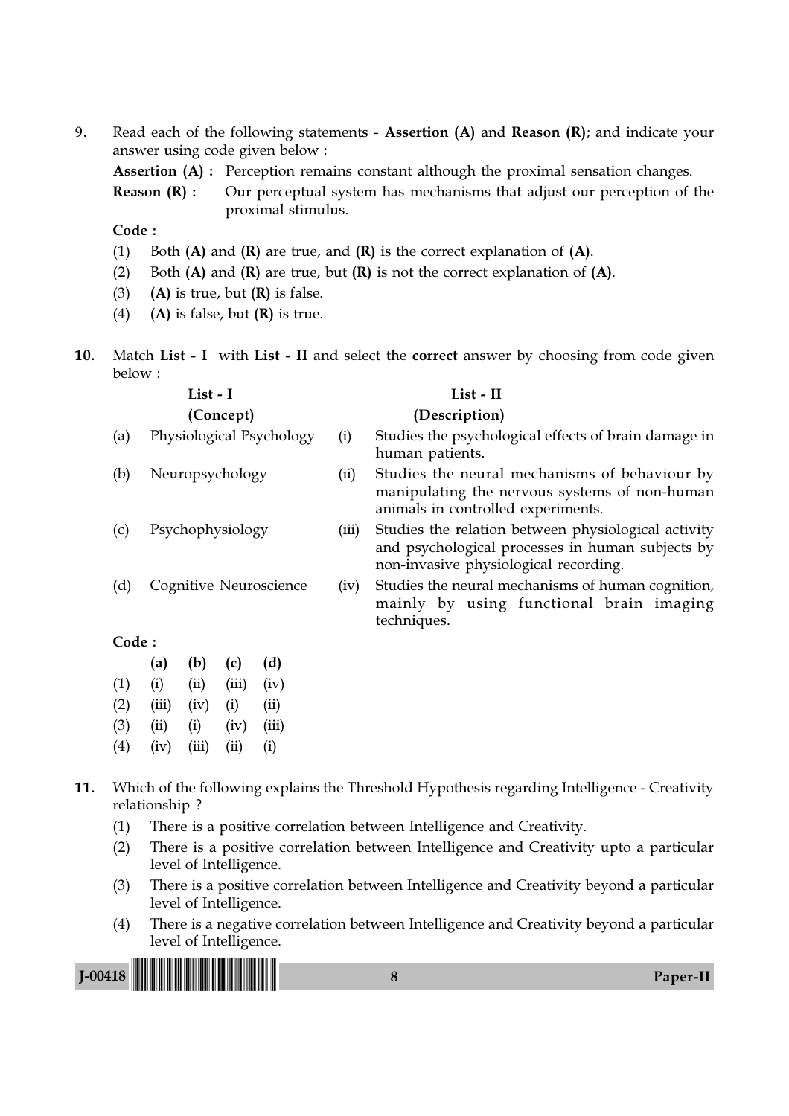9. Read each of the following statements - Assertion (A) and Reason (R); and indicate your answer using code given below :

Assertion (A) : Perception remains constant although the proximal sensation changes.

**Reason**  $(R)$ **:** Our perceptual system has mechanisms that adjust our perception of the proximal stimulus.

Code :

- (1) Both  $(A)$  and  $(R)$  are true, and  $(R)$  is the correct explanation of  $(A)$ .
- (2) Both  $(A)$  and  $(R)$  are true, but  $(R)$  is not the correct explanation of  $(A)$ .
- (3) (A) is true, but  $(R)$  is false.
- (4) (A) is false, but  $(R)$  is true.
- 10. Match List I with List II and select the correct answer by choosing from code given below :

|           |                          | List - I |       |      |               | List - II                                                                                                                                        |  |  |
|-----------|--------------------------|----------|-------|------|---------------|--------------------------------------------------------------------------------------------------------------------------------------------------|--|--|
| (Concept) |                          |          |       |      | (Description) |                                                                                                                                                  |  |  |
| (a)       | Physiological Psychology |          |       |      | (i)           | Studies the psychological effects of brain damage in<br>human patients.                                                                          |  |  |
| (b)       | Neuropsychology          |          |       |      | (ii)          | Studies the neural mechanisms of behaviour by<br>manipulating the nervous systems of non-human<br>animals in controlled experiments.             |  |  |
| (c)       | Psychophysiology         |          |       |      | (iii)         | Studies the relation between physiological activity<br>and psychological processes in human subjects by<br>non-invasive physiological recording. |  |  |
| (d)       | Cognitive Neuroscience   |          |       |      | (iv)          | Studies the neural mechanisms of human cognition,<br>mainly by using functional brain imaging<br>techniques.                                     |  |  |
| Code:     |                          |          |       |      |               |                                                                                                                                                  |  |  |
|           | (a)                      | (b)      | (c)   | (d)  |               |                                                                                                                                                  |  |  |
| (1)       | (i)                      | (ii)     | (iii) | (iv) |               |                                                                                                                                                  |  |  |

- $(2)$   $(iii)$   $(iv)$   $(i)$   $(ii)$
- (3) (ii) (i) (iv) (iii)
- $(4)$   $(iv)$   $(iii)$   $(ii)$   $(i)$

## 11. Which of the following explains the Threshold Hypothesis regarding Intelligence - Creativity relationship ?

- (1) There is a positive correlation between Intelligence and Creativity.
- (2) There is a positive correlation between Intelligence and Creativity upto a particular level of Intelligence.
- (3) There is a positive correlation between Intelligence and Creativity beyond a particular level of Intelligence.
- (4) There is a negative correlation between Intelligence and Creativity beyond a particular level of Intelligence.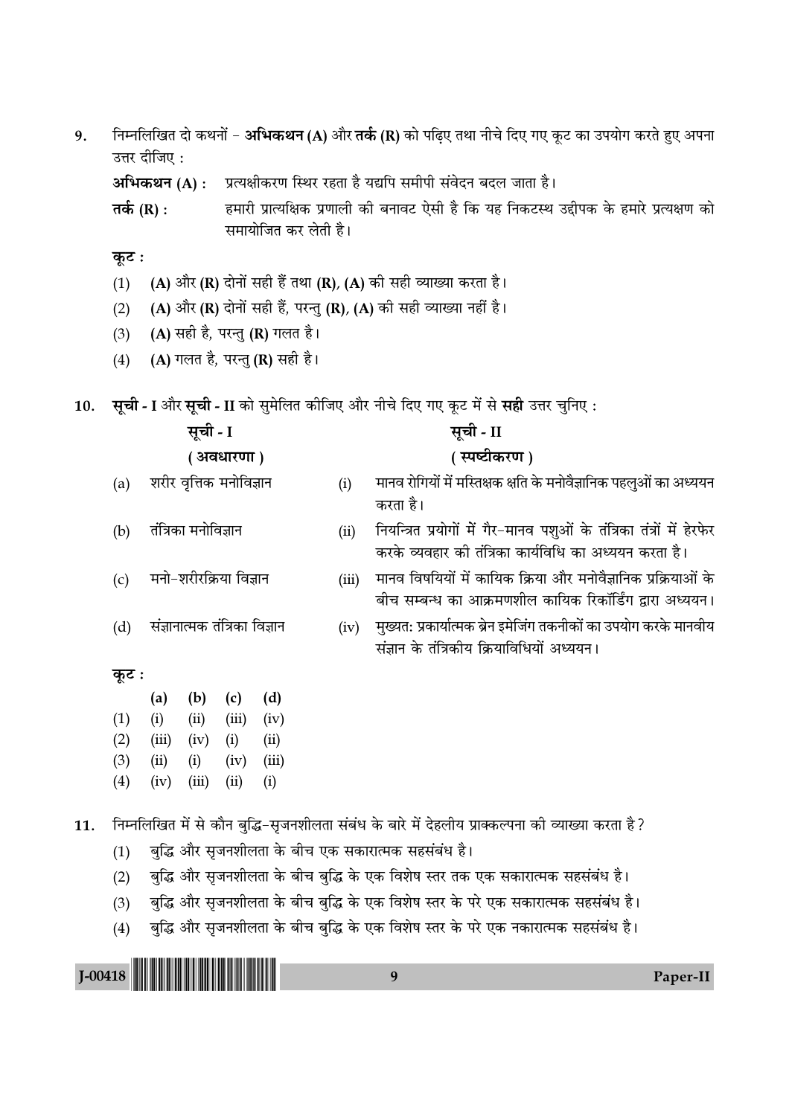निम्नलिखित दो कथनों – अभिकथन (A) और तर्क (R) को पढ़िए तथा नीचे दिए गए कूट का उपयोग करते हुए अपना 9. उत्तर दीजिए:

अभिकथन (A) : प्रत्यक्षीकरण स्थिर रहता है यद्यपि समीपी संवेदन बदल जाता है।

हमारी प्रात्यक्षिक प्रणाली की बनावट ऐसी है कि यह निकटस्थ उद्दीपक के हमारे प्रत्यक्षण को तर्क (R) : समायोजित कर लेती है।

- कूट :
- (A) और (R) दोनों सही हैं तथा (R), (A) की सही व्याख्या करता है।  $(1)$
- (A) और (R) दोनों सही हैं, परन्तु (R), (A) की सही व्याख्या नहीं है।  $(2)$
- (A) सही है, परन्तु (R) गलत है।  $(3)$
- (A) गलत है, परन्तु (R) सही है।  $(4)$

सूची - I और सूची - II को सुमेलित कीजिए और नीचे दिए गए कूट में से सही उत्तर चुनिए : 10.

| सूची - I                | सूची - II                                                         |
|-------------------------|-------------------------------------------------------------------|
| ( अवधारणा )             | ( स्पष्टीकरण )                                                    |
| शरीर वृत्तिक मनोविज्ञान | मानव रोगियों में मस्तिक्षक क्षति के मनोवैज्ञानिक पहलुओं का अध्ययन |
|                         | करता है।                                                          |

- नियन्त्रित प्रयोगों में गैर-मानव पशुओं के तंत्रिका तंत्रों में हेरफेर  $(ii)$ करके व्यवहार की तंत्रिका कार्यविधि का अध्ययन करता है।
- मानव विषयियों में कायिक क्रिया और मनोवैज्ञानिक प्रक्रियाओं के  $(iii)$ बीच सम्बन्ध का आक्रमणशील कायिक रिकॉर्डिंग द्वारा अध्ययन।
- मुख्यत: प्रकार्यात्मक ब्रेन इमेजिंग तकनीकों का उपयोग करके मानवीय  $(iv)$ संज्ञान के तंत्रिकीय कियाविधियों अध्ययन।

## कुट:

 $(a)$ 

 $(b)$ 

 $(c)$ 

 $(d)$ 

|     | (a)   | (b)   | (c)   | (d)   |
|-----|-------|-------|-------|-------|
| (1) | (i)   | (ii)  | (iii) | (iv)  |
| (2) | (iii) | (iv)  | (i)   | (ii)  |
| (3) | (ii)  | (i)   | (iv)  | (iii) |
| (4) | (iv)  | (iii) | (ii)  | (i)   |

तंत्रिका मनोविज्ञान

मनो-शरीरक्रिया विज्ञान

संज्ञानात्मक तंत्रिका विज्ञान

निम्नलिखित में से कौन बुद्धि-सृजनशीलता संबंध के बारे में देहलीय प्राक्कल्पना की व्याख्या करता है ? 11.

- बुद्धि और सृजनशीलता के बीच एक सकारात्मक सहसंबंध है।  $(1)$
- बुद्धि और सृजनशीलता के बीच बुद्धि के एक विशेष स्तर तक एक सकारात्मक सहसंबंध है।  $(2)$
- बुद्धि और सृजनशीलता के बीच बुद्धि के एक विशेष स्तर के परे एक सकारात्मक सहसंबंध है।  $(3)$
- बुद्धि और सृजनशीलता के बीच बुद्धि के एक विशेष स्तर के परे एक नकारात्मक सहसंबंध है।  $(4)$

9

 $J-00418$ 

Paper-II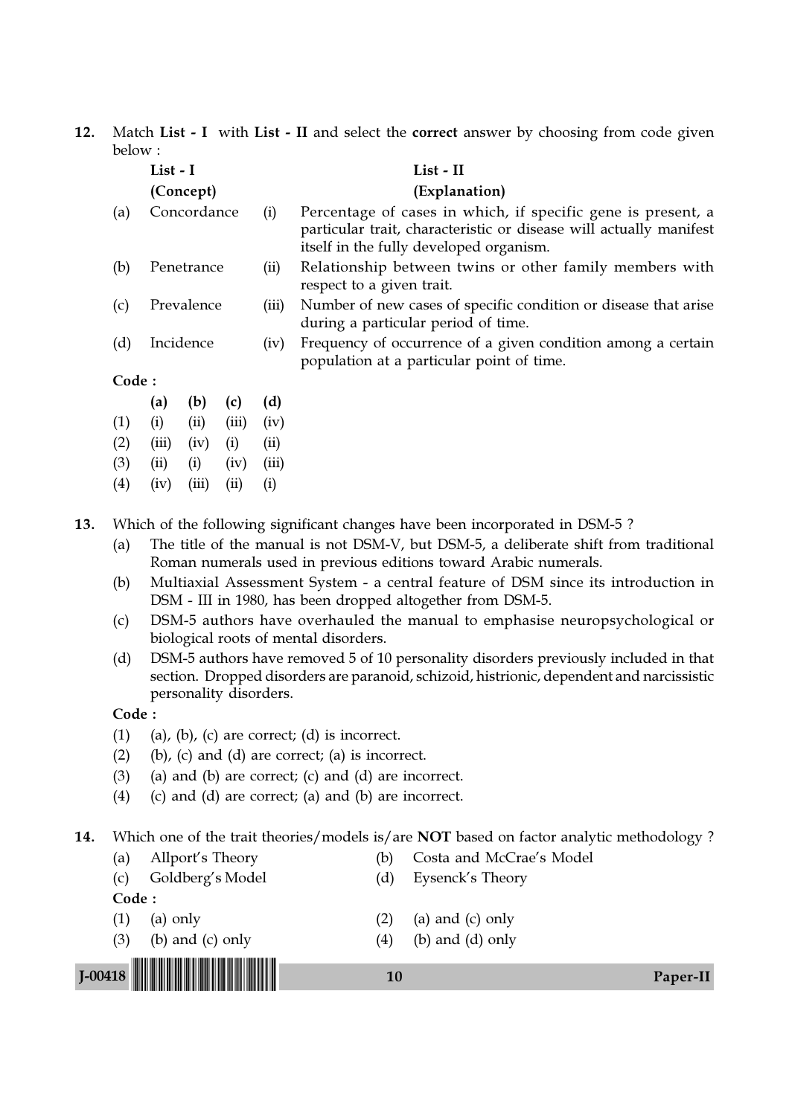12. Match List - I with List - II and select the correct answer by choosing from code given below :

|       | List - I                   |            |       |                                                                                                           | List - II                                                                                                                                                                     |  |  |  |  |  |
|-------|----------------------------|------------|-------|-----------------------------------------------------------------------------------------------------------|-------------------------------------------------------------------------------------------------------------------------------------------------------------------------------|--|--|--|--|--|
|       | (Explanation)<br>(Concept) |            |       |                                                                                                           |                                                                                                                                                                               |  |  |  |  |  |
| (a)   | Concordance<br>(i)         |            |       |                                                                                                           | Percentage of cases in which, if specific gene is present, a<br>particular trait, characteristic or disease will actually manifest<br>itself in the fully developed organism. |  |  |  |  |  |
| (b)   |                            | Penetrance |       | (ii)                                                                                                      | Relationship between twins or other family members with<br>respect to a given trait.                                                                                          |  |  |  |  |  |
| (c)   | Prevalence                 |            |       | (iii)                                                                                                     | Number of new cases of specific condition or disease that arise<br>during a particular period of time.                                                                        |  |  |  |  |  |
| (d)   | Incidence                  |            | (iv)  | Frequency of occurrence of a given condition among a certain<br>population at a particular point of time. |                                                                                                                                                                               |  |  |  |  |  |
| Code: |                            |            |       |                                                                                                           |                                                                                                                                                                               |  |  |  |  |  |
|       | (a)                        | (b)        | (c)   | (d)                                                                                                       |                                                                                                                                                                               |  |  |  |  |  |
| (1)   | (i)                        | (ii)       | (iii) | (iv)                                                                                                      |                                                                                                                                                                               |  |  |  |  |  |
| (2)   | (iii)                      | (iv)       | (i)   | (ii)                                                                                                      |                                                                                                                                                                               |  |  |  |  |  |
| (3)   | (ii)                       | (i)        | (iv)  | (iii)                                                                                                     |                                                                                                                                                                               |  |  |  |  |  |
| (4)   | (iv)                       | (iii)      | (ii)  | (i)                                                                                                       |                                                                                                                                                                               |  |  |  |  |  |
|       |                            |            |       |                                                                                                           | Which of the following cignificant changes have been incorporated in DCM 5.2                                                                                                  |  |  |  |  |  |

13. Which of the following significant changes have been incorporated in DSM-5 ?

- (a) The title of the manual is not DSM-V, but DSM-5, a deliberate shift from traditional Roman numerals used in previous editions toward Arabic numerals.
- (b) Multiaxial Assessment System a central feature of DSM since its introduction in DSM - III in 1980, has been dropped altogether from DSM-5.
- (c) DSM-5 authors have overhauled the manual to emphasise neuropsychological or biological roots of mental disorders.
- (d) DSM-5 authors have removed 5 of 10 personality disorders previously included in that section. Dropped disorders are paranoid, schizoid, histrionic, dependent and narcissistic personality disorders.

Code :

- (1) (a), (b), (c) are correct; (d) is incorrect.
- $(b)$ ,  $(c)$  and  $(d)$  are correct;  $(a)$  is incorrect.
- $(3)$  (a) and  $(b)$  are correct;  $(c)$  and  $(d)$  are incorrect.
- (4) (c) and (d) are correct; (a) and (b) are incorrect.

14. Which one of the trait theories/models is/are NOT based on factor analytic methodology?

- (a) Allport's Theory (b) Costa and McCrae's Model (c) Goldberg's Model (d) Eysenck's Theory Code : (1) (a) only (2) (a) and (c) only
	-
	- (3) (b) and (c) only  $(4)$  (b) and (d) only

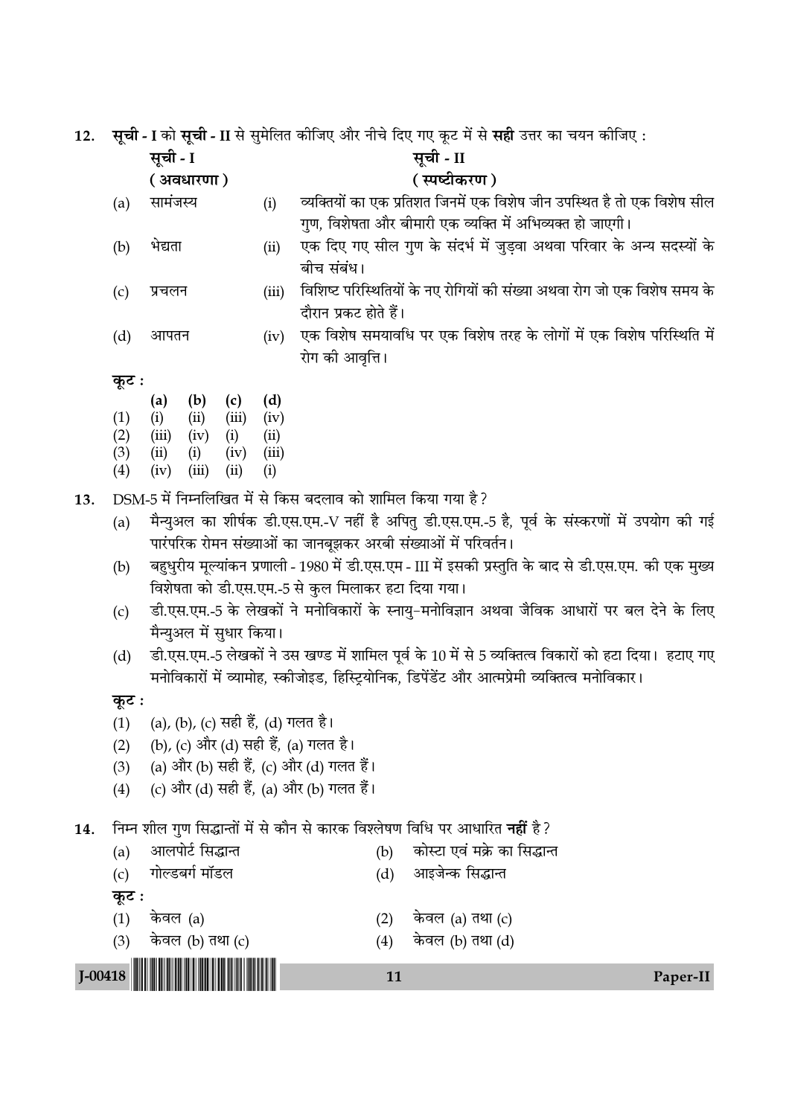.<br>ਧੇਕਿਰ ਕੀਤਿਸ਼ और ਜੀਜੇ ਇਸ ਸਾਸ ਨਾਟ ਸੇਂ ਸੇ <del>ਸੂਬੀ</del>  $\overline{a}$   $\overline{a}$ ੀ $\overline{b}$  $\rightarrow$  $\mathbf{r}$ د  $\rightarrow$ -<br>7 ਰਹ ਵਾ 12.  $\bar{t}$ 

| 12. |            |              |                   |                          |              | सूचा - I का सूचा - II से सुमालत कााजए आर नाच ।दर् गर कूट में से सहा उत्तर का चयन कााजए :                                                                          |
|-----|------------|--------------|-------------------|--------------------------|--------------|-------------------------------------------------------------------------------------------------------------------------------------------------------------------|
|     |            | सूची - I     |                   |                          |              | सूची - II                                                                                                                                                         |
|     |            |              | ( अवधारणा)        |                          |              | (स्पष्टीकरण)                                                                                                                                                      |
|     | (a)        | सामंजस्य     |                   |                          | (i)          | व्यक्तियों का एक प्रतिशत जिनमें एक विशेष जीन उपस्थित है तो एक विशेष सील                                                                                           |
|     |            |              |                   |                          |              | गुण, विशेषता और बीमारी एक व्यक्ति में अभिव्यक्त हो जाएगी।                                                                                                         |
|     | (b)        | भेद्यता      |                   |                          | (ii)         | एक दिए गए सील गुण के संदर्भ में जुड़वा अथवा परिवार के अन्य सदस्यों के<br>बीच संबंध।                                                                               |
|     | (c)        | प्रचलन       |                   |                          | (iii)        | विशिष्ट परिस्थितियों के नए रोगियों की संख्या अथवा रोग जो एक विशेष समय के<br>दौरान प्रकट होते हैं।                                                                 |
|     | (d)        | आपतन         |                   |                          | (iv)         | एक विशेष समयावधि पर एक विशेष तरह के लोगों में एक विशेष परिस्थिति में<br>रोग को आवृत्ति ।                                                                          |
|     | कूट :      |              |                   |                          |              |                                                                                                                                                                   |
|     |            | (a)          | (b)               | (c)                      | (d)          |                                                                                                                                                                   |
|     | (1)        | (i)          | (ii)              | (iii)                    | (iv)         |                                                                                                                                                                   |
|     | (2)        | (iii)        | (iv)              | (i)                      | (ii)         |                                                                                                                                                                   |
|     | (3)<br>(4) | (ii)<br>(iv) | (i)<br>(iii)      | (iv)<br>(ii)             | (iii)<br>(i) |                                                                                                                                                                   |
|     |            |              |                   |                          |              |                                                                                                                                                                   |
| 13. |            |              |                   |                          |              | DSM-5 में निम्नलिखित में से किस बदलाव को शामिल किया गया है ?                                                                                                      |
|     | (a)        |              |                   |                          |              | मैन्युअल का शीर्षक डी.एस.एम.-V नहीं है अपितु डी.एस.एम.-5 है, पूर्व के संस्करणों में उपयोग की गई<br>पारंपरिक रोमन संख्याओं का जानबूझकर अरबी संख्याओं में परिवर्तन। |
|     | (b)        |              |                   |                          |              | बहुधुरीय मूल्यांकन प्रणाली - 1980 में डी.एस.एम - III में इसकी प्रस्तुति के बाद से डी.एस.एम. की एक मुख्य<br>विशेषता को डी.एस.एम.-5 से कुल मिलाकर हटा दिया गया।     |
|     | (c)        |              |                   |                          |              | डी.एस.एम.-5 के लेखकों ने मनोविकारों के स्नायु-मनोविज्ञान अथवा जैविक आधारों पर बल देने के लिए                                                                      |
|     |            |              |                   | मैन्युअल में सुधार किया। |              |                                                                                                                                                                   |
|     | (d)        |              |                   |                          |              | डी.एस.एम.-5 लेखकों ने उस खण्ड में शामिल पूर्व के 10 में से 5 व्यक्तित्व विकारों को हटा दिया।  हटाए गए                                                             |
|     |            |              |                   |                          |              | मनोविकारों में व्यामोह, स्कीजोइड, हिस्ट्रियोनिक, डिपेंडेंट और आत्मप्रेमी व्यक्तित्व मनोविकार।                                                                     |
|     | कूट :      |              |                   |                          |              |                                                                                                                                                                   |
|     | (1)        |              |                   |                          |              | (a), (b), (c) सही हैं, (d) गलत है।                                                                                                                                |
|     | (2)        |              |                   |                          |              | (b), (c) और (d) सही हैं, (a) गलत है।                                                                                                                              |
|     | (3)        |              |                   |                          |              | (a) और (b) सही हैं, (c) और (d) गलत हैं।                                                                                                                           |
|     | (4)        |              |                   |                          |              | (c) और (d) सही हैं, (a) और (b) गलत हैं।                                                                                                                           |
| 14. |            |              |                   |                          |              | निम्न शील गुण सिद्धान्तों में से कौन से कारक विश्लेषण विधि पर आधारित <b>नहीं</b> है?                                                                              |
|     | (a)        |              | आलपोर्ट सिद्धान्त |                          |              | कोस्टा एवं मक्रे का सिद्धान्त<br>(b)                                                                                                                              |
|     | (c)        |              | गोल्डबर्ग मॉडल    |                          |              | आइजेन्क सिद्धान्त<br>(d)                                                                                                                                          |
|     | कूट :      |              |                   |                          |              |                                                                                                                                                                   |
|     | (1)        | केवल (a)     |                   |                          |              | केवल (a) तथा (c)<br>(2)                                                                                                                                           |
|     | (3)        |              | केवल (b) तथा (c)  |                          |              | केवल (b) तथा (d)<br>(4)                                                                                                                                           |

 $11$ Paper-II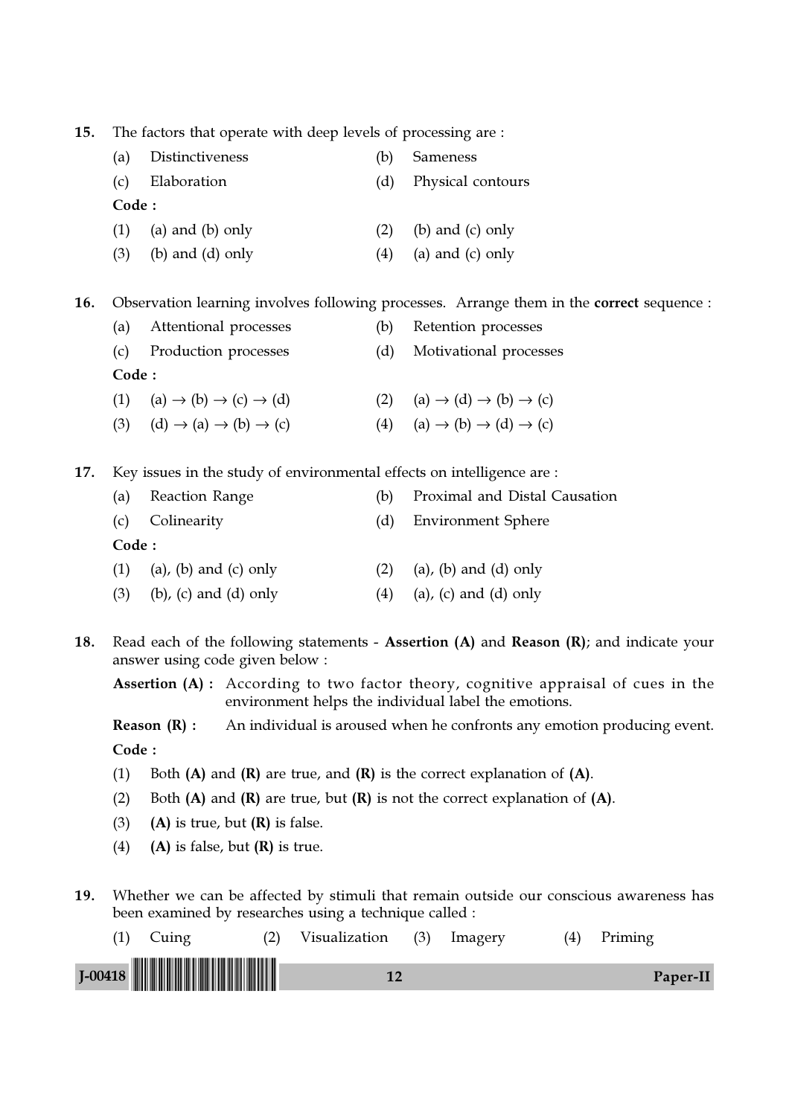15. The factors that operate with deep levels of processing are : (a) Distinctiveness (b) Sameness (c) Elaboration (d) Physical contours Code : (1) (a) and (b) only  $(2)$  (b) and (c) only (3) (b) and (d) only  $(4)$  (a) and (c) only 16. Observation learning involves following processes. Arrange them in the **correct** sequence : (a) Attentional processes (b) Retention processes (c) Production processes (d) Motivational processes Code : (1) (a)  $\rightarrow$  (b)  $\rightarrow$  (c)  $\rightarrow$  (d) (2) (a)  $\rightarrow$  (d)  $\rightarrow$  (b)  $\rightarrow$  (c) (3) (d)  $\rightarrow$  (a)  $\rightarrow$  (b)  $\rightarrow$  (c) (4) (a)  $\rightarrow$  (b)  $\rightarrow$  (d)  $\rightarrow$  (c) 17. Key issues in the study of environmental effects on intelligence are : (a) Reaction Range (b) Proximal and Distal Causation (c) Colinearity (d) Environment Sphere Code : (1) (a), (b) and (c) only (2) (a), (b) and (d) only (3) (b), (c) and (d) only (4) (a), (c) and (d) only

18. Read each of the following statements - Assertion (A) and Reason (R); and indicate your answer using code given below :

Assertion (A) : According to two factor theory, cognitive appraisal of cues in the environment helps the individual label the emotions.

**Reason**  $(R)$ **:** An individual is aroused when he confronts any emotion producing event. Code :

- (1) Both  $(A)$  and  $(R)$  are true, and  $(R)$  is the correct explanation of  $(A)$ .
- (2) Both  $(A)$  and  $(R)$  are true, but  $(R)$  is not the correct explanation of  $(A)$ .
- (3) (A) is true, but  $(R)$  is false.
- (4) (A) is false, but  $(R)$  is true.
- 19. Whether we can be affected by stimuli that remain outside our conscious awareness has been examined by researches using a technique called :

| Cuing      | Visualization | (3) | Imagery | (4) | Priming  |  |
|------------|---------------|-----|---------|-----|----------|--|
| $J$ -00418 |               |     |         |     | Paper-II |  |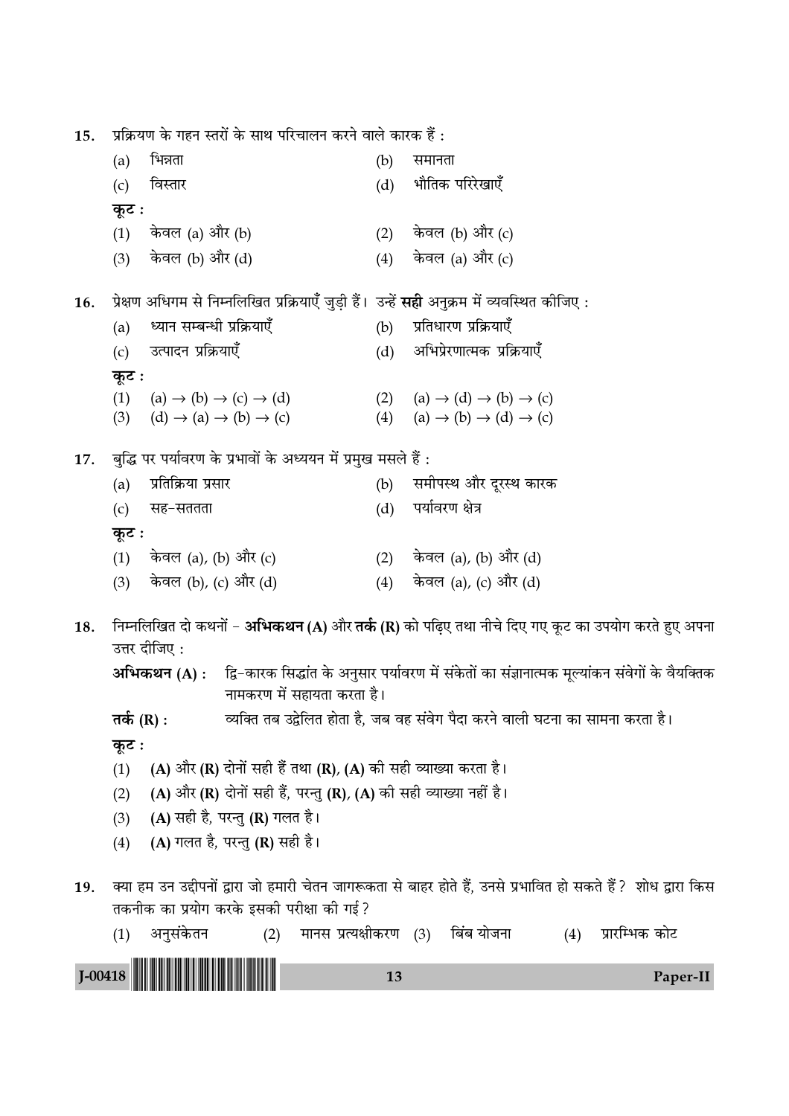प्रक्रियण के गहन स्तरों के साथ परिचालन करने वाले कारक हैं: 15. भिन्नता समानता  $(a)$  $(b)$ भौतिक परिरेखाएँ  $(c)$ विस्तार  $(d)$ कूट : केवल (a) और (b) केवल (b) और (c)  $(1)$  $(2)$ केवल (b) और (d) केवल (a) और (c)  $(3)$  $(4)$ प्रेक्षण अधिगम से निम्नलिखित प्रक्रियाएँ जुड़ी हैं। उन्हें **सही** अनुक्रम में व्यवस्थित कीजिए : 16. ध्यान सम्बन्धी प्रक्रियाएँ प्रतिधारण प्रक्रियाएँ  $(a)$  $(b)$ उत्पादन प्रक्रियाएँ अभिप्रेरणात्मक प्रक्रियाएँ  $(c)$  $(d)$ कूट : (1) (a)  $\rightarrow$  (b)  $\rightarrow$  (c)  $\rightarrow$  (d) (2) (a)  $\rightarrow$  (d)  $\rightarrow$  (b)  $\rightarrow$  (c) (3)  $(d) \rightarrow (a) \rightarrow (b) \rightarrow (c)$ (4) (a)  $\rightarrow$  (b)  $\rightarrow$  (d)  $\rightarrow$  (c) बुद्धि पर पर्यावरण के प्रभावों के अध्ययन में प्रमुख मसले हैं : 17. समीपस्थ और दूरस्थ कारक  $(a)$ प्रतिक्रिया प्रसार  $(b)$ पर्यावरण क्षेत्र सह–सततता  $(d)$  $(c)$ कुट : केवल (a), (b) और (c) केवल (a), (b) और (d)  $(1)$  $(2)$ (3) केवल (b), (c) और (d) (4) केवल (a), (c) और (d) निम्नलिखित दो कथनों – **अभिकथन (A)** और **तर्क (R)** को पढ़िए तथा नीचे दिए गए कूट का उपयोग करते हुए अपना 18. उत्तर दीजिए: द्वि-कारक सिद्धांत के अनुसार पर्यावरण में संकेतों का संज्ञानात्मक मूल्यांकन संवेगों के वैयक्तिक अभिकथन (A) : नामकरण में सहायता करता है। व्यक्ति तब उद्वेलित होता है, जब वह संवेग पैदा करने वाली घटना का सामना करता है। तर्क  $(R)$  : कूट : (A) और (R) दोनों सही हैं तथा (R), (A) की सही व्याख्या करता है।  $(1)$ (A) और (R) दोनों सही हैं, परन्तु (R), (A) की सही व्याख्या नहीं है।  $(2)$ (A) सही है, परन्तु (R) गलत है।  $(3)$ (A) गलत है, परन्तु (R) सही है।  $(4)$ क्या हम उन उद्दीपनों द्वारा जो हमारी चेतन जागरूकता से बाहर होते हैं, उनसे प्रभावित हो सकते हैं? शोध द्वारा किस 19. तकनीक का प्रयोग करके इसकी परीक्षा की गई? (2) मानस प्रत्यक्षीकरण (3) बिंब योजना प्रारम्भिक कोट (1) अनुसंकेतन  $(4)$  $I-00418$ 

13

Paper-II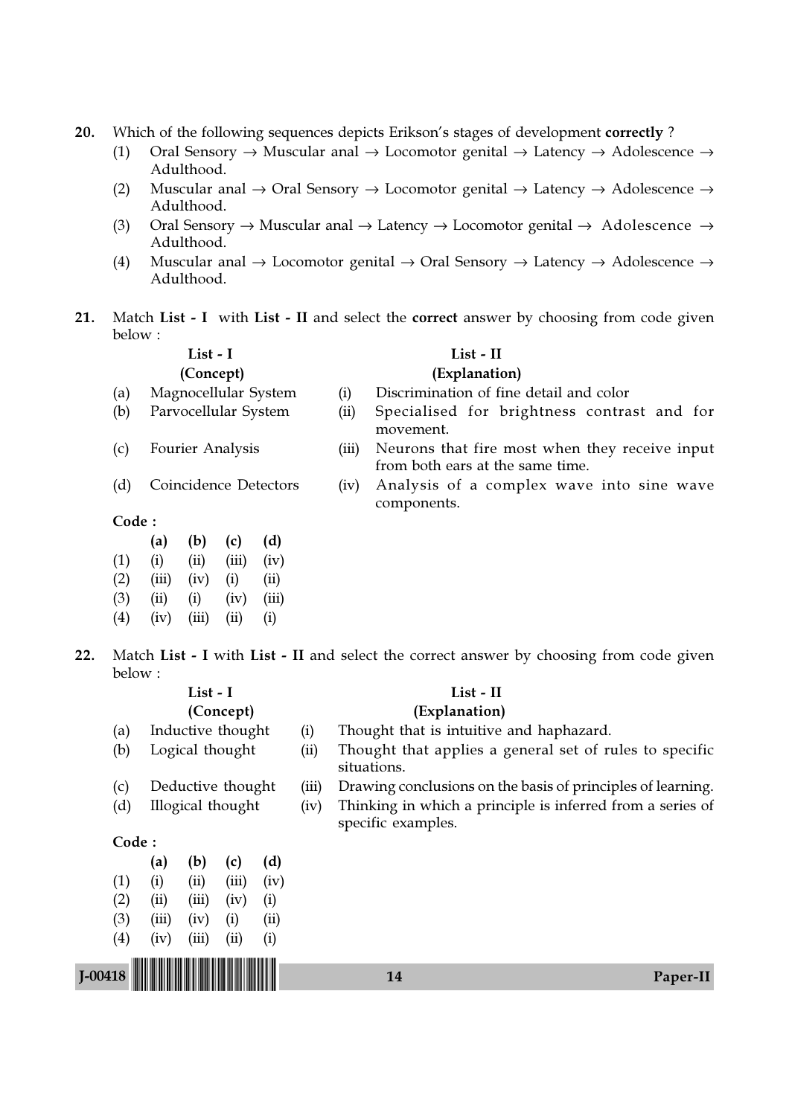- 20. Which of the following sequences depicts Erikson's stages of development correctly?
	- (1) Oral Sensory  $\rightarrow$  Muscular anal  $\rightarrow$  Locomotor genital  $\rightarrow$  Latency  $\rightarrow$  Adolescence  $\rightarrow$ Adulthood.
	- (2) Muscular anal  $\rightarrow$  Oral Sensory  $\rightarrow$  Locomotor genital  $\rightarrow$  Latency  $\rightarrow$  Adolescence  $\rightarrow$ Adulthood.
	- (3) Oral Sensory  $\rightarrow$  Muscular anal  $\rightarrow$  Latency  $\rightarrow$  Locomotor genital  $\rightarrow$  Adolescence  $\rightarrow$ Adulthood.
	- (4) Muscular anal  $\rightarrow$  Locomotor genital  $\rightarrow$  Oral Sensory  $\rightarrow$  Latency  $\rightarrow$  Adolescence  $\rightarrow$ Adulthood.
- 21. Match List I with List II and select the correct answer by choosing from code given below :

- 
- 
- 
- 

#### List - I List - II

## (Concept) (Explanation)

- (a) Magnocellular System (i) Discrimination of fine detail and color
- (b) Parvocellular System (ii) Specialised for brightness contrast and for movement.
- (c) Fourier Analysis (iii) Neurons that fire most when they receive input from both ears at the same time.
- (d) Coincidence Detectors (iv) Analysis of a complex wave into sine wave components.

### Code :

|     | (a)   | (b)   | (c)   | (d)   |
|-----|-------|-------|-------|-------|
| (1) | (i)   | (ii)  | (iii) | (iv)  |
| (2) | (iii) | (iv)  | (i)   | (ii)  |
| (3) | (ii)  | (i)   | (iv)  | (iii) |
| (4) | (iv)  | (iii) | (ii)  | (i)   |

22. Match List - I with List - II and select the correct answer by choosing from code given below :

| List - I          |                   |       |                   |      |       | List - II                                                                        |  |
|-------------------|-------------------|-------|-------------------|------|-------|----------------------------------------------------------------------------------|--|
|                   |                   |       | (Concept)         |      |       | (Explanation)                                                                    |  |
| (a)               |                   |       | Inductive thought |      | (i)   | Thought that is intuitive and haphazard.                                         |  |
| (b)               |                   |       | Logical thought   |      | (ii)  | Thought that applies a general set of rules to specific<br>situations.           |  |
| (c)               |                   |       | Deductive thought |      | (iii) | Drawing conclusions on the basis of principles of learning.                      |  |
| (d)               | Illogical thought |       |                   |      | (iv)  | Thinking in which a principle is inferred from a series of<br>specific examples. |  |
| Code:             |                   |       |                   |      |       |                                                                                  |  |
|                   | (a)               | (b)   | (c)               | (d)  |       |                                                                                  |  |
| (1)               | (i)               | (ii)  | (iii)             | (iv) |       |                                                                                  |  |
| (2)               | (ii)              | (iii) | (iv)              | (i)  |       |                                                                                  |  |
| (3)               | (iii)             | (iv)  | (i)               | (ii) |       |                                                                                  |  |
| $\left( 4\right)$ | (iv)              | (iii) | $\rm (ii)$        | (i)  |       |                                                                                  |  |
| $I-00418$         |                   |       |                   |      |       | 14<br>Paper-II                                                                   |  |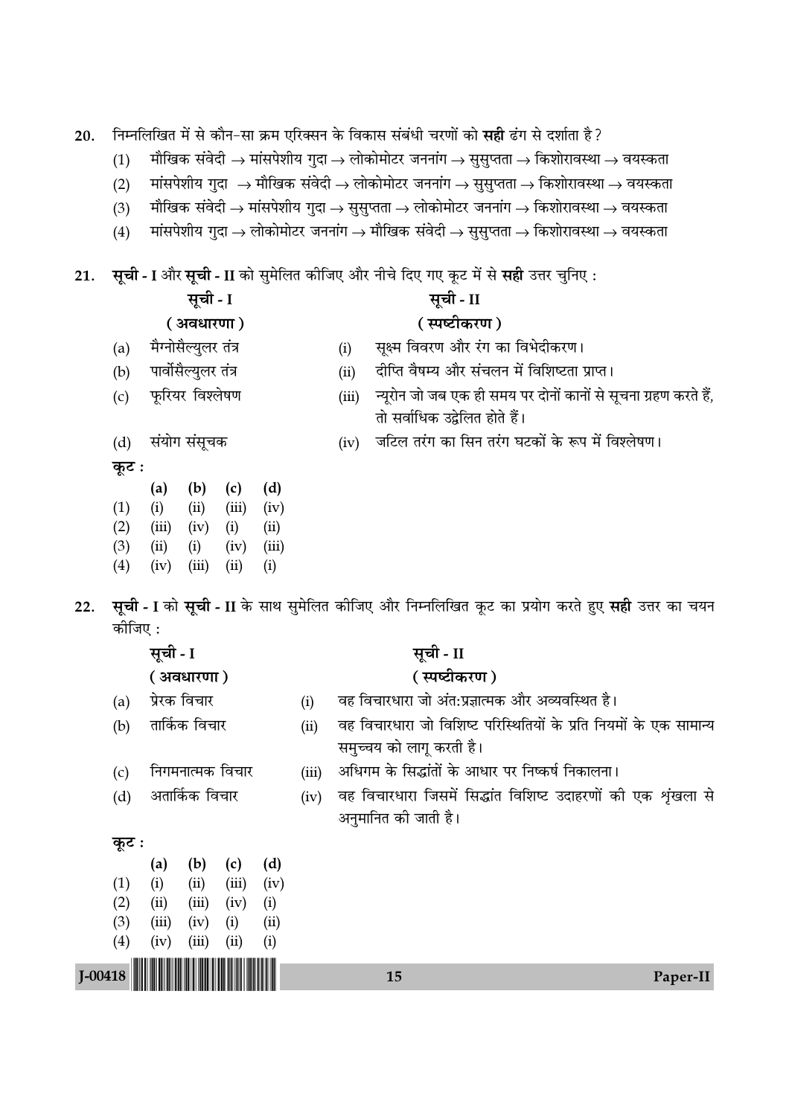निम्नलिखित में से कौन-सा क्रम एरिक्सन के विकास संबंधी चरणों को सही ढंग से दर्शाता है? 20.

- मौखिक संवेदी  $\rightarrow$  मांसपेशीय गुदा  $\rightarrow$  लोकोमोटर जननांग  $\rightarrow$  सुसुप्तता  $\rightarrow$  किशोरावस्था  $\rightarrow$  वयस्कता  $(1)$
- मांसपेशीय गुदा  $\rightarrow$  मौखिक संवेदी  $\rightarrow$  लोकोमोटर जननांग  $\rightarrow$  सुसुप्तता  $\rightarrow$  किशोरावस्था  $\rightarrow$  वयस्कता  $(2)$
- मौखिक संवेदी  $\rightarrow$  मांसपेशीय गुदा  $\rightarrow$  सुसुप्तता  $\rightarrow$  लोकोमोटर जननांग  $\rightarrow$  किशोरावस्था  $\rightarrow$  वयस्कता  $(3)$
- मांसपेशीय गुदा  $\rightarrow$  लोकोमोटर जननांग  $\rightarrow$  मौखिक संवेदी  $\rightarrow$  सुसुप्तता  $\rightarrow$  किशोरावस्था  $\rightarrow$  वयस्कता  $(4)$

सूची - I और सूची - II को सुमेलित कीजिए और नीचे दिए गए कूट में से सही उत्तर चुनिए : 21.

|       | सूची - I             |       | सूची - II                                                                                         |
|-------|----------------------|-------|---------------------------------------------------------------------------------------------------|
|       | ( अवधारणा)           |       | ( स्पष्टीकरण )                                                                                    |
| (a)   | मैग्नोसैल्युलर तंत्र | (i)   | सूक्ष्म विवरण और रंग का विभेदीकरण।                                                                |
| (b)   | पार्वोसैल्युलर तंत्र | (ii)  | दीप्ति वैषम्य और संचलन में विशिष्टता प्राप्त।                                                     |
| (c)   | फूरियर विश्लेषण      | (iii) | न्यूरोन जो जब एक ही समय पर दोनों कानों से सूचना ग्रहण करते हैं,<br>तो सर्वाधिक उद्वेलित होते हैं। |
| (d)   | संयोग संसूचक         | (iv)  | जटिल तरंग का सिन तरंग घटकों के रूप में विश्लेषण।                                                  |
| कूट : | (b)<br>(c)<br>(a)    |       |                                                                                                   |

 $(1)$ 

 $(2)$ 

 $(3)$ 

 $(4)$ 

 $(i)$ 

 $(ii)$ 

 $(iv)$ 

 $(ii)$ 

 $(i)$ 

 $(iii)$ 

 $(iii)$   $(iv)$ 

 $(iii)$   $(iv)$ 

 $(i)$ 

 $(iv)$ 

 $(ii)$ 

 $(ii)$ 

 $(iii)$ 

 $(i)$ 

सूची - I को सूची - II के साथ सुमेलित कीजिए और निम्नलिखित कूट का प्रयोग करते हुए सही उत्तर का चयन  $22.$ कोजिए :

|             |                   | सूची - I |                  |       |      |       | सूची - II                                                          |          |
|-------------|-------------------|----------|------------------|-------|------|-------|--------------------------------------------------------------------|----------|
|             |                   |          | ( अवधारणा)       |       |      |       | (स्पष्टीकरण)                                                       |          |
|             | (a)               |          | प्रेरक विचार     |       |      | (i)   | वह विचारधारा जो अंत:प्रज्ञात्मक और अव्यवस्थित है।                  |          |
|             | (b)               |          | तार्किक विचार    |       |      | (ii)  | वह विचारधारा जो विशिष्ट परिस्थितियों के प्रति नियमों के एक सामान्य |          |
|             |                   |          |                  |       |      |       | समुच्चय को लागू करती है।                                           |          |
|             | (c)               |          | निगमनात्मक विचार |       |      | (iii) | अधिगम के सिद्धांतों के आधार पर निष्कर्ष निकालना।                   |          |
|             | (d)               |          | अतार्किक विचार   |       |      | (iv)  | वह विचारधारा जिसमें सिद्धांत विशिष्ट उदाहरणों की एक शृंखला से      |          |
|             |                   |          |                  |       |      |       | अनुमानित की जाती है।                                               |          |
|             | कूट :             |          |                  |       |      |       |                                                                    |          |
|             |                   | (a)      | (b)              | (c)   | (d)  |       |                                                                    |          |
|             | (1)               | (i)      | (ii)             | (iii) | (iv) |       |                                                                    |          |
|             | (2)               | (ii)     | (iii)            | (iv)  | (i)  |       |                                                                    |          |
|             | (3)               | (iii)    | (iv)             | (i)   | (ii) |       |                                                                    |          |
|             | $\left( 4\right)$ | (iv)     | (iii)            | (ii)  | (i)  |       |                                                                    |          |
|             |                   |          |                  |       |      |       |                                                                    |          |
| $J - 00418$ |                   |          |                  |       |      |       | 15                                                                 | Paper-II |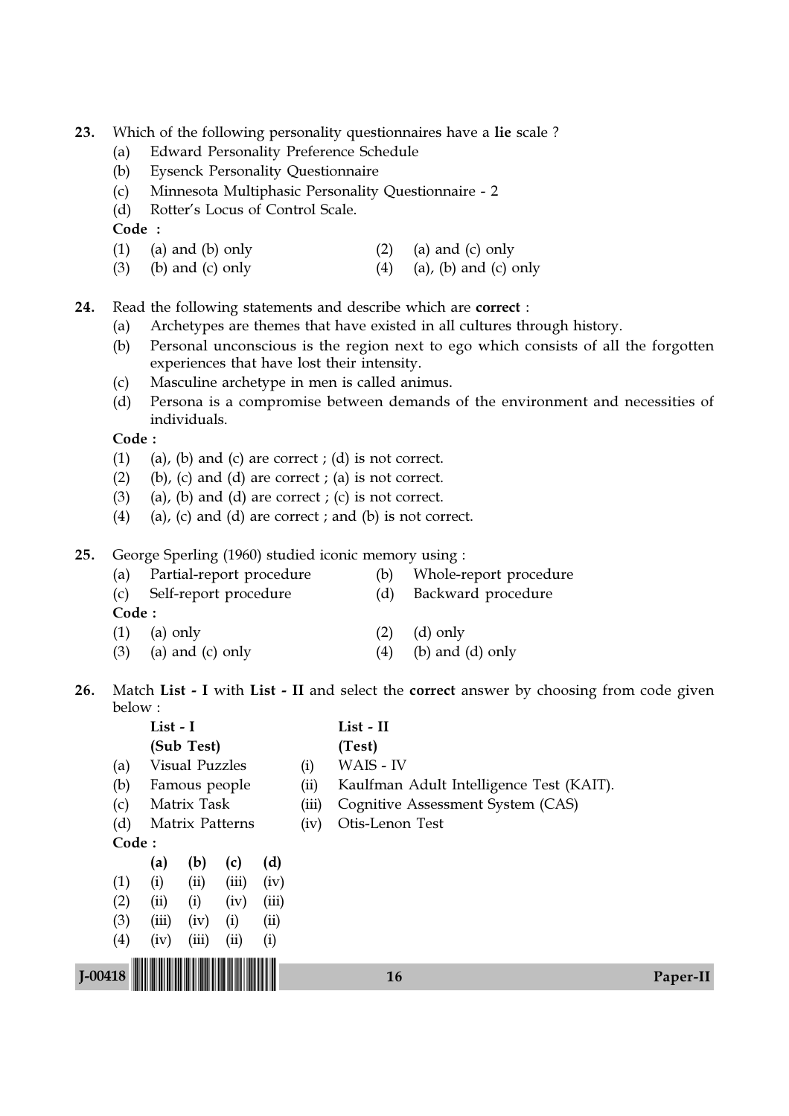23. Which of the following personality questionnaires have a lie scale ?

- (a) Edward Personality Preference Schedule
- (b) Eysenck Personality Questionnaire
- (c) Minnesota Multiphasic Personality Questionnaire 2
- (d) Rotter's Locus of Control Scale.

Code :

- (1) (a) and (b) only  $(2)$  (a) and (c) only
- (3) (b) and (c) only  $(4)$  (a), (b) and (c) only

24. Read the following statements and describe which are correct :

- (a) Archetypes are themes that have existed in all cultures through history.
- (b) Personal unconscious is the region next to ego which consists of all the forgotten experiences that have lost their intensity.
- (c) Masculine archetype in men is called animus.
- (d) Persona is a compromise between demands of the environment and necessities of individuals.

Code :

- (1) (a), (b) and (c) are correct ; (d) is not correct.
- (2) (b), (c) and (d) are correct ; (a) is not correct.
- (3) (a), (b) and (d) are correct ; (c) is not correct.
- (4) (a), (c) and (d) are correct; and (b) is not correct.
- 25. George Sperling (1960) studied iconic memory using :

| (a) | Partial-report procedure  | (b) Whole-report procedure |
|-----|---------------------------|----------------------------|
|     | (c) Self-report procedure | (d) Backward procedure     |
|     |                           |                            |

- (1) (a) only (2) (d) only
- (3) (a) and (c) only  $(4)$  (b) and (d) only
- 26. Match List I with List II and select the correct answer by choosing from code given below :<br> $\ddot{\cdot}$

|           |                   | List - I |                       |                 |       |       | List - II                                |          |
|-----------|-------------------|----------|-----------------------|-----------------|-------|-------|------------------------------------------|----------|
|           |                   |          | (Sub Test)            |                 |       |       | (Test)                                   |          |
|           | (a)               |          | <b>Visual Puzzles</b> |                 |       | (i)   | WAIS - IV                                |          |
|           | (b)               |          | Famous people         |                 |       | (ii)  | Kaulfman Adult Intelligence Test (KAIT). |          |
|           | (c)               |          | Matrix Task           |                 |       | (iii) | Cognitive Assessment System (CAS)        |          |
|           | (d)               |          |                       | Matrix Patterns |       | (iv)  | Otis-Lenon Test                          |          |
|           |                   | Code:    |                       |                 |       |       |                                          |          |
|           |                   | (a)      | (b)                   | (c)             | (d)   |       |                                          |          |
|           | (1)               | (i)      | (ii)                  | (iii)           | (iv)  |       |                                          |          |
|           | (2)               | (ii)     | (i)                   | (iv)            | (iii) |       |                                          |          |
|           | (3)               | (iii)    | (iv)                  | (i)             | (ii)  |       |                                          |          |
|           | $\left( 4\right)$ | (iv)     | (iii)                 | (ii)            | (i)   |       |                                          |          |
|           |                   |          |                       |                 |       |       |                                          |          |
| $1-00418$ |                   |          |                       |                 |       |       | 16                                       | Paper-II |
|           |                   |          |                       |                 |       |       |                                          |          |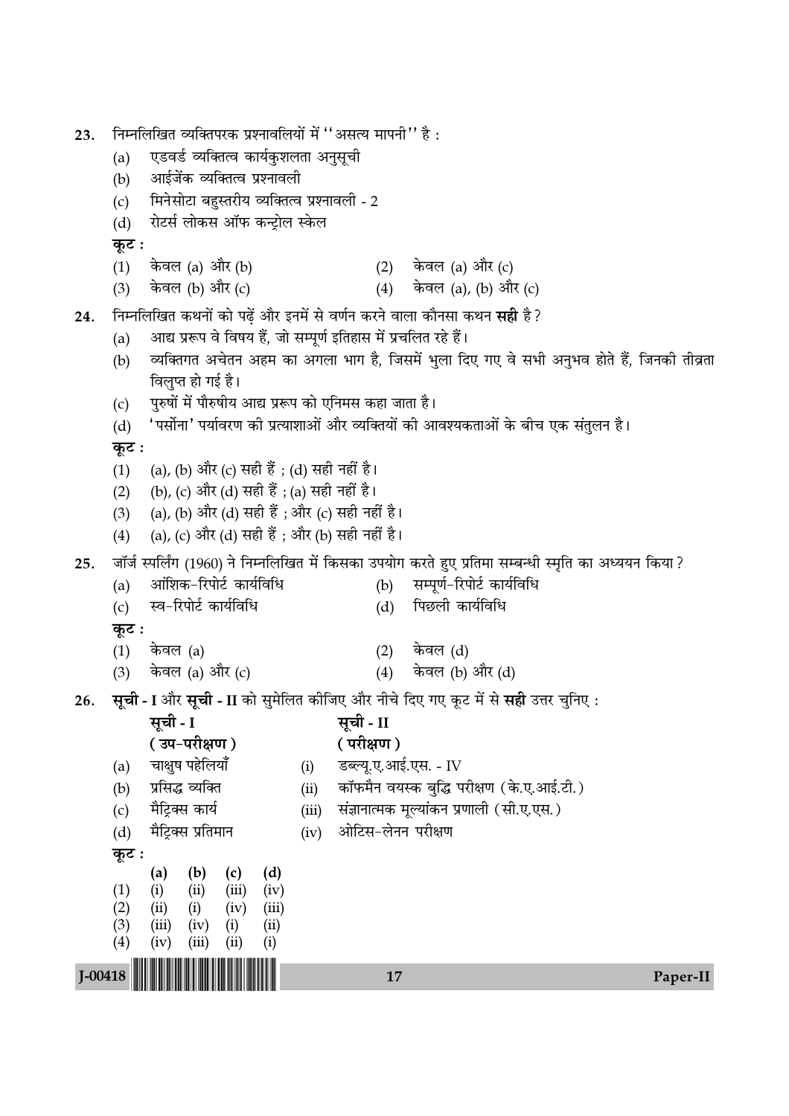| 23.         | निम्नलिखित व्यक्तिपरक प्रश्नावलियों में ''असत्य मापनी'' है :<br>एडवर्ड व्यक्तित्व कार्यकुशलता अनुसूची<br>(a)<br>आईजेंक व्यक्तित्व प्रश्नावली<br>(b)<br>मिनेसोटा बहुस्तरीय व्यक्तित्व प्रश्नावली - 2<br>(c)<br>रोटर्स लोकस ऑफ कन्ट्रोल स्केल<br>(d)<br>कूट : |                                                       |             |               |       |                                                                                                |                     |                                                                                    |                                                                                                        |          |  |
|-------------|-------------------------------------------------------------------------------------------------------------------------------------------------------------------------------------------------------------------------------------------------------------|-------------------------------------------------------|-------------|---------------|-------|------------------------------------------------------------------------------------------------|---------------------|------------------------------------------------------------------------------------|--------------------------------------------------------------------------------------------------------|----------|--|
|             | (1)                                                                                                                                                                                                                                                         | केवल (a) और (b)                                       |             |               |       |                                                                                                |                     |                                                                                    |                                                                                                        |          |  |
|             | (3)                                                                                                                                                                                                                                                         | केवल (b) और (c)                                       |             |               |       |                                                                                                | (2) केवल (a) और (c) | (4) केवल (a), (b) और (c)                                                           |                                                                                                        |          |  |
| 24.         |                                                                                                                                                                                                                                                             |                                                       |             |               |       |                                                                                                |                     | निम्नलिखित कथनों को पढ़ें और इनमें से वर्णन करने वाला कौनसा कथन <b>सही</b> है ?    |                                                                                                        |          |  |
|             | (a)                                                                                                                                                                                                                                                         |                                                       |             |               |       |                                                                                                |                     |                                                                                    |                                                                                                        |          |  |
|             | आद्य प्ररूप वे विषय हैं, जो सम्पूर्ण इतिहास में प्रचलित रहे हैं।<br>व्यक्तिगत अचेतन अहम का अगला भाग है, जिसमें भुला दिए गए वे सभी अनुभव होते हैं, जिनकी तीव्रता<br>(b)                                                                                      |                                                       |             |               |       |                                                                                                |                     |                                                                                    |                                                                                                        |          |  |
|             |                                                                                                                                                                                                                                                             | विलुप्त हो गई है।                                     |             |               |       |                                                                                                |                     |                                                                                    |                                                                                                        |          |  |
|             | (c)                                                                                                                                                                                                                                                         | पुरुषों में पौरुषीय आद्य प्ररूप को एनिमस कहा जाता है। |             |               |       |                                                                                                |                     |                                                                                    |                                                                                                        |          |  |
|             | (d)                                                                                                                                                                                                                                                         |                                                       |             |               |       |                                                                                                |                     |                                                                                    | 'पर्सोना' पर्यावरण की प्रत्याशाओं और व्यक्तियों की आवश्यकताओं के बीच एक संतुलन है।                     |          |  |
|             | कूट :                                                                                                                                                                                                                                                       |                                                       |             |               |       |                                                                                                |                     |                                                                                    |                                                                                                        |          |  |
|             | (1)                                                                                                                                                                                                                                                         | (a), (b) और (c) सही हैं ; (d) सही नहीं है।            |             |               |       |                                                                                                |                     |                                                                                    |                                                                                                        |          |  |
|             | (2)                                                                                                                                                                                                                                                         | (b), (c) और (d) सही हैं ; (a) सही नहीं है।            |             |               |       |                                                                                                |                     |                                                                                    |                                                                                                        |          |  |
|             | (3)<br>(4)                                                                                                                                                                                                                                                  |                                                       |             |               |       | (a), (b) और (d) सही हैं ; और (c) सही नहीं है।<br>(a), (c) और (d) सही हैं ; और (b) सही नहीं है। |                     |                                                                                    |                                                                                                        |          |  |
|             |                                                                                                                                                                                                                                                             |                                                       |             |               |       |                                                                                                |                     |                                                                                    |                                                                                                        |          |  |
| 25.         |                                                                                                                                                                                                                                                             | आंशिक-रिपोर्ट कार्यविधि                               |             |               |       | (b)                                                                                            |                     | सम्पूर्ण-रिपोर्ट कार्यविधि                                                         | जॉर्ज स्पर्लिंग (1960) ने निम्नलिखित में किसका उपयोग करते हुए प्रतिमा सम्बन्धी स्मृति का अध्ययन किया ? |          |  |
|             | (a)<br>(c)                                                                                                                                                                                                                                                  | स्व-रिपोर्ट कार्यविधि                                 |             |               |       | (d)                                                                                            | पिछली कार्यविधि     |                                                                                    |                                                                                                        |          |  |
|             | कूट ः                                                                                                                                                                                                                                                       |                                                       |             |               |       |                                                                                                |                     |                                                                                    |                                                                                                        |          |  |
|             | (1)                                                                                                                                                                                                                                                         | केवल (a)                                              |             |               |       | (2)                                                                                            | केवल (d)            |                                                                                    |                                                                                                        |          |  |
|             | (3)                                                                                                                                                                                                                                                         | केवल (a) और (c)                                       |             |               |       | (4)                                                                                            | केवल (b) और (d)     |                                                                                    |                                                                                                        |          |  |
| 26.         |                                                                                                                                                                                                                                                             |                                                       |             |               |       |                                                                                                |                     | सूची - I और सूची - II को सुमेलित कीजिए और नीचे दिए गए कूट में से सही उत्तर चुनिए : |                                                                                                        |          |  |
|             |                                                                                                                                                                                                                                                             | सूची - I                                              |             |               |       | सूची - II                                                                                      |                     |                                                                                    |                                                                                                        |          |  |
|             |                                                                                                                                                                                                                                                             | (उप-परीक्षण)                                          |             |               |       | (परीक्षण)                                                                                      |                     |                                                                                    |                                                                                                        |          |  |
|             | (a)                                                                                                                                                                                                                                                         | चाक्षुष पहेलियाँ                                      |             |               | (i)   | डब्ल्यू.ए.आई.एस. - IV                                                                          |                     |                                                                                    |                                                                                                        |          |  |
|             | (b)                                                                                                                                                                                                                                                         | प्रसिद्ध व्यक्ति                                      |             |               | (ii)  |                                                                                                |                     | कॉफमैन वयस्क बुद्धि परीक्षण (के.ए.आई.टी.)                                          |                                                                                                        |          |  |
|             | (c)                                                                                                                                                                                                                                                         | मैट्रिक्स कार्य                                       |             |               | (iii) |                                                                                                |                     | संज्ञानात्मक मूल्यांकन प्रणाली (सी.ए.एस.)                                          |                                                                                                        |          |  |
|             | (d)                                                                                                                                                                                                                                                         | मैट्रिक्स प्रतिमान                                    |             |               | (iv)  | ओटिस-लेनन परीक्षण                                                                              |                     |                                                                                    |                                                                                                        |          |  |
|             | कूट :                                                                                                                                                                                                                                                       | (b)<br>(a)                                            | (c)         | (d)           |       |                                                                                                |                     |                                                                                    |                                                                                                        |          |  |
|             | (1)                                                                                                                                                                                                                                                         | (i)<br>(ii)                                           | (iii)       | (iv)          |       |                                                                                                |                     |                                                                                    |                                                                                                        |          |  |
|             | (2)<br>(3)                                                                                                                                                                                                                                                  | (ii)<br>(i)<br>(iii)<br>(iv)                          | (iv)<br>(i) | (iii)<br>(ii) |       |                                                                                                |                     |                                                                                    |                                                                                                        |          |  |
|             | (4)                                                                                                                                                                                                                                                         | (iv)<br>(iii)                                         | (ii)        | (i)           |       |                                                                                                |                     |                                                                                    |                                                                                                        |          |  |
| $J - 00418$ |                                                                                                                                                                                                                                                             |                                                       |             |               |       | 17                                                                                             |                     |                                                                                    |                                                                                                        |          |  |
|             |                                                                                                                                                                                                                                                             |                                                       |             |               |       |                                                                                                |                     |                                                                                    |                                                                                                        | Paper-II |  |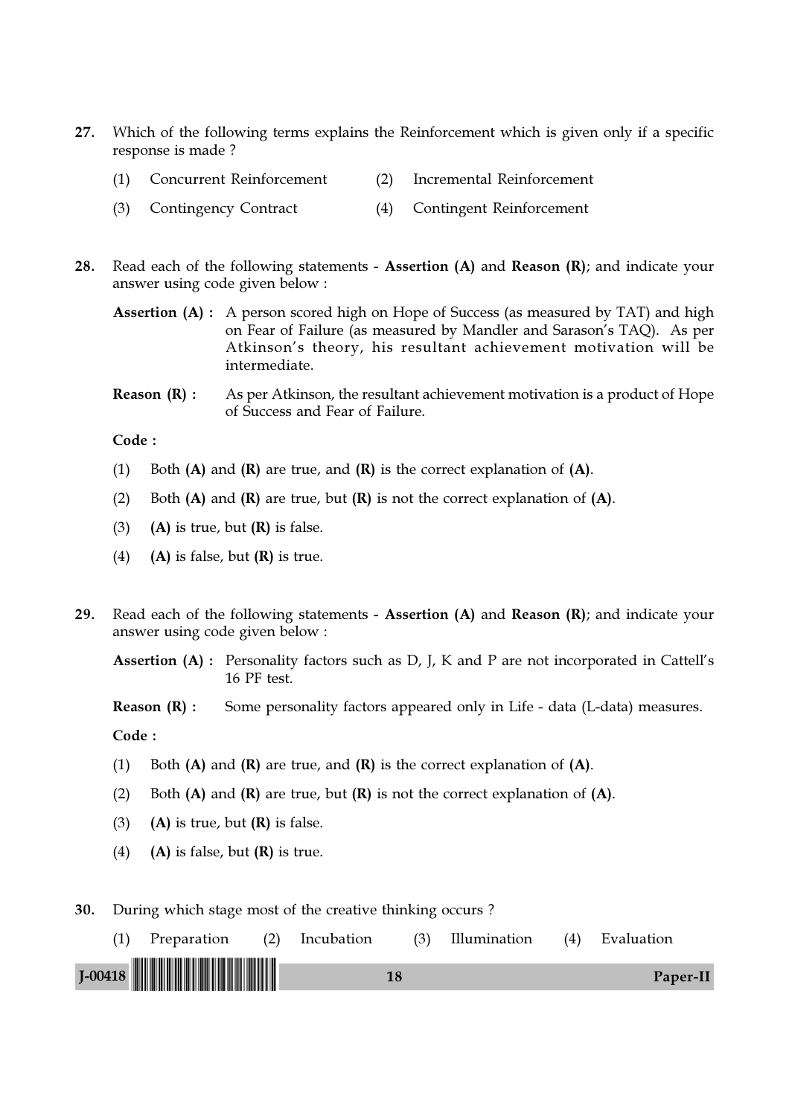- 27. Which of the following terms explains the Reinforcement which is given only if a specific response is made ?
	- (1) Concurrent Reinforcement (2) Incremental Reinforcement
	- (3) Contingency Contract (4) Contingent Reinforcement
- 28. Read each of the following statements Assertion  $(A)$  and Reason  $(R)$ ; and indicate your answer using code given below :
	- Assertion (A): A person scored high on Hope of Success (as measured by TAT) and high on Fear of Failure (as measured by Mandler and Sarason's TAQ). As per Atkinson's theory, his resultant achievement motivation will be intermediate.
	- **Reason**  $(R)$ **:** As per Atkinson, the resultant achievement motivation is a product of Hope of Success and Fear of Failure.

Code :

- (1) Both  $(A)$  and  $(R)$  are true, and  $(R)$  is the correct explanation of  $(A)$ .
- (2) Both  $(A)$  and  $(R)$  are true, but  $(R)$  is not the correct explanation of  $(A)$ .
- (3) (A) is true, but  $(R)$  is false.
- (4) (A) is false, but  $(R)$  is true.
- 29. Read each of the following statements Assertion  $(A)$  and Reason  $(R)$ ; and indicate your answer using code given below :

Assertion (A) : Personality factors such as D, J, K and P are not incorporated in Cattell's 16 PF test.

**Reason (R) :** Some personality factors appeared only in Life - data (L-data) measures.

Code :

- (1) Both  $(A)$  and  $(R)$  are true, and  $(R)$  is the correct explanation of  $(A)$ .
- (2) Both  $(A)$  and  $(R)$  are true, but  $(R)$  is not the correct explanation of  $(A)$ .
- (3) (A) is true, but  $(R)$  is false.
- (4) (A) is false, but  $(R)$  is true.

30. During which stage most of the creative thinking occurs ?

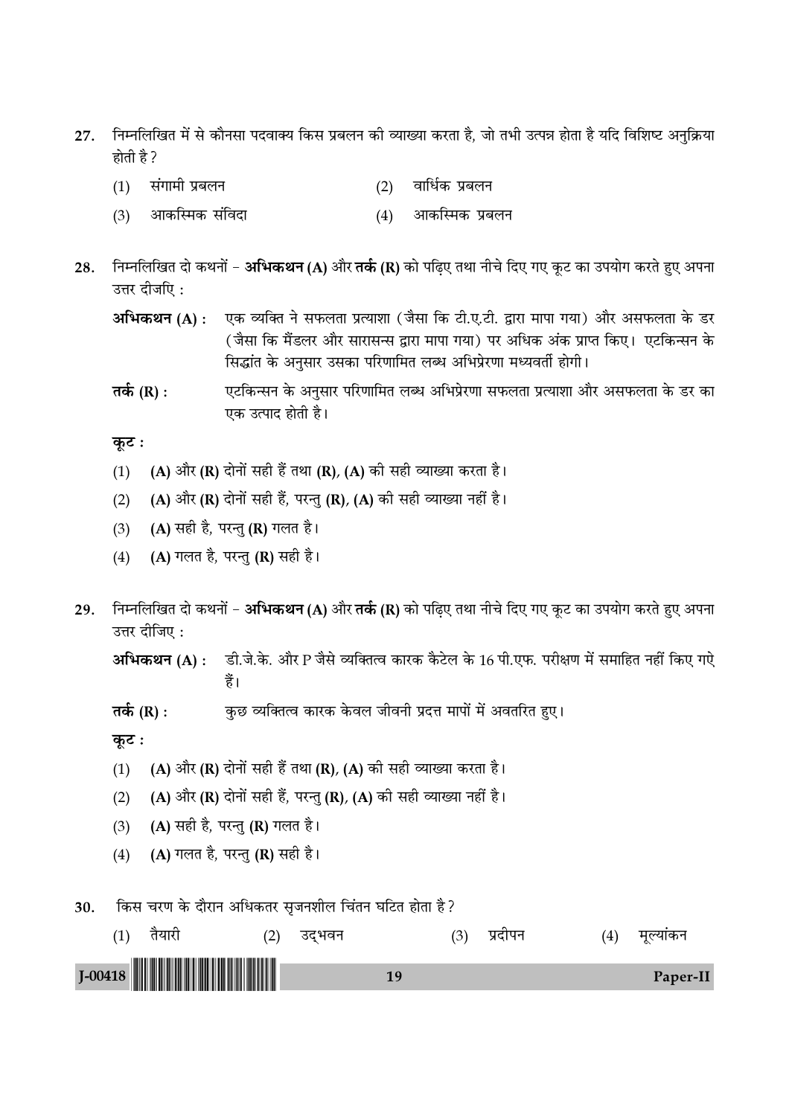- निम्नलिखित में से कौनसा पदवाक्य किस प्रबलन की व्याख्या करता है, जो तभी उत्पन्न होता है यदि विशिष्ट अनुक्रिया 27. होती है ?
	- संगामी प्रबलन वार्धिक प्रबलन  $(1)$  $(2)$
	- आकस्मिक संविदा आकस्मिक प्रबलन  $(3)$  $(4)$
- निम्नलिखित दो कथनों **अभिकथन (A)** और **तर्क (R)** को पढ़िए तथा नीचे दिए गए कूट का उपयोग करते हुए अपना 28. उत्तर दीजपि:
	- एक व्यक्ति ने सफलता प्रत्याशा (जैसा कि टी.ए.टी. द्वारा मापा गया) और असफलता के डर अभिकथन (A) : (जैसा कि मैंडलर और सारासन्स द्वारा मापा गया) पर अधिक अंक प्राप्त किए। एटकिन्सन के सिद्धांत के अनुसार उसका परिणामित लब्ध अभिप्रेरणा मध्यवर्ती होगी।
	- एटकिन्सन के अनुसार परिणामित लब्ध अभिप्रेरणा सफलता प्रत्याशा और असफलता के डर का तर्क (R) : एक उत्पाद होती है।

कूट :

- (A) और (R) दोनों सही हैं तथा (R), (A) की सही व्याख्या करता है।  $(1)$
- (A) और (R) दोनों सही हैं, परन्तु (R), (A) की सही व्याख्या नहीं है।  $(2)$
- (A) सही है, परन्तु (R) गलत है।  $(3)$
- $(4)$ (A) गलत है, परन्तु (R) सही है।
- निम्नलिखित दो कथनों **अभिकथन (A)** और **तर्क (R)** को पढ़िए तथा नीचे दिए गए कूट का उपयोग करते हुए अपना 29. उत्तर दीजिए:

अभिकथन (A) : डी.जे.के. और P जैसे व्यक्तित्व कारक कैटेल के 16 पी.एफ. परीक्षण में समाहित नहीं किए गऐ हैं।

तर्क  $(R)$  : कुछ व्यक्तित्व कारक केवल जीवनी प्रदत्त मापों में अवतरित हुए।

कूट :

- (A) और (R) दोनों सही हैं तथा (R), (A) की सही व्याख्या करता है।  $(1)$
- (A) और (R) दोनों सही हैं, परन्तु (R), (A) की सही व्याख्या नहीं है।  $(2)$
- (A) सही है, परन्तु (R) गलत है।  $(3)$
- (A) गलत है, परन्तु (R) सही है।  $(4)$

किस चरण के दौरान अधिकतर सुजनशील चिंतन घटित होता है? 30.

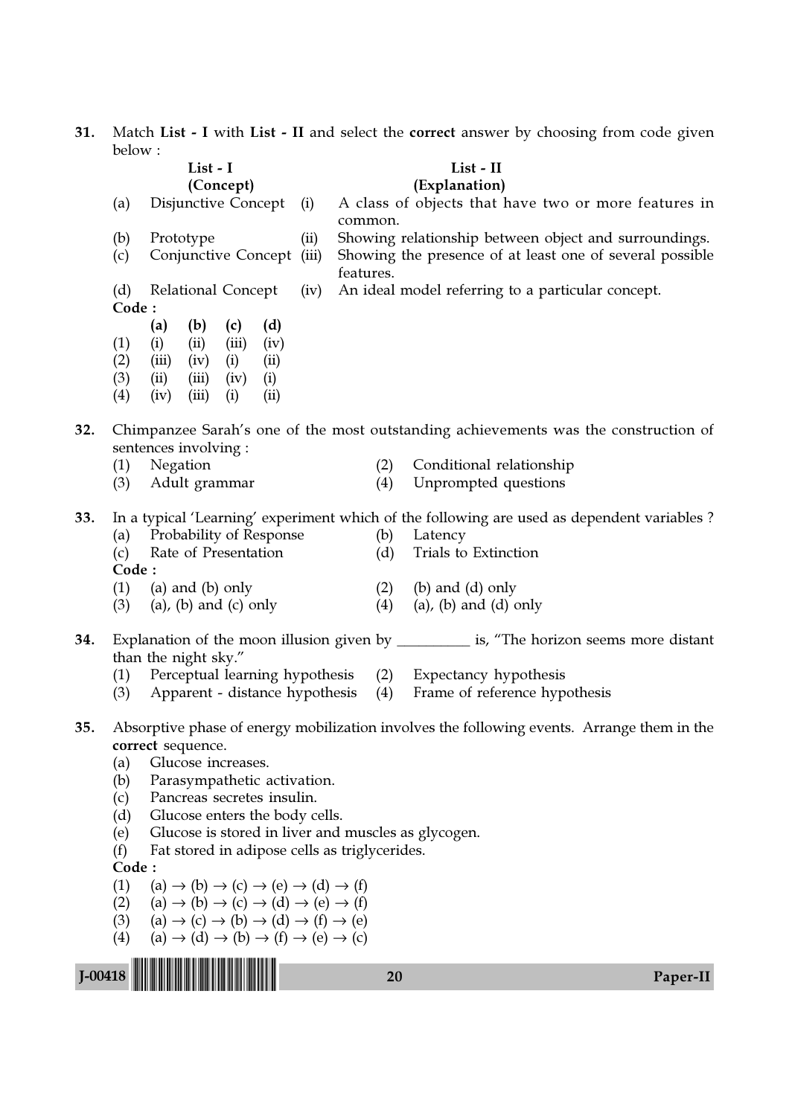**31.** Match List - I with List - II and select the correct answer by choosing from code given below :

|           | $\nu$ cluve.                                                                | List - I<br>(Concept)                                                                                                                                                                                                                                                                                                                                                                                                                                                                                                                                                                                              |                                                                                            |                                                   | List - II<br>(Explanation)                                                                                                                                                            |          |  |  |  |
|-----------|-----------------------------------------------------------------------------|--------------------------------------------------------------------------------------------------------------------------------------------------------------------------------------------------------------------------------------------------------------------------------------------------------------------------------------------------------------------------------------------------------------------------------------------------------------------------------------------------------------------------------------------------------------------------------------------------------------------|--------------------------------------------------------------------------------------------|---------------------------------------------------|---------------------------------------------------------------------------------------------------------------------------------------------------------------------------------------|----------|--|--|--|
|           | (a)                                                                         | Disjunctive Concept                                                                                                                                                                                                                                                                                                                                                                                                                                                                                                                                                                                                | (i)                                                                                        |                                                   | A class of objects that have two or more features in                                                                                                                                  |          |  |  |  |
|           | (b)<br>(c)                                                                  | Prototype<br>Conjunctive Concept                                                                                                                                                                                                                                                                                                                                                                                                                                                                                                                                                                                   | (ii)<br>(iii)                                                                              | common.<br>features.                              | Showing relationship between object and surroundings.<br>Showing the presence of at least one of several possible                                                                     |          |  |  |  |
|           | (d)<br>Code:                                                                | Relational Concept                                                                                                                                                                                                                                                                                                                                                                                                                                                                                                                                                                                                 | (iv)                                                                                       | An ideal model referring to a particular concept. |                                                                                                                                                                                       |          |  |  |  |
|           | (1)<br>(2)<br>(3)<br>(4)                                                    | (a)<br>(b)<br>(d)<br>(c)<br>(ii)<br>(iii)<br>(i)<br>(iv)<br>(iii)<br>(iv)<br>(i)<br>(ii)<br>(iv)<br>(ii)<br>(iii)<br>(i)<br>(iv)<br>(iii)<br>(i)<br>(ii)                                                                                                                                                                                                                                                                                                                                                                                                                                                           |                                                                                            |                                                   |                                                                                                                                                                                       |          |  |  |  |
| 32.       |                                                                             | sentences involving :                                                                                                                                                                                                                                                                                                                                                                                                                                                                                                                                                                                              |                                                                                            |                                                   | Chimpanzee Sarah's one of the most outstanding achievements was the construction of                                                                                                   |          |  |  |  |
|           | (1)<br>(3)                                                                  | Negation<br>Adult grammar                                                                                                                                                                                                                                                                                                                                                                                                                                                                                                                                                                                          |                                                                                            | (2)<br>(4)                                        | Conditional relationship<br>Unprompted questions                                                                                                                                      |          |  |  |  |
| 33.       | (a)<br>(c)<br>Code:<br>(1)<br>(3)                                           | Probability of Response<br>Rate of Presentation<br>(a) and (b) only<br>$(a)$ , $(b)$ and $(c)$ only                                                                                                                                                                                                                                                                                                                                                                                                                                                                                                                |                                                                                            | (b)<br>(d)<br>(2)<br>(4)                          | In a typical 'Learning' experiment which of the following are used as dependent variables?<br>Latency<br>Trials to Extinction<br>$(b)$ and $(d)$ only<br>$(a)$ , $(b)$ and $(d)$ only |          |  |  |  |
| 34.       |                                                                             | than the night sky."                                                                                                                                                                                                                                                                                                                                                                                                                                                                                                                                                                                               |                                                                                            |                                                   | Explanation of the moon illusion given by ____________ is, "The horizon seems more distant                                                                                            |          |  |  |  |
|           | (3)                                                                         | (1) Perceptual learning hypothesis<br>Apparent - distance hypothesis                                                                                                                                                                                                                                                                                                                                                                                                                                                                                                                                               |                                                                                            | (4)                                               | (2) Expectancy hypothesis<br>Frame of reference hypothesis                                                                                                                            |          |  |  |  |
| 35.       | (a)<br>(b)<br>(c)<br>(d)<br>(e)<br>(f)<br>Code:<br>(1)<br>(2)<br>(3)<br>(4) | correct sequence.<br>Glucose increases.<br>Parasympathetic activation.<br>Pancreas secretes insulin.<br>Glucose enters the body cells.<br>Glucose is stored in liver and muscles as glycogen.<br>Fat stored in adipose cells as triglycerides.<br>$(a) \rightarrow (b) \rightarrow (c) \rightarrow (e) \rightarrow (d) \rightarrow (f)$<br>$(a) \rightarrow (b) \rightarrow (c) \rightarrow (d) \rightarrow (e) \rightarrow (f)$<br>$(a) \rightarrow (c) \rightarrow (b) \rightarrow (d) \rightarrow (f) \rightarrow (e)$<br>$(a) \rightarrow (d) \rightarrow (b) \rightarrow (f) \rightarrow (e) \rightarrow (c)$ | Absorptive phase of energy mobilization involves the following events. Arrange them in the |                                                   |                                                                                                                                                                                       |          |  |  |  |
| $J-00418$ |                                                                             |                                                                                                                                                                                                                                                                                                                                                                                                                                                                                                                                                                                                                    |                                                                                            | 20                                                |                                                                                                                                                                                       | Paper-II |  |  |  |
|           |                                                                             |                                                                                                                                                                                                                                                                                                                                                                                                                                                                                                                                                                                                                    |                                                                                            |                                                   |                                                                                                                                                                                       |          |  |  |  |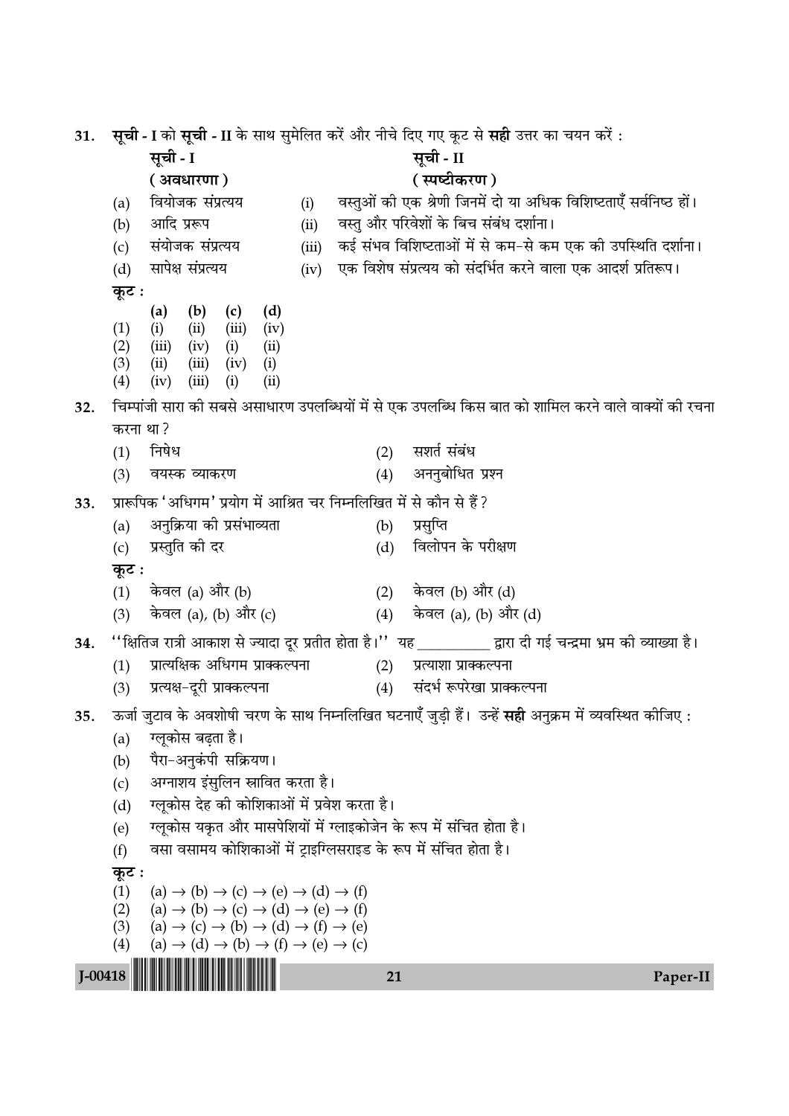सूची - I को सूची - II के साथ सुमेलित करें और नीचे दिए गए कूट से सही उत्तर का चयन करें : 31. सूची - I सची - II (अवधारणा) ( स्पष्टीकरण ) वियोजक संप्रत्यय वस्तुओं की एक श्रेणी जिनमें दो या अधिक विशिष्टताएँ सर्वनिष्ठ हों।  $(a)$  $(i)$  $(b)$ आदि प्ररूप  $(ii)$ वस्तु और परिवेशों के बिच संबंध दर्शाना। संयोजक संप्रत्यय कई संभव विशिष्टताओं में से कम-से कम एक की उपस्थिति दर्शाना।  $(iii)$  $(c)$ सापेक्ष संप्रत्यय एक विशेष संप्रत्यय को संदर्भित करने वाला एक आदर्श प्रतिरूप।  $(d)$  $(iv)$ कूट :  $(b)$  $(c)$  $(d)$  $(a)$  $(1)$  $(ii)$  $(iii)$  $(iv)$  $(i)$  $(2)$  $(iii)$   $(iv)$   $(i)$  $(ii)$  $(3)$  $(ii)$  $(iii)$  $(iv)$  $(i)$  $(4)$  $(iv)$   $(iii)$  $(i)$  $(ii)$ चिम्पांजी सारा की सबसे असाधारण उपलब्धियों में से एक उपलब्धि किस बात को शामिल करने वाले वाक्यों की रचना  $32.$ करना था? सशर्त संबंध निषेध  $(1)$  $(2)$ (4) अननुबोधित प्रश्न वयस्क व्याकरण  $(3)$ प्रारूपिक 'अधिगम' प्रयोग में आश्रित चर निम्नलिखित में से कौन से हैं ? 33 अनुक्रिया की प्रसंभाव्यता प्रसूप्ति  $(a)$  $(b)$ प्रस्तुति की दर विलोपन के परीक्षण  $(c)$  $(d)$ कूट :  $(1)$ केवल (a) और (b)  $(2)$ केवल (b) और (d) केवल (a), (b) और (c) (4) केवल (a), (b) और (d)  $(3)$ ''क्षितिज रात्री आकाश से ज्यादा दूर प्रतीत होता है।'' यह \_\_\_\_\_\_\_\_\_\_\_ द्वारा दी गई चन्द्रमा भ्रम की व्याख्या है। 34. प्रात्यक्षिक अधिगम प्राक्कल्पना  $(2)$  $(1)$ प्रत्याशा प्राक्कल्पना प्रत्यक्ष-दूरी प्राक्कल्पना संदर्भ रूपरेखा प्राक्कल्पना  $(3)$  $(4)$ ऊर्जा जुटाव के अवशोषी चरण के साथ निम्नलिखित घटनाएँ जुड़ी हैं। उन्हें **सही** अनुक्रम में व्यवस्थित कीजिए : 35. ग्लुकोस बढता है।  $(a)$  $(b)$ पैरा-अनुकंपी सक्रियण। अग्नाशय इंसुलिन स्नावित करता है।  $(c)$ ग्लकोस देह की कोशिकाओं में प्रवेश करता है।  $(d)$ ग्लुकोस यकृत और मासपेशियों में ग्लाइकोजेन के रूप में संचित होता है।  $(e)$ वसा वसामय कोशिकाओं में टाइग्लिसराइड के रूप में संचित होता है।  $(f)$ कूट :  $(1)$  $(a) \rightarrow (b) \rightarrow (c) \rightarrow (e) \rightarrow (d) \rightarrow (f)$  $(2)$  $(a) \rightarrow (b) \rightarrow (c) \rightarrow (d) \rightarrow (e) \rightarrow (f)$  $(a) \rightarrow (c) \rightarrow (b) \rightarrow (d) \rightarrow (f) \rightarrow (e)$  $(3)$  $(a) \rightarrow (d) \rightarrow (b) \rightarrow (f) \rightarrow (e) \rightarrow (c)$  $(4)$  $J - 00418$ 21 Paper-II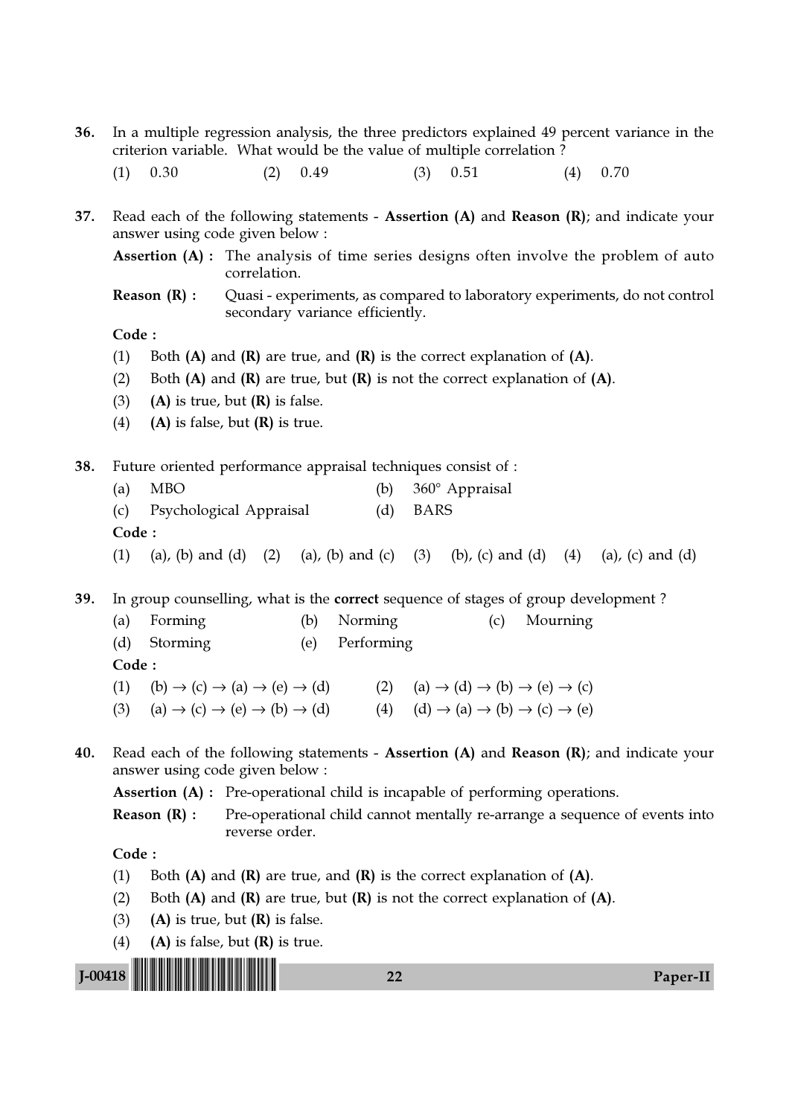- 36. In a multiple regression analysis, the three predictors explained 49 percent variance in the criterion variable. What would be the value of multiple correlation ?
	- (1)  $0.30$  (2)  $0.49$  (3)  $0.51$  (4)  $0.70$
- 37. Read each of the following statements Assertion (A) and Reason (R); and indicate your answer using code given below :
	- Assertion (A) : The analysis of time series designs often involve the problem of auto correlation.
	- **Reason (R) :** Quasi experiments, as compared to laboratory experiments, do not control secondary variance efficiently.

## Code :

- (1) Both  $(A)$  and  $(R)$  are true, and  $(R)$  is the correct explanation of  $(A)$ .
- (2) Both  $(A)$  and  $(R)$  are true, but  $(R)$  is not the correct explanation of  $(A)$ .
- (3) (A) is true, but  $(R)$  is false.
- (4) (A) is false, but  $(R)$  is true.

38. Future oriented performance appraisal techniques consist of :

- (a) MBO (b)  $360^\circ$  Appraisal (c) Psychological Appraisal (d) BARS Code :
- (1) (a), (b) and (d) (2) (a), (b) and (c) (3) (b), (c) and (d) (4) (a), (c) and (d)

39. In group counselling, what is the correct sequence of stages of group development ?

- (a) Forming (b) Norming (c) Mourning (d) Storming (e) Performing Code : (1) (b)  $\rightarrow$  (c)  $\rightarrow$  (a)  $\rightarrow$  (e)  $\rightarrow$  (d) (2) (a)  $\rightarrow$  (d)  $\rightarrow$  (b)  $\rightarrow$  (e)  $\rightarrow$  (c)
- (3) (a)  $\rightarrow$  (c)  $\rightarrow$  (e)  $\rightarrow$  (b)  $\rightarrow$  (d) (4) (d)  $\rightarrow$  (a)  $\rightarrow$  (b)  $\rightarrow$  (c)  $\rightarrow$  (e)
- 40. Read each of the following statements Assertion (A) and Reason (R); and indicate your answer using code given below :

Assertion (A) : Pre-operational child is incapable of performing operations.

**Reason (R) :** Pre-operational child cannot mentally re-arrange a sequence of events into reverse order.

- (1) Both  $(A)$  and  $(R)$  are true, and  $(R)$  is the correct explanation of  $(A)$ .
- (2) Both  $(A)$  and  $(R)$  are true, but  $(R)$  is not the correct explanation of  $(A)$ .
- (3) (A) is true, but  $(R)$  is false.
- (4) (A) is false, but  $(R)$  is true.

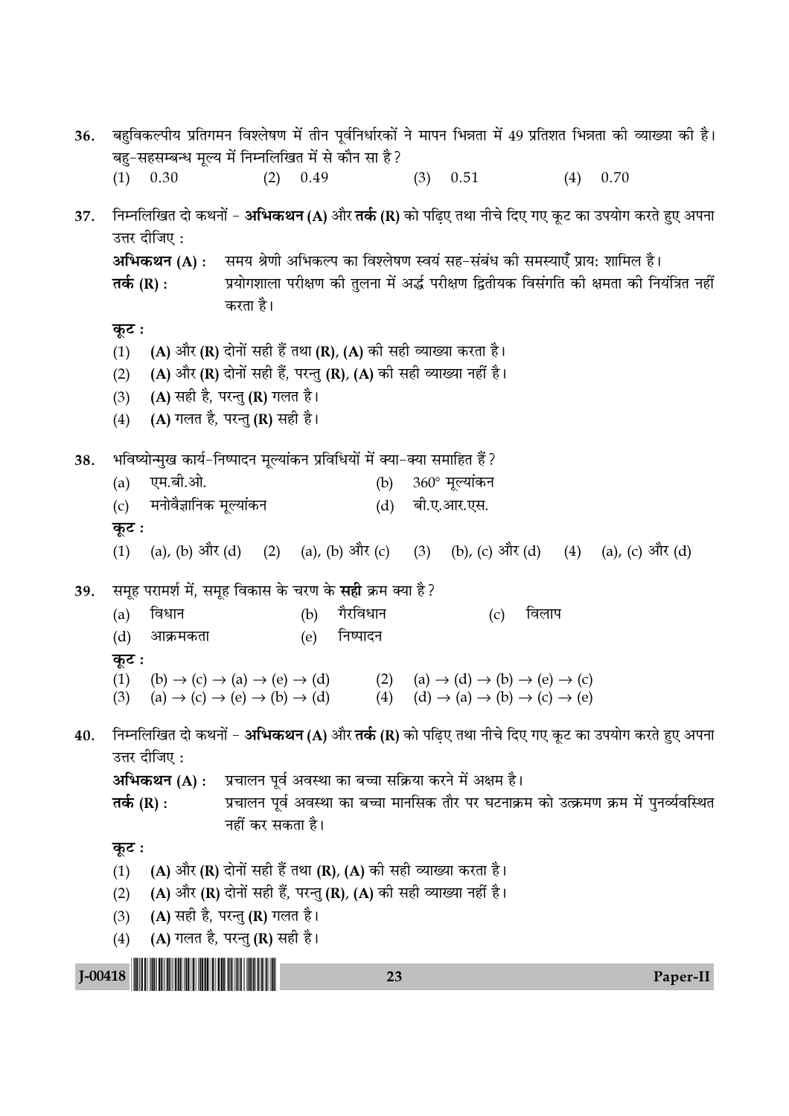बहुविकल्पीय प्रतिगमन विश्लेषण में तीन पूर्वनिर्धारकों ने मापन भिन्नता में 49 प्रतिशत भिन्नता की व्याख्या की है। 36. बह-सहसम्बन्ध मृल्य में निम्नलिखित में से कौन सा है?  $(4)$  0.70  $(3)$  0.51  $(1)$  0.30  $(2)$ 0.49 निम्नलिखित दो कथनों – **अभिकथन (A)** और **तर्क (R)** को पढिए तथा नीचे दिए गए कुट का उपयोग करते हुए अपना 37. उत्तर दीजिए: अभिकथन (A): समय श्रेणी अभिकल्प का विश्लेषण स्वयं सह-संबंध की समस्याएँ प्राय: शामिल है। तर्क (R) : प्रयोगशाला परीक्षण की तलना में अर्द्ध परीक्षण द्वितीयक विसंगति की क्षमता की नियंत्रित नहीं करता है। कुट: (A) और (R) दोनों सही हैं तथा (R), (A) की सही व्याख्या करता है।  $(1)$ (A) और (R) दोनों सही हैं, परन्तु (R), (A) की सही व्याख्या नहीं है।  $(2)$ (A) सही है, परन्तु (R) गलत है।  $(3)$ (A) गलत है, परन्तु (R) सही है।  $(4)$ भविष्योन्मुख कार्य-निष्पादन मुल्यांकन प्रविधियों में क्या-क्या समाहित हैं ? 38. एम.बी.ओ. 360° मूल्यांकन  $(b)$  $(a)$ मनोवैज्ञानिक मुल्यांकन बी.ए.आर.एस.  $(c)$  $(d)$ कूट : (2) (a), (b) और (c) (a), (b) और (d) (b), (c) और (d) (4) (a), (c) और (d)  $(1)$  $(3)$ समूह परामर्श में, समूह विकास के चरण के **सही** क्रम क्या है? 39. गैरविधान विधान विलाप  $(a)$  $(b)$  $(c)$  $(d)$ आक्रमकता निष्पादन  $(e)$ कुट:  $(1)$  $(b) \rightarrow (c) \rightarrow (a) \rightarrow (e) \rightarrow (d)$  $(2)$  $(a) \rightarrow (d) \rightarrow (b) \rightarrow (e) \rightarrow (c)$ (4)  $(d) \rightarrow (a) \rightarrow (b) \rightarrow (c) \rightarrow (e)$  $(a) \rightarrow (c) \rightarrow (e) \rightarrow (b) \rightarrow (d)$  $(3)$ निम्नलिखित दो कथनों – **अभिकथन (A)** और **तर्क (R)** को पढिए तथा नीचे दिए गए कट का उपयोग करते हुए अपना  $40.$ उत्तर दीजिए : अभिकथन (A) : प्रचालन पूर्व अवस्था का बच्चा सक्रिया करने में अक्षम है। प्रचालन पूर्व अवस्था का बच्चा मानसिक तौर पर घटनाक्रम को उत्क्रमण क्रम में पुनर्व्यवस्थित तर्क  $(R)$  : नहीं कर सकता है। कूट : (A) और (R) दोनों सही हैं तथा (R), (A) की सही व्याख्या करता है।  $(1)$ (A) और (R) दोनों सही हैं, परन्तु (R), (A) की सही व्याख्या नहीं है।  $(2)$ (A) सही है, परन्तु (R) गलत है।  $(3)$ (A) गलत है, परन्तु (R) सही है।  $(4)$  $I-00418$ 23 Paper-II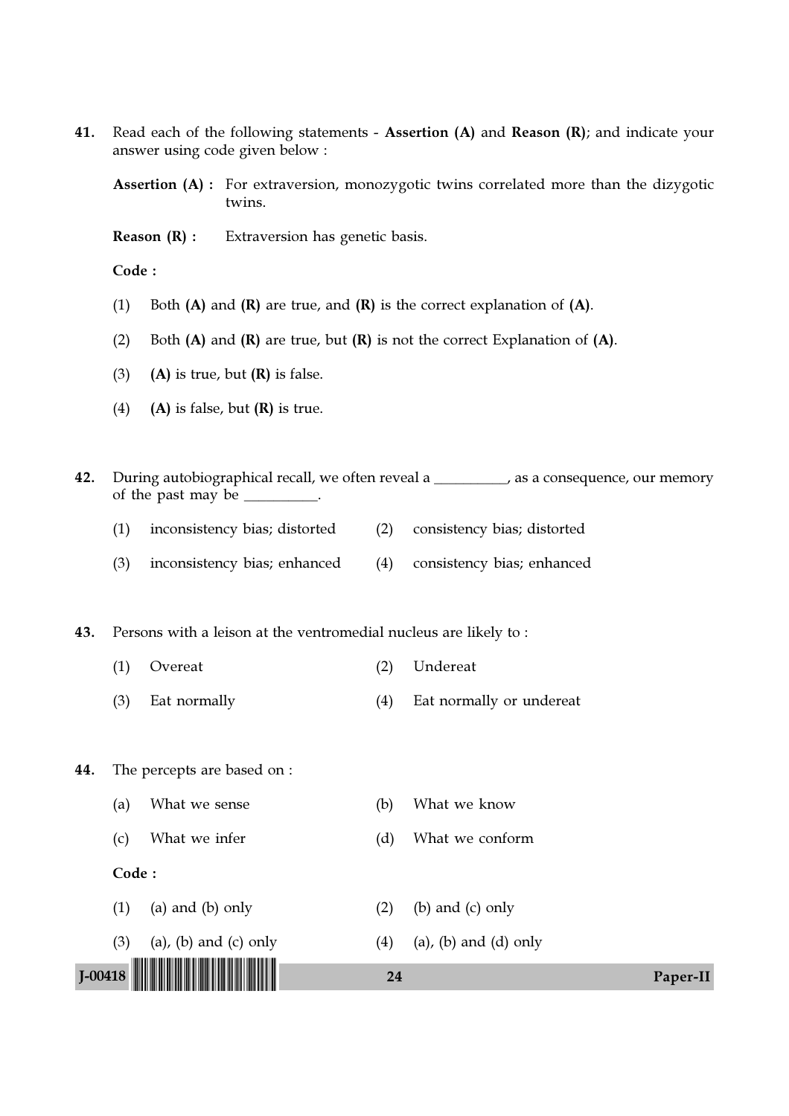41. Read each of the following statements - Assertion (A) and Reason (R); and indicate your answer using code given below :

Assertion (A) : For extraversion, monozygotic twins correlated more than the dizygotic twins.

Reason (R) : Extraversion has genetic basis.

Code :

- (1) Both  $(A)$  and  $(R)$  are true, and  $(R)$  is the correct explanation of  $(A)$ .
- (2) Both  $(A)$  and  $(R)$  are true, but  $(R)$  is not the correct Explanation of  $(A)$ .
- (3) (A) is true, but  $(R)$  is false.
- (4) (A) is false, but  $(R)$  is true.

J-00418 !J-00418-PAPER-II! <sup>24</sup> Paper-II 42. During autobiographical recall, we often reveal a \_\_\_\_\_\_\_\_\_, as a consequence, our memory of the past may be  $\equiv$ (1) inconsistency bias; distorted (2) consistency bias; distorted (3) inconsistency bias; enhanced (4) consistency bias; enhanced 43. Persons with a leison at the ventromedial nucleus are likely to : (1) Overeat (2) Undereat (3) Eat normally (4) Eat normally or undereat 44. The percepts are based on : (a) What we sense (b) What we know (c) What we infer (d) What we conform Code : (1) (a) and (b) only  $(2)$  (b) and (c) only (3) (a), (b) and (c) only  $(4)$  (a), (b) and (d) only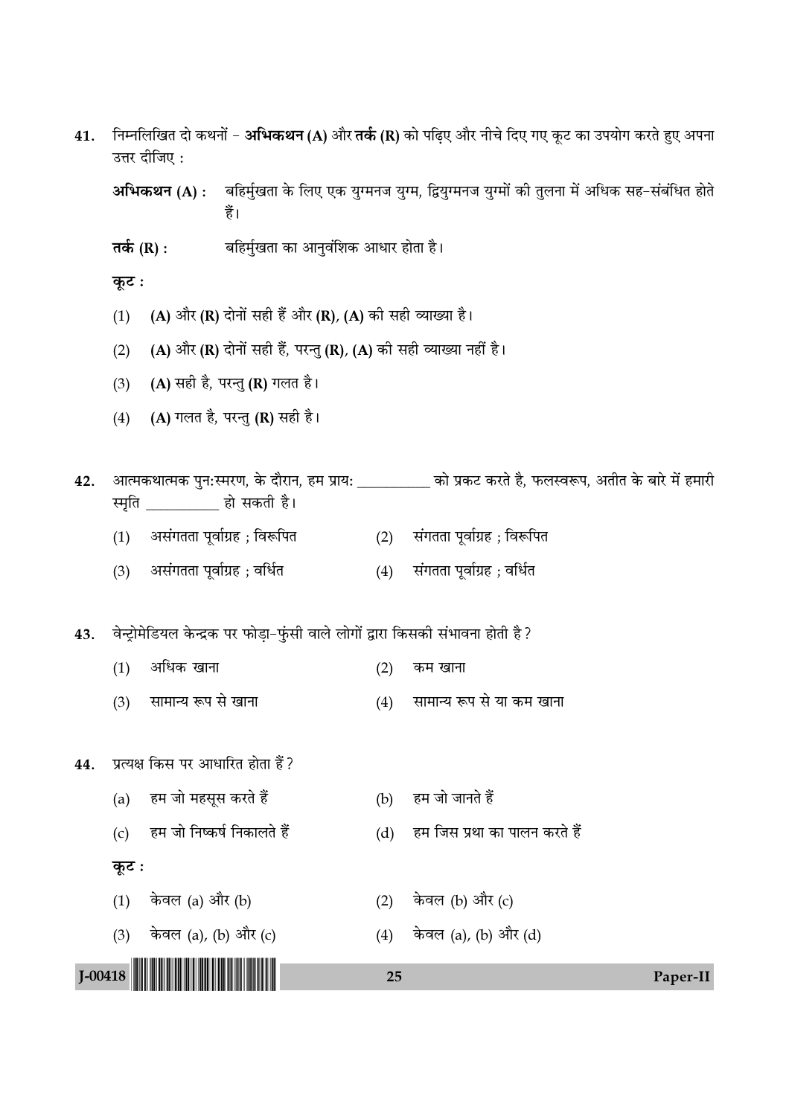J-00418 !J-00418-PAPER-II! <sup>25</sup> Paper-II 41. निम्नलिखित दो कथनों − **अभिकथन (A)** और **तर्क (R)** को पढ़िए और नीचे दिए गए कूट का उपयोग करते हुए अपना उत्तर दीजिए : **अभिकथन (A) : जिहिर्मुखता के लिए एक युग्मनज युग्म, द्वियुग्मनज युग्मों की तुलना में अधिक सह−संबंधित होते** हैं। **Ã∑¸§** (R) : 'Á"◊ȸπÃÊ ∑§Ê •ÊŸÈfl¥Á‡Ê∑§ •ÊœÊ⁄U "ÊÃÊ "Ò– **कृट:** (1) (A) और (R) दोनों सही हैं और (R), (A) की सही व्याख्या है। (2) (A) और (R) दोनों सही हैं, परन्तु (R), (A) की सही व्याख्या नहीं है। (3) (A) सही है, परन्तु (R) गलत है। (4) (A) गलत है, परन्तु (R) सही है। 42. आत्मकथात्मक पुन:स्मरण, के दौरान, हम प्राय: \_\_\_\_\_\_\_\_\_\_\_ को प्रकट करते है, फलस्वरूप, अतीत के बारे में हमारी स्मति हो सकती है। (1) असंगतता पूर्वाग्रह ; विरूपित (2) संगतता पूर्वाग्रह ; विरूपित (3) असंगतता पूर्वाग्रह ; वर्धित (4) संगतता पूर्वाग्रह ; वर्धित 43. वेन्ट्रोमेडियल केन्द्रक पर फोड़ा-फुंसी वाले लोगों द्वारा किसकी संभावना होती है?  $(1)$  अधिक खाना (2) कम खाना (3) सामान्य रूप से खाना (4) सामान्य रूप से या कम खाना 44. प्रत्यक्ष किस पर आधारित होता हैं ? (a) हम जो महसूस करते हैं (b) हम जो जानते हैं (c) हम जो निष्कर्ष निकालते हैं (d) हम जिस प्रथा का पालन करते हैं **कुट:** (1) केवल (a) और (b)  $(2)$  केवल (b) और (c) (3) केवल (a), (b) और (c) (4) केवल (a), (b) और (d)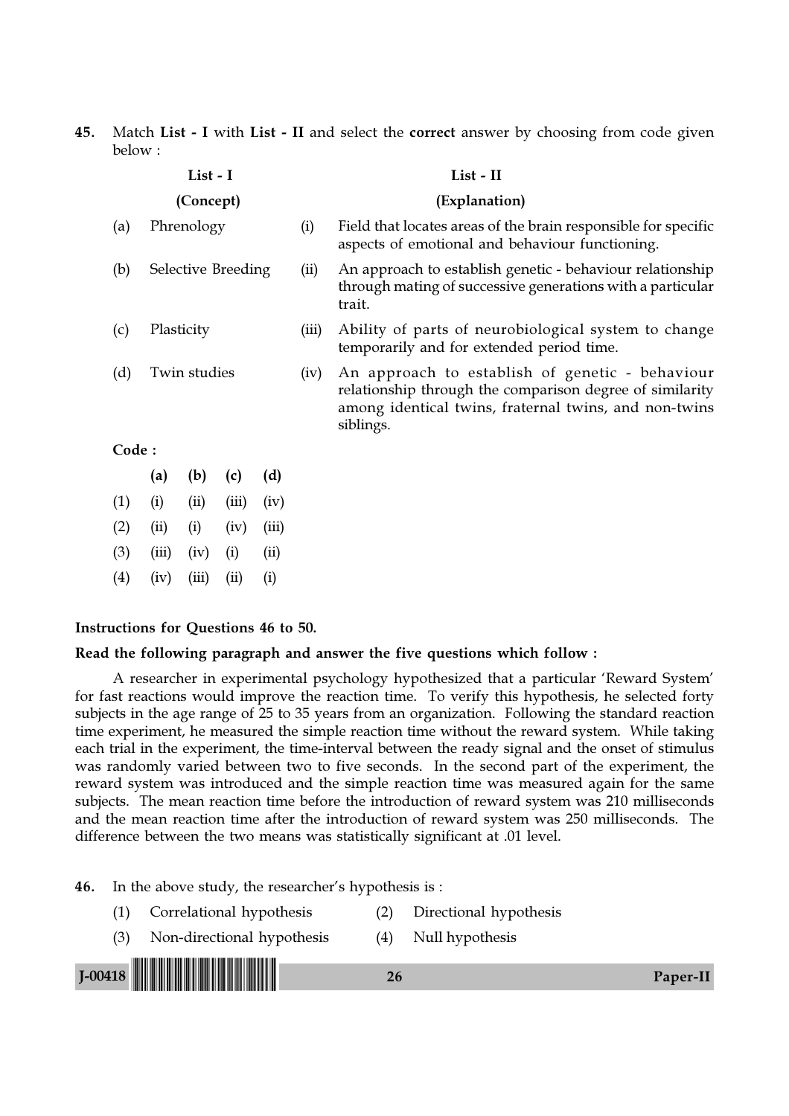45. Match List - I with List - II and select the correct answer by choosing from code given below :

|       |                    | List - I   |       |       |       | List - II                                                                                                                                                                         |  |  |  |  |  |  |
|-------|--------------------|------------|-------|-------|-------|-----------------------------------------------------------------------------------------------------------------------------------------------------------------------------------|--|--|--|--|--|--|
|       |                    | (Concept)  |       |       |       | (Explanation)                                                                                                                                                                     |  |  |  |  |  |  |
| (a)   |                    | Phrenology |       |       | (i)   | Field that locates areas of the brain responsible for specific<br>aspects of emotional and behaviour functioning.                                                                 |  |  |  |  |  |  |
| (b)   | Selective Breeding |            |       |       | (ii)  | An approach to establish genetic - behaviour relationship<br>through mating of successive generations with a particular<br>trait.                                                 |  |  |  |  |  |  |
| (c)   | Plasticity         |            |       |       | (iii) | Ability of parts of neurobiological system to change<br>temporarily and for extended period time.                                                                                 |  |  |  |  |  |  |
| (d)   | Twin studies       |            |       |       | (iv)  | An approach to establish of genetic - behaviour<br>relationship through the comparison degree of similarity<br>among identical twins, fraternal twins, and non-twins<br>siblings. |  |  |  |  |  |  |
| Code: |                    |            |       |       |       |                                                                                                                                                                                   |  |  |  |  |  |  |
|       | (a)                | (b)        | (c)   | (d)   |       |                                                                                                                                                                                   |  |  |  |  |  |  |
| (1)   | (i)                | (ii)       | (iii) | (iv)  |       |                                                                                                                                                                                   |  |  |  |  |  |  |
| (2)   | (ii)               | (i)        | (iv)  | (iii) |       |                                                                                                                                                                                   |  |  |  |  |  |  |
| (3)   | (iii)              | (iv)       | (i)   | (ii)  |       |                                                                                                                                                                                   |  |  |  |  |  |  |
| (4)   | (iv)               | (iii)      | (ii)  | (i)   |       |                                                                                                                                                                                   |  |  |  |  |  |  |

#### Instructions for Questions 46 to 50.

### Read the following paragraph and answer the five questions which follow :

A researcher in experimental psychology hypothesized that a particular 'Reward System' for fast reactions would improve the reaction time. To verify this hypothesis, he selected forty subjects in the age range of 25 to 35 years from an organization. Following the standard reaction time experiment, he measured the simple reaction time without the reward system. While taking each trial in the experiment, the time-interval between the ready signal and the onset of stimulus was randomly varied between two to five seconds. In the second part of the experiment, the reward system was introduced and the simple reaction time was measured again for the same subjects. The mean reaction time before the introduction of reward system was 210 milliseconds and the mean reaction time after the introduction of reward system was 250 milliseconds. The difference between the two means was statistically significant at .01 level.

#### 46. In the above study, the researcher's hypothesis is :

- (1) Correlational hypothesis (2) Directional hypothesis
- (3) Non-directional hypothesis (4) Null hypothesis

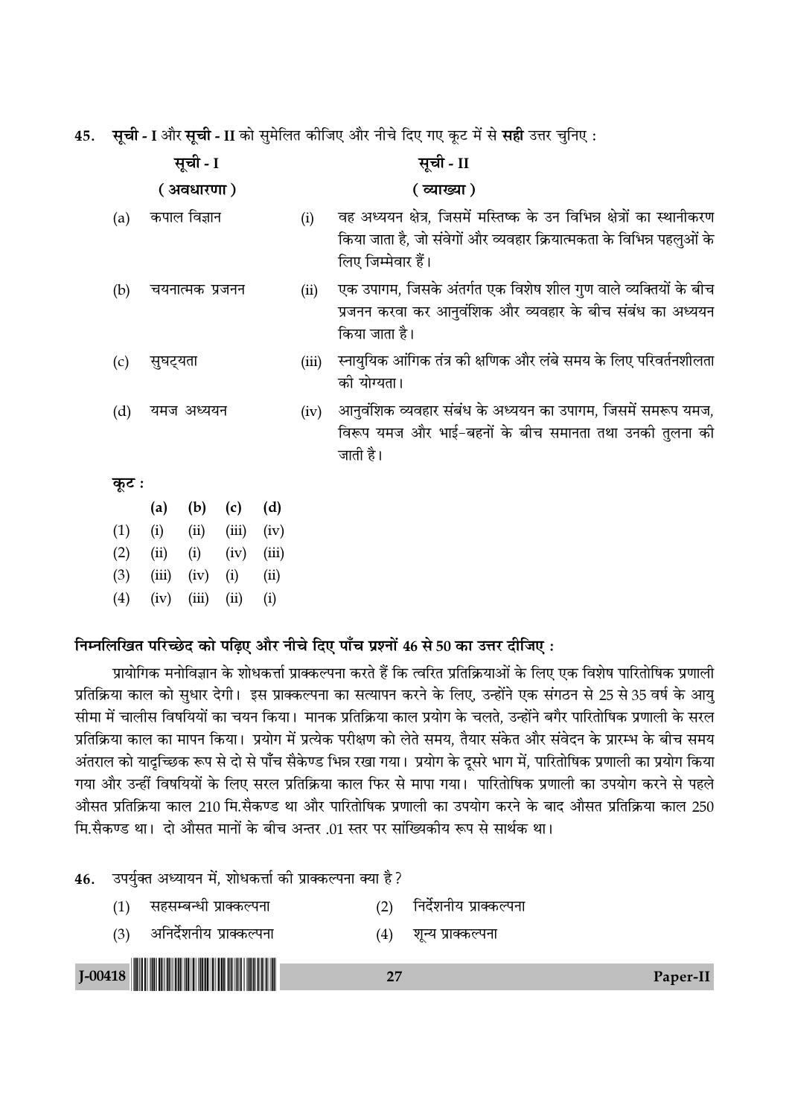45. सूची - I और सूची - II को सुमेलित कीजिए और नीचे दिए गए कूट में से सही उत्तर चुनिए:

|       |                 | सूची - I     |       |       |       | सूची - II                                                                                                                                                              |  |  |  |
|-------|-----------------|--------------|-------|-------|-------|------------------------------------------------------------------------------------------------------------------------------------------------------------------------|--|--|--|
|       |                 | ( अवधारणा)   |       |       |       | ( व्याख्या )                                                                                                                                                           |  |  |  |
| (a)   |                 | कपाल विज्ञान |       |       | (i)   | वह अध्ययन क्षेत्र, जिसमें मस्तिष्क के उन विभिन्न क्षेत्रों का स्थानीकरण<br>किया जाता है, जो संवेगों और व्यवहार क्रियात्मकता के विभिन्न पहलुओं के<br>लिए जिम्मेवार हैं। |  |  |  |
| (b)   | चयनात्मक प्रजनन |              |       |       | (ii)  | एक उपागम, जिसके अंतर्गत एक विशेष शील गुण वाले व्यक्तियों के बीच<br>प्रजनन करवा कर आनुवंशिक और व्यवहार के बीच संबंध का अध्ययन<br>किया जाता है।                          |  |  |  |
| (c)   | सुघट्यता        |              |       |       | (iii) | स्नायुयिक आंगिक तंत्र को क्षणिक और लंबे समय के लिए परिवर्तनशीलता<br>की योग्यता।                                                                                        |  |  |  |
| (d)   |                 | यमज अध्ययन   |       |       | (iv)  | आनुवंशिक व्यवहार संबंध के अध्ययन का उपागम, जिसमें समरूप यमज,<br>विरूप यमज और भाई-बहनों के बीच समानता तथा उनकी तुलना की<br>जाती है।                                     |  |  |  |
| कूट : |                 |              |       |       |       |                                                                                                                                                                        |  |  |  |
|       | (a)             | (b)          | (c)   | (d)   |       |                                                                                                                                                                        |  |  |  |
| (1)   | (i)             | (ii)         | (iii) | (iv)  |       |                                                                                                                                                                        |  |  |  |
| (2)   | (ii)            | (i)          | (iv)  | (iii) |       |                                                                                                                                                                        |  |  |  |
| (3)   | (iii)           | (iv)         | (i)   | (ii)  |       |                                                                                                                                                                        |  |  |  |
| (4)   | (iv)            | (iii)        | (ii)  | (i)   |       |                                                                                                                                                                        |  |  |  |

## निम्नलिखित परिच्छेद को पढ़िए और नीचे दिए पाँच प्रश्नों 46 से 50 का उत्तर दीजिए:

प्रायोगिक मनोविज्ञान के शोधकर्त्ता प्राक्कल्पना करते हैं कि त्वरित प्रतिक्रियाओं के लिए एक विशेष पारितोषिक प्रणाली प्रतिक्रिया काल को सुधार देगी। इस प्राक्कल्पना का सत्यापन करने के लिए, उन्होंने एक संगठन से 25 से 35 वर्ष के आय सीमा में चालीस विषयियों का चयन किया। मानक प्रतिक्रिया काल प्रयोग के चलते, उन्होंने बगैर पारितोषिक प्रणाली के सरल प्रतिक्रिया काल का मापन किया। प्रयोग में प्रत्येक परीक्षण को लेते समय, तैयार संकेत और संवेदन के प्रारम्भ के बीच समय अंतराल को यादुच्छिक रूप से दो से पाँच सैकेण्ड भिन्न रखा गया। प्रयोग के दूसरे भाग में, पारितोषिक प्रणाली का प्रयोग किया गया और उन्हीं विषयियों के लिए सरल प्रतिक्रिया काल फिर से मापा गया। पारितोषिक प्रणाली का उपयोग करने से पहले औसत प्रतिक्रिया काल 210 मि.सैकण्ड था और पारितोषिक प्रणाली का उपयोग करने के बाद औसत प्रतिक्रिया काल 250 मि.सैकण्ड था। दो औसत मानों के बीच अन्तर .01 स्तर पर सांख्यिकीय रूप से सार्थक था।

#### उपर्युक्त अध्यायन में, शोधकर्त्ता की प्राक्कल्पना क्या है? 46.

- $(1)$ सहसम्बन्धी प्राक्कल्पना  $(2)$ निर्देशनीय प्राक्कल्पना
- अनिर्देशनीय प्राक्कल्पना  $(3)$  $(4)$ शून्य प्राक्कल्पना

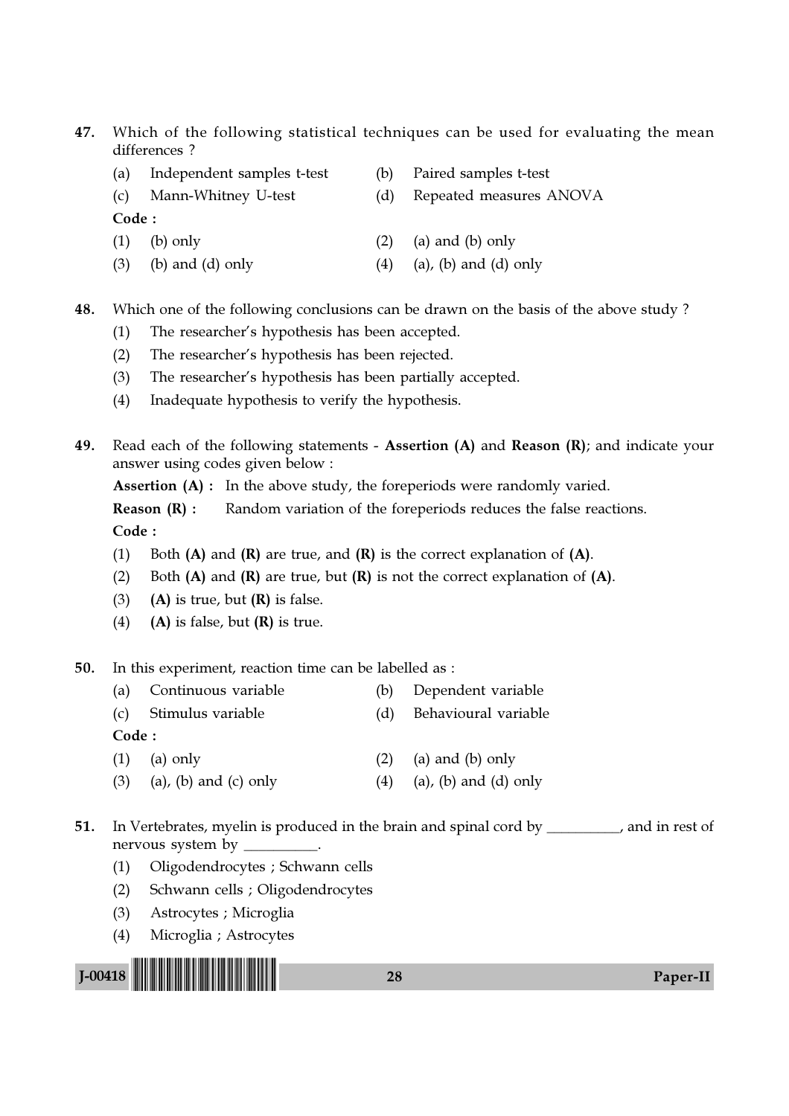- 47. Which of the following statistical techniques can be used for evaluating the mean differences ?
	- (a) Independent samples t-test (b) Paired samples t-test
	-
- 
- (c) Mann-Whitney U-test (d) Repeated measures ANOVA

Code :

- (1) (b) only (2) (a) and (b) only
- (3) (b) and (d) only  $(4)$  (a), (b) and (d) only
- 48. Which one of the following conclusions can be drawn on the basis of the above study ?
	- (1) The researcher's hypothesis has been accepted.
	- (2) The researcher's hypothesis has been rejected.
	- (3) The researcher's hypothesis has been partially accepted.
	- (4) Inadequate hypothesis to verify the hypothesis.
- 49. Read each of the following statements Assertion (A) and Reason (R); and indicate your answer using codes given below :

Assertion (A) : In the above study, the foreperiods were randomly varied.

**Reason (R) :** Random variation of the foreperiods reduces the false reactions. Code :

- (1) Both  $(A)$  and  $(R)$  are true, and  $(R)$  is the correct explanation of  $(A)$ .
- (2) Both  $(A)$  and  $(R)$  are true, but  $(R)$  is not the correct explanation of  $(A)$ .
- (3) (A) is true, but  $(R)$  is false.
- (4) (A) is false, but  $(R)$  is true.

50. In this experiment, reaction time can be labelled as :

- (a) Continuous variable (b) Dependent variable
- (c) Stimulus variable (d) Behavioural variable

- (1) (a) only  $(2)$  (a) and (b) only
- (3) (a), (b) and (c) only  $(4)$  (a), (b) and (d) only
- 51. In Vertebrates, myelin is produced in the brain and spinal cord by \_\_\_\_\_\_\_\_, and in rest of nervous system by \_
	- (1) Oligodendrocytes ; Schwann cells
	- (2) Schwann cells ; Oligodendrocytes
	- (3) Astrocytes ; Microglia
	- (4) Microglia ; Astrocytes

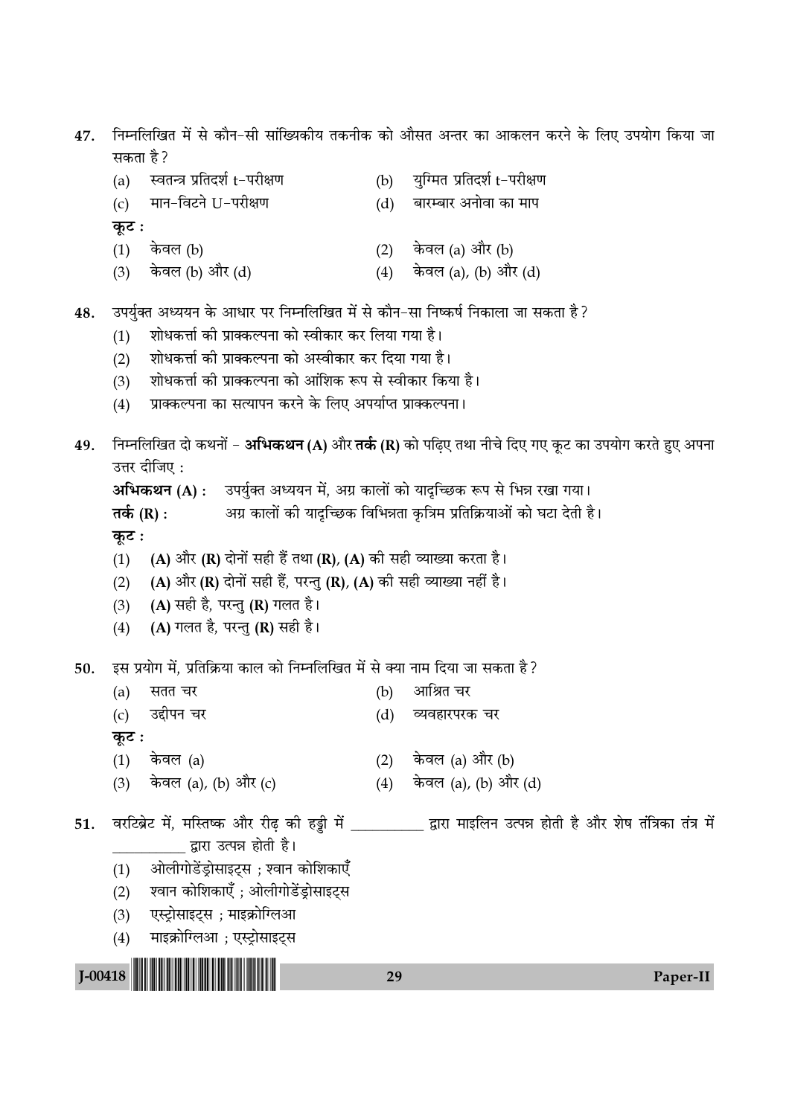निम्नलिखित में से कौन–सी सांख्यिकीय तकनीक को औसत अन्तर का आकलन करने के लिए उपयोग किया जा 47. सकता है?

| (a)   | स्वतन्त्र प्रतिदर्श t-परीक्षण                                                    | (b) | युग्मित प्रतिदर्श t-परीक्षण |
|-------|----------------------------------------------------------------------------------|-----|-----------------------------|
| (c)   | मान-विटने U-परीक्षण                                                              | (d) | बारम्बार अनोवा का माप       |
| कूट : |                                                                                  |     |                             |
| (1)   | केवल (b)                                                                         | (2) | केवल (a) और (b)             |
|       | (3) केवल (b) और (d)                                                              | (4) | केवल (a), (b) और (d)        |
|       |                                                                                  |     |                             |
|       | उपर्युक्त अध्ययन के आधार पर निम्नलिखित में से कौन-सा निष्कर्ष निकाला जा सकता है? |     |                             |
| (1)   | शोधकर्त्ता की प्राक्कल्पना को स्वीकार कर लिया गया है।                            |     |                             |

- शोधकर्त्ता की प्राक्कल्पना को अस्वीकार कर दिया गया है।  $(2)$
- शोधकर्त्ता की प्राक्कल्पना को आंशिक रूप से स्वीकार किया है।  $(3)$
- प्राक्कल्पना का सत्यापन करने के लिए अपर्याप्त प्राक्कल्पना।  $(4)$
- निम्नलिखित दो कथनों **अभिकथन (A)** और **तर्क (R)** को पढिए तथा नीचे दिए गए कुट का उपयोग करते हुए अपना 49. उत्तर दीजिए :

अभिकथन (A) : उपर्युक्त अध्ययन में, अग्र कालों को याद्रच्छिक रूप से भिन्न रखा गया।

```
अग्र कालों की याद्रच्छिक विभिन्नता कृत्रिम प्रतिक्रियाओं को घटा देती है।
तर्क (R) :
```
कूट :

48.

- (A) और (R) दोनों सही हैं तथा (R), (A) की सही व्याख्या करता है।  $(1)$
- (A) और (R) दोनों सही हैं, परन्तु (R), (A) की सही व्याख्या नहीं है।  $(2)$
- (A) सही है, परन्तु (R) गलत है।  $(3)$
- (A) गलत है, परन्तु (R) सही है।  $(4)$

इस प्रयोग में, प्रतिक्रिया काल को निम्नलिखित में से क्या नाम दिया जा सकता है ? 50.

- (b) आश्रित चर  $(a)$ सतत चर
- उद्दीपन चर  $(c)$ (d) व्यवहारपरक चर

कुट :

- $(1)$  केवल  $(a)$ (2) केवल (a) और (b)
- (4) केवल (a), (b) और (d) (3) केवल (a), (b) और (c)
- वरटिब्रेट में, मस्तिष्क और रीढ की हड्डी में द्वारा माइलिन उत्पन्न होती है और शेष तंत्रिका तंत्र में 51. \_\_\_\_\_\_\_ द्वारा उत्पन्न होती है।
	- ओलीगोडेंड्रोसाइट्स ; श्वान कोशिकाएँ  $(1)$
	- श्वान कोशिकाएँ ; ओलीगोडेंड्रोसाइट्स  $(2)$
	- एस्ट्रोसाइट्स ; माइक्रोग्लिआ  $(3)$
	- माइक्रोग्लिआ ; एस्ट्रोसाइट्स  $(4)$



Paper-II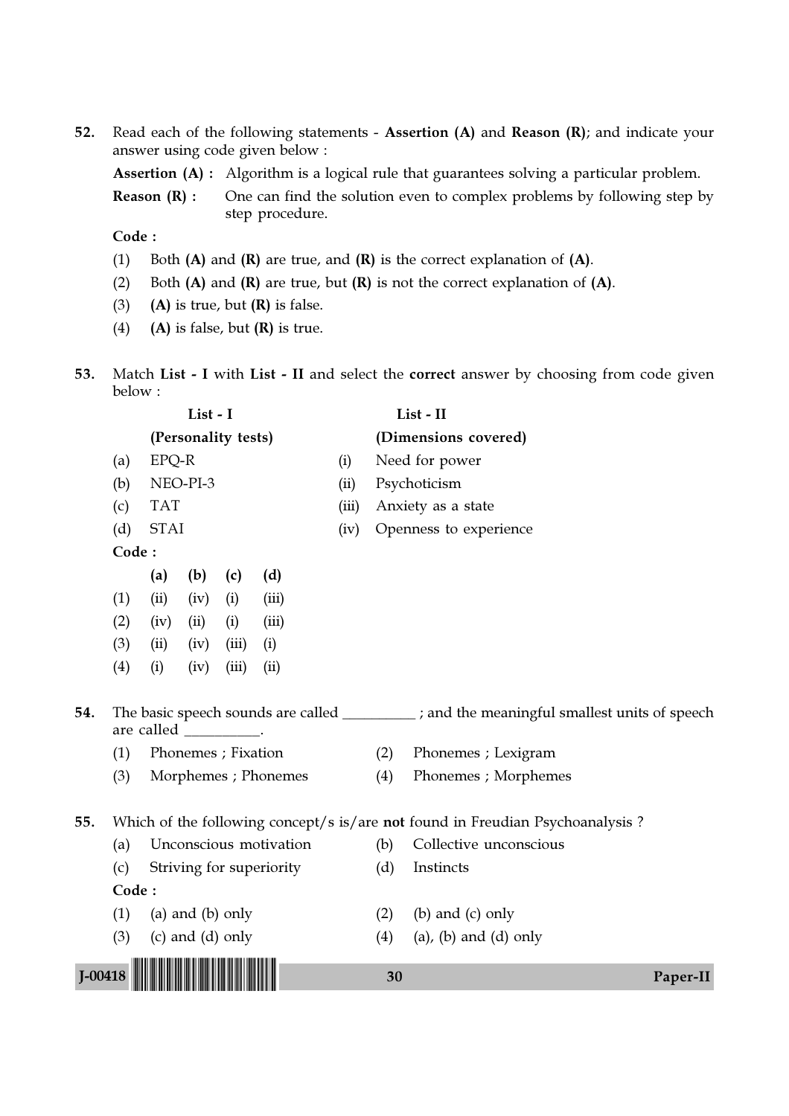52. Read each of the following statements - Assertion (A) and Reason (R); and indicate your answer using code given below :

Assertion (A) : Algorithm is a logical rule that guarantees solving a particular problem.

**Reason (R) :** One can find the solution even to complex problems by following step by step procedure.

- (1) Both  $(A)$  and  $(R)$  are true, and  $(R)$  is the correct explanation of  $(A)$ .
- (2) Both  $(A)$  and  $(R)$  are true, but  $(R)$  is not the correct explanation of  $(A)$ .
- (3) (A) is true, but  $(R)$  is false.
- (4) (A) is false, but  $(R)$  is true.
- 53. Match List I with List II and select the correct answer by choosing from code given below :

|             |       |                       | List - I             |       |                          |       |     | List - II                                                                                   |          |
|-------------|-------|-----------------------|----------------------|-------|--------------------------|-------|-----|---------------------------------------------------------------------------------------------|----------|
|             |       |                       | (Personality tests)  |       |                          |       |     | (Dimensions covered)                                                                        |          |
|             | (a)   | EPQ-R                 |                      |       |                          | (i)   |     | Need for power                                                                              |          |
|             | (b)   |                       | NEO-PI-3             |       |                          | (ii)  |     | Psychoticism                                                                                |          |
|             | (c)   | <b>TAT</b>            |                      |       |                          | (iii) |     | Anxiety as a state                                                                          |          |
|             | (d)   | <b>STAI</b>           |                      |       |                          | (iv)  |     | Openness to experience                                                                      |          |
|             | Code: |                       |                      |       |                          |       |     |                                                                                             |          |
|             |       | (a)                   | (b)                  | (c)   | (d)                      |       |     |                                                                                             |          |
|             | (1)   | (ii)                  | (iv)                 | (i)   | (iii)                    |       |     |                                                                                             |          |
|             | (2)   | (iv)                  | (ii)                 | (i)   | (iii)                    |       |     |                                                                                             |          |
|             | (3)   | (ii)                  | (iv)                 | (iii) | (i)                      |       |     |                                                                                             |          |
|             | (4)   | (i)                   | (iv)                 | (iii) | (ii)                     |       |     |                                                                                             |          |
| 54.         |       | are called _________. |                      |       |                          |       |     | The basic speech sounds are called ___________; and the meaningful smallest units of speech |          |
|             | (1)   |                       | Phonemes ; Fixation  |       |                          |       | (2) | Phonemes ; Lexigram                                                                         |          |
|             | (3)   |                       |                      |       | Morphemes ; Phonemes     |       | (4) | Phonemes ; Morphemes                                                                        |          |
| 55.         |       |                       |                      |       |                          |       |     | Which of the following concept/s is/are not found in Freudian Psychoanalysis?               |          |
|             | (a)   |                       |                      |       | Unconscious motivation   |       | (b) | Collective unconscious                                                                      |          |
|             | (c)   |                       |                      |       | Striving for superiority |       | (d) | Instincts                                                                                   |          |
|             | Code: |                       |                      |       |                          |       |     |                                                                                             |          |
|             | (1)   |                       | (a) and (b) only     |       |                          |       | (2) | (b) and $(c)$ only                                                                          |          |
|             | (3)   |                       | $(c)$ and $(d)$ only |       |                          |       | (4) | $(a)$ , $(b)$ and $(d)$ only                                                                |          |
| $J - 00418$ |       |                       |                      |       |                          |       | 30  |                                                                                             | Paper-II |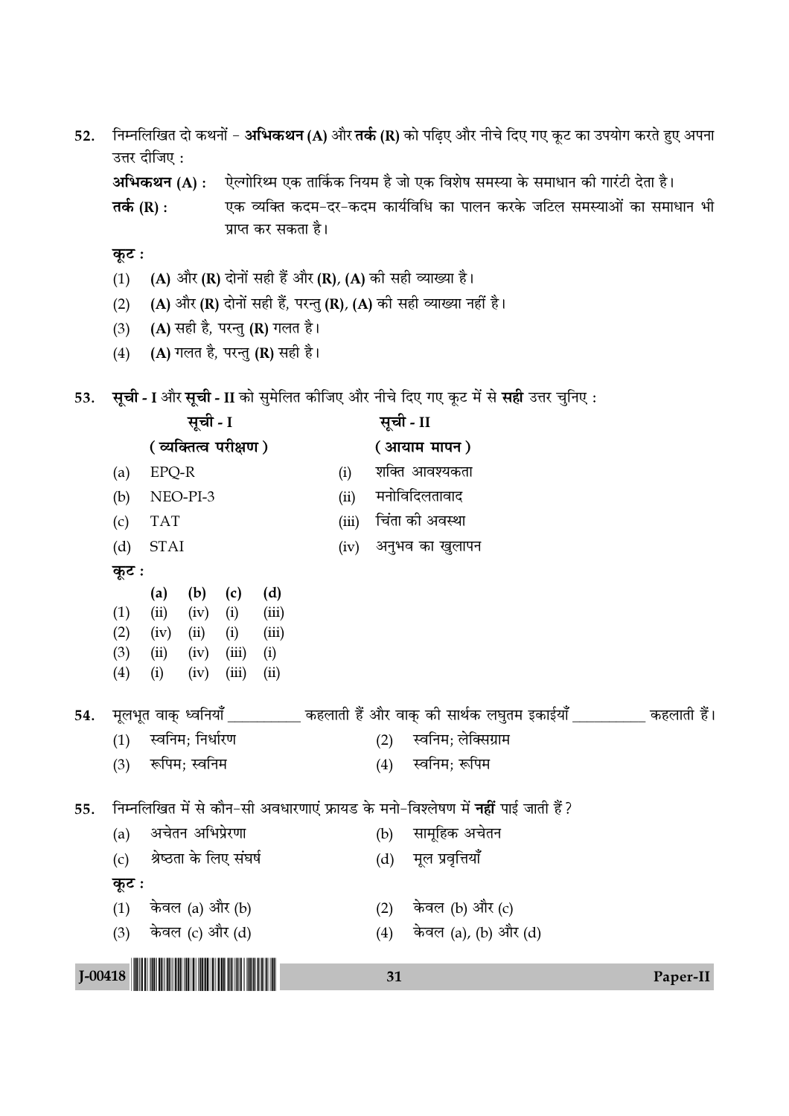52. निम्नलिखित दो कथनों - अभिकथन (A) और तर्क (R) को पढ़िए और नीचे दिए गए कूट का उपयोग करते हुए अपना उत्तर दीजिए :

अभिकथन (A) : ऐल्गोरिथ्म एक तार्किक नियम है जो एक विशेष समस्या के समाधान की गारंटी देता है।

तर्क  $(R)$  : एक व्यक्ति कदम-दर-कदम कार्यविधि का पालन करके जटिल समस्याओं का समाधान भी प्राप्त कर सकता है।

- कूट :
- (A) और (R) दोनों सही हैं और (R), (A) की सही व्याख्या है।  $(1)$
- (A) और (R) दोनों सही हैं, परन्तु (R), (A) की सही व्याख्या नहीं है।  $(2)$
- (A) सही है, परन्तु (R) गलत है।  $(3)$
- (A) गलत है, परन्तु (R) सही है।  $(4)$
- 53. सूची I और सूची II को सुमेलित कीजिए और नीचे दिए गए कूट में से सही उत्तर चुनिए:

|             |                          |                                                                                                             | सूची - I                            |                                     |                                      |       | सूची - II                  |                                                                                                   |  |          |
|-------------|--------------------------|-------------------------------------------------------------------------------------------------------------|-------------------------------------|-------------------------------------|--------------------------------------|-------|----------------------------|---------------------------------------------------------------------------------------------------|--|----------|
|             |                          |                                                                                                             | (व्यक्तित्व परीक्षण)                |                                     |                                      |       |                            | (आयाम मापन)                                                                                       |  |          |
|             | (a)                      | EPQ-R                                                                                                       |                                     |                                     |                                      | (i)   |                            | शक्ति आवश्यकता                                                                                    |  |          |
|             | (b)                      |                                                                                                             | NEO-PI-3                            |                                     |                                      | (ii)  |                            | मनोविदिलतावाद                                                                                     |  |          |
|             | (c)                      | <b>TAT</b>                                                                                                  |                                     |                                     |                                      | (iii) |                            | चिंता की अवस्था                                                                                   |  |          |
|             | (d)                      | <b>STAI</b>                                                                                                 |                                     |                                     |                                      | (iv)  |                            | अनुभव का खुलापन                                                                                   |  |          |
|             | कूट :                    |                                                                                                             |                                     |                                     |                                      |       |                            |                                                                                                   |  |          |
| 54.         | (1)<br>(2)<br>(3)<br>(4) | (a)<br>(ii)<br>(iv)<br>(ii)<br>(i)                                                                          | (b)<br>(iv)<br>(ii)<br>(iv)<br>(iv) | (c)<br>(i)<br>(i)<br>(iii)<br>(iii) | (d)<br>(iii)<br>(iii)<br>(i)<br>(ii) |       |                            | मूलभूत वाक् ध्वनियाँ __________ कहलाती हैं और वाक् की सार्थक लघुतम इकाईयाँ __________ कहलाती हैं। |  |          |
|             | (1)                      |                                                                                                             | स्वनिम; निर्धारण                    |                                     |                                      |       | स्वनिम; लेक्सिग्राम<br>(2) |                                                                                                   |  |          |
|             | (3)                      |                                                                                                             | रूपिम; स्वनिम                       |                                     |                                      |       | (4)                        | स्वनिम; रूपिम                                                                                     |  |          |
| 55.         | (a)                      | निम्नलिखित में से कौन-सी अवधारणाएं फ्रायड के मनो-विश्लेषण में <b>नहीं</b> पाई जाती हैं?<br>अचेतन अभिप्रेरणा |                                     |                                     |                                      |       |                            | सामूहिक अचेतन                                                                                     |  |          |
|             | (c)                      |                                                                                                             | श्रेष्ठता के लिए संघर्ष             |                                     |                                      |       | (d)                        | मूल प्रवृत्तियाँ                                                                                  |  |          |
|             | कूट :                    |                                                                                                             |                                     |                                     |                                      |       |                            |                                                                                                   |  |          |
|             | (1)                      | केवल (a) और (b)                                                                                             |                                     |                                     |                                      |       | (2)                        | केवल (b) और (c)                                                                                   |  |          |
|             | (3)                      |                                                                                                             | केवल (c) और (d)                     |                                     |                                      |       | (4)                        | केवल (a), (b) और (d)                                                                              |  |          |
| $J - 00418$ |                          |                                                                                                             |                                     |                                     |                                      |       | 31                         |                                                                                                   |  | Paper-II |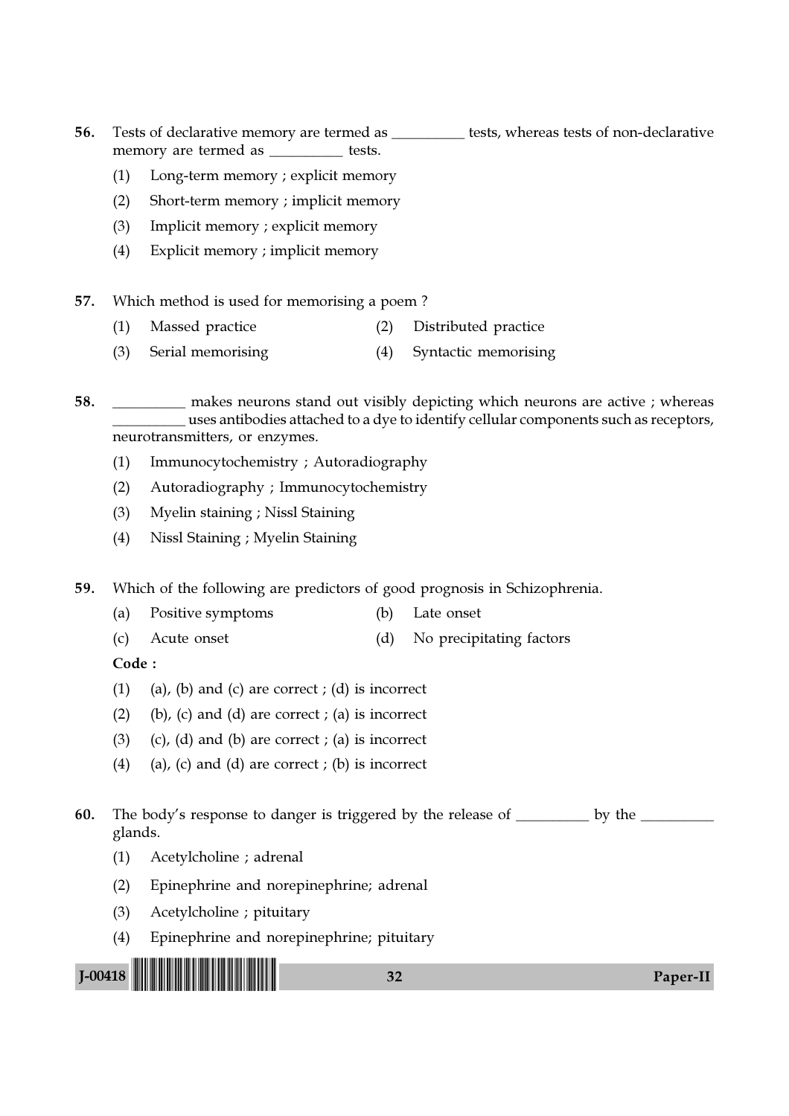56. Tests of declarative memory are termed as tests, whereas tests of non-declarative memory are termed as **we have the tests**.

- (1) Long-term memory ; explicit memory
- (2) Short-term memory ; implicit memory
- (3) Implicit memory ; explicit memory
- (4) Explicit memory ; implicit memory
- 57. Which method is used for memorising a poem ?
	- (1) Massed practice (2) Distributed practice
	- (3) Serial memorising (4) Syntactic memorising

58. \_\_\_\_\_\_\_\_\_\_ makes neurons stand out visibly depicting which neurons are active ; whereas \_\_\_\_\_\_\_\_\_\_ uses antibodies attached to a dye to identify cellular components such as receptors, neurotransmitters, or enzymes.

- (1) Immunocytochemistry ; Autoradiography
- (2) Autoradiography ; Immunocytochemistry
- (3) Myelin staining ; Nissl Staining
- (4) Nissl Staining ; Myelin Staining

59. Which of the following are predictors of good prognosis in Schizophrenia.

- (a) Positive symptoms (b) Late onset
- (c) Acute onset (d) No precipitating factors

Code :

- (1) (a), (b) and (c) are correct ; (d) is incorrect
- $(2)$  (b),  $(c)$  and  $(d)$  are correct ;  $(a)$  is incorrect
- (3) (c), (d) and (b) are correct ; (a) is incorrect
- (4) (a), (c) and (d) are correct ; (b) is incorrect

60. The body's response to danger is triggered by the release of \_\_\_\_\_\_\_\_\_\_ by the \_\_\_\_ glands.

- (1) Acetylcholine ; adrenal
- (2) Epinephrine and norepinephrine; adrenal
- (3) Acetylcholine ; pituitary
- (4) Epinephrine and norepinephrine; pituitary

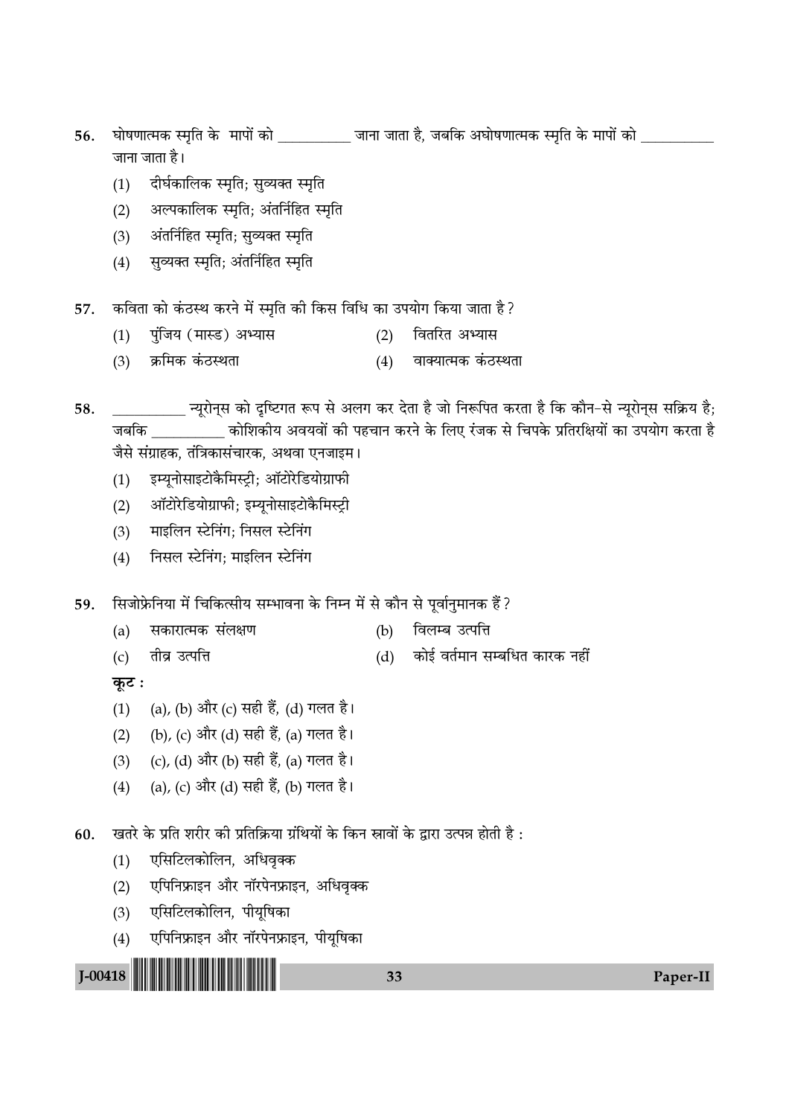- 56. घोषणात्मक स्मृति के मापों को \_\_\_\_\_\_\_\_\_\_\_\_ जाना जाता है, जबकि अघोषणात्मक स्मृति के मापों को \_\_\_\_\_ जाना जाता है।
	- (1) दीर्घकालिक स्मृति; सुव्यक्त स्मृति
	- (2) अल्पकालिक स्मृति; अंतर्निहित स्मृति
	- (3) अंतर्निहित स्मृति; सुव्यक्त स्मृति
	- $(4)$  सुव्यक्त स्मृति; अंतर्निहित स्मृति
- 57. कविता को कंठस्थ करने में स्मृति की किस विधि का उपयोग किया जाता है ?
	- (1) पुंजिय (मास्ड) अभ्यास (2) वितरित अभ्यास
	- (3) ऊ्रमिक कंठस्थता (4) वाक्यात्मक कंठस्थता
- 58. \_\_\_\_\_\_\_\_\_\_ ãÿÍ⁄UÊŸ˜' ∑§Ê ŒÎÁc≈UªÃ M§¬ ' •‹ª ∑§⁄U ŒÃÊ "Ò ¡Ê ÁŸM§Á¬Ã ∑§⁄UÃÊ "Ò Á∑§ ∑§ÊÒŸ-' ãÿÍ⁄UÊŸ˜' 'Á∑˝§ÿ "Ò; जबकि कोशिकीय अवयवों की पहचान करने के लिए रंजक से चिपके प्रतिरक्षियों का उपयोग करता है जैसे संग्राहक, तंत्रिकासंचारक, अथवा एनजाइम।
	- (1) इम्यूनोसाइटोकैमिस्ट्री; ऑटोरेडियोग्राफी
	- (2) ऑटोरेडियोग्राफी; इम्यूनोसाइटोकैमिस्ट्री
	- (3) माइलिन स्टेनिंग; निसल स्टेनिंग
	- (4) निसल स्टेनिंग; माइलिन स्टेनिंग
- 59. सिजोफ्रेनिया में चिकित्सीय सम्भावना के निम्न में से कौन से पूर्वानुमानक हैं?
	- (a) सकारात्मक संलक्षण (b) विलम्ब उत्पत्ति
	- (c) तीव्र उत्पत्ति (d) कोई वर्तमान सम्बधित कारक नहीं

**कूट**ः

- (1) (a), (b) और (c) सही हैं, (d) गलत है।
- (2) (b), (c) और (d) सही हैं, (a) गलत है।
- (3) (c), (d) और (b) सही हैं, (a) गलत है।
- (4) (a), (c) और (d) सही हैं, (b) गलत है।

 $60.$  घुतरे के प्रति शरीर की प्रतिक्रिया ग्रंथियों के किन स्रावों के द्वारा उत्पन्न होती है :

- (1) एसिटिलकोलिन, अधिवृक्क
- (2) © एपिनिफ्राइन और नॉरपेनफ्राइन, अधिवृक्क
- (3) एसिटिलकोलिन, पीयूषिका
- (4) एपिनिफ्राइन और नॉरपेनफ्राइन, पीयूषिका

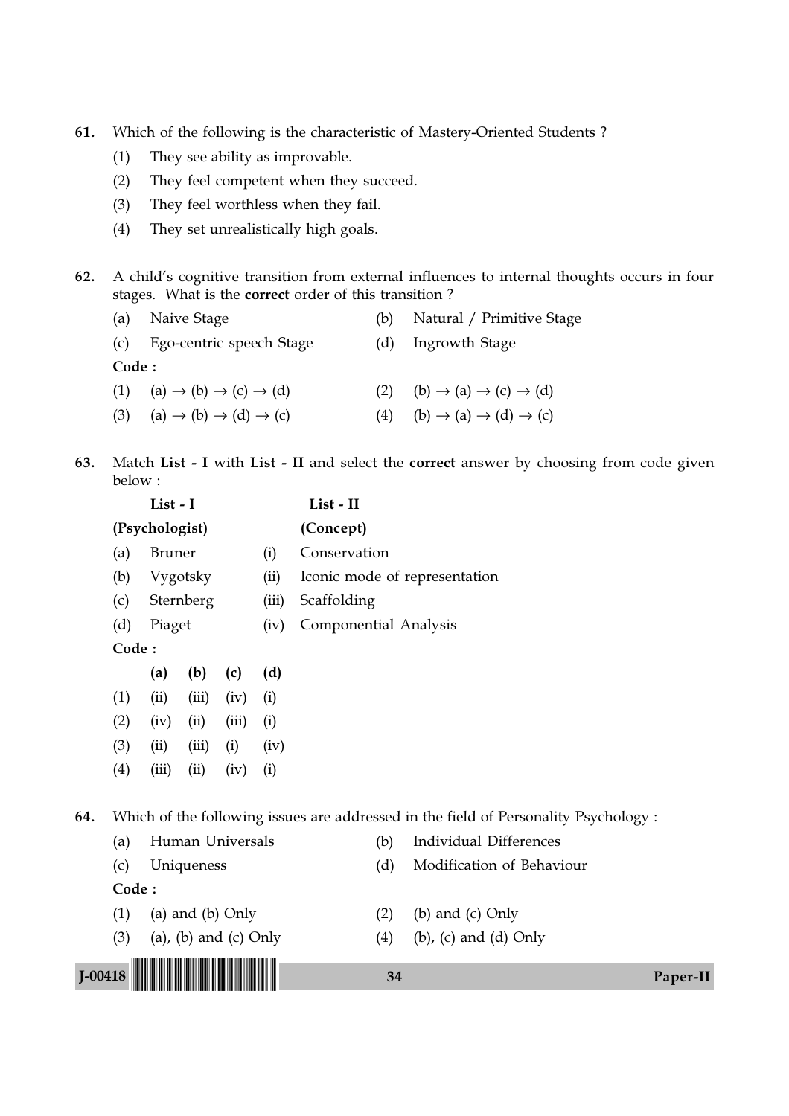61. Which of the following is the characteristic of Mastery-Oriented Students ?

- (1) They see ability as improvable.
- (2) They feel competent when they succeed.
- (3) They feel worthless when they fail.
- (4) They set unrealistically high goals.

62. A child's cognitive transition from external influences to internal thoughts occurs in four stages. What is the correct order of this transition ?

|       | (a) Naive Stage                                               |     | (b) Natural / Primitive Stage                         |
|-------|---------------------------------------------------------------|-----|-------------------------------------------------------|
|       | (c) Ego-centric speech Stage                                  |     | (d) Ingrowth Stage                                    |
| Code: |                                                               |     |                                                       |
|       | (1) (a) $\rightarrow$ (b) $\rightarrow$ (c) $\rightarrow$ (d) | (2) | $(b) \rightarrow (a) \rightarrow (c) \rightarrow (d)$ |
| (3)   | $(a) \rightarrow (b) \rightarrow (d) \rightarrow (c)$         | (4) | $(b) \rightarrow (a) \rightarrow (d) \rightarrow (c)$ |

63. Match List - I with List - II and select the correct answer by choosing from code given below :

|           | List - I |                  |                       |       |      | List - II                     |                                                                                      |          |  |  |  |
|-----------|----------|------------------|-----------------------|-------|------|-------------------------------|--------------------------------------------------------------------------------------|----------|--|--|--|
|           |          | (Psychologist)   |                       |       |      | (Concept)                     |                                                                                      |          |  |  |  |
|           | (a)      | <b>Bruner</b>    |                       |       | (i)  | Conservation                  |                                                                                      |          |  |  |  |
|           | (b)      |                  | Vygotsky              |       | (ii) | Iconic mode of representation |                                                                                      |          |  |  |  |
|           | (c)      |                  | Sternberg             |       |      | Scaffolding                   |                                                                                      |          |  |  |  |
|           | (d)      | Piaget           |                       |       | (iv) | Componential Analysis         |                                                                                      |          |  |  |  |
|           | Code:    |                  |                       |       |      |                               |                                                                                      |          |  |  |  |
|           |          | (a)              | (b)                   | (c)   | (d)  |                               |                                                                                      |          |  |  |  |
|           | (1)      | (ii)             | (iii)                 | (iv)  | (i)  |                               |                                                                                      |          |  |  |  |
|           | (2)      | (iv)             | (ii)                  | (iii) | (i)  |                               |                                                                                      |          |  |  |  |
|           | (3)      | (ii)             | (iii)                 | (i)   | (iv) |                               |                                                                                      |          |  |  |  |
|           | (4)      | (iii)            | (ii)                  | (iv)  | (i)  |                               |                                                                                      |          |  |  |  |
| 64.       |          |                  |                       |       |      |                               | Which of the following issues are addressed in the field of Personality Psychology : |          |  |  |  |
|           | (a)      |                  | Human Universals      |       |      | (b)                           | <b>Individual Differences</b>                                                        |          |  |  |  |
|           | (c)      |                  | Uniqueness            |       |      | (d)                           | Modification of Behaviour                                                            |          |  |  |  |
|           | Code:    |                  |                       |       |      |                               |                                                                                      |          |  |  |  |
|           | (1)      | (a) and (b) Only |                       |       |      | (2)                           | (b) and $(c)$ Only                                                                   |          |  |  |  |
|           | (3)      |                  | (a), (b) and (c) Only |       |      | (4)                           | $(b)$ , $(c)$ and $(d)$ Only                                                         |          |  |  |  |
| $I-00418$ |          |                  |                       |       |      | 34                            |                                                                                      | Paper-II |  |  |  |
|           |          |                  |                       |       |      |                               |                                                                                      |          |  |  |  |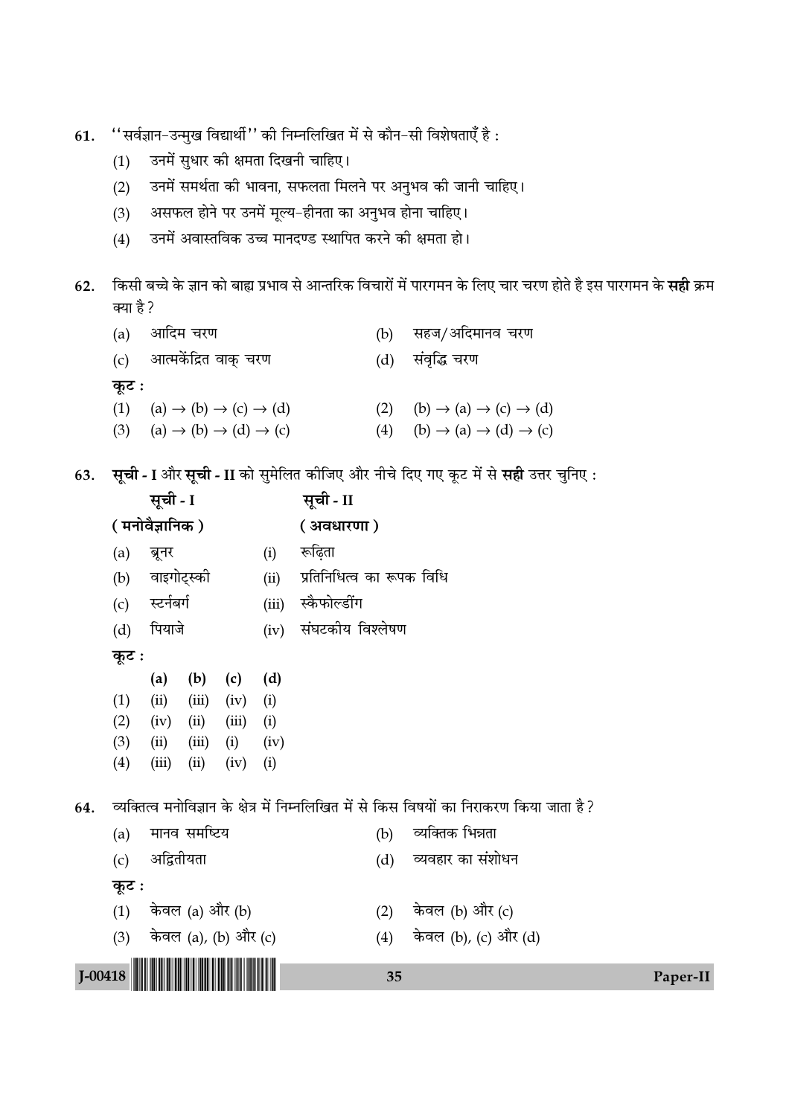- "सर्वज्ञान-उन्मुख विद्यार्थी" की निम्नलिखित में से कौन-सी विशेषताएँ है: 61.
	- उनमें सुधार की क्षमता दिखनी चाहिए।  $(1)$
	- उनमें समर्थता की भावना, सफलता मिलने पर अनुभव की जानी चाहिए।  $(2)$
	- असफल होने पर उनमें मूल्य-हीनता का अनुभव होना चाहिए।  $(3)$
	- उनमें अवास्तविक उच्च मानदण्ड स्थापित करने की क्षमता हो।  $(4)$
- किसी बच्चे के ज्ञान को बाह्य प्रभाव से आन्तरिक विचारों में पारगमन के लिए चार चरण होते है इस पारगमन के **सही** क्रम  $62.$ क्या है ?

| $(b) \rightarrow (a) \rightarrow (c) \rightarrow (d)$ |
|-------------------------------------------------------|
| $(b) \rightarrow (a) \rightarrow (d) \rightarrow (c)$ |
|                                                       |

63. सूची - I और सूची - II को सुमेलित कीजिए और नीचे दिए गए कूट में से सही उत्तर चुनिए:

|             |                        | सूची - I       |              |                      |       | सूची - II                 |     |                                                                                             |          |  |  |  |
|-------------|------------------------|----------------|--------------|----------------------|-------|---------------------------|-----|---------------------------------------------------------------------------------------------|----------|--|--|--|
|             |                        | (मनोवैज्ञानिक) |              |                      |       | ( अवधारणा)                |     |                                                                                             |          |  |  |  |
|             | (a)                    | ब्रूनर         |              |                      | (i)   | रूढ़िता                   |     |                                                                                             |          |  |  |  |
|             | (b)                    | वाइगोट्स्की    |              |                      | (ii)  | प्रतिनिधित्व का रूपक विधि |     |                                                                                             |          |  |  |  |
|             | (c)                    | स्टर्नबर्ग     |              |                      | (iii) | स्कैफोल्डींग              |     |                                                                                             |          |  |  |  |
|             | (d)                    | पियाजे         |              |                      | (iv)  | संघटकीय विश्लेषण          |     |                                                                                             |          |  |  |  |
|             | कूट :                  |                |              |                      |       |                           |     |                                                                                             |          |  |  |  |
|             |                        | (a)            | (b)          | (c)                  | (d)   |                           |     |                                                                                             |          |  |  |  |
|             | (1)                    | (ii)           | (iii)        | (iv)                 | (i)   |                           |     |                                                                                             |          |  |  |  |
|             | (2)                    | (iv)           | (ii)         | (iii)                | (i)   |                           |     |                                                                                             |          |  |  |  |
|             | (3)                    | (ii)           | (iii)        | (i)                  | (iv)  |                           |     |                                                                                             |          |  |  |  |
|             | (4)                    | (iii)          | (ii)         | (iv)                 | (i)   |                           |     |                                                                                             |          |  |  |  |
| 64.         |                        |                |              |                      |       |                           |     | व्यक्तित्व मनोविज्ञान के क्षेत्र में निम्नलिखित में से किस विषयों का निराकरण किया जाता है ? |          |  |  |  |
|             | (a)                    |                | मानव समष्टिय |                      |       |                           | (b) | व्यक्तिक भिन्नता                                                                            |          |  |  |  |
|             | (c)                    | अद्वितीयता     |              |                      |       |                           | (d) | व्यवहार का संशोधन                                                                           |          |  |  |  |
|             | कूट :                  |                |              |                      |       |                           |     |                                                                                             |          |  |  |  |
|             | केवल (a) और (b)<br>(1) |                |              |                      |       |                           | (2) | केवल (b) और (c)                                                                             |          |  |  |  |
|             | (3)                    |                |              | केवल (a), (b) और (c) |       |                           | (4) | केवल (b), (c) और (d)                                                                        |          |  |  |  |
| $J - 00418$ |                        |                |              |                      |       |                           | 35  |                                                                                             | Paper-II |  |  |  |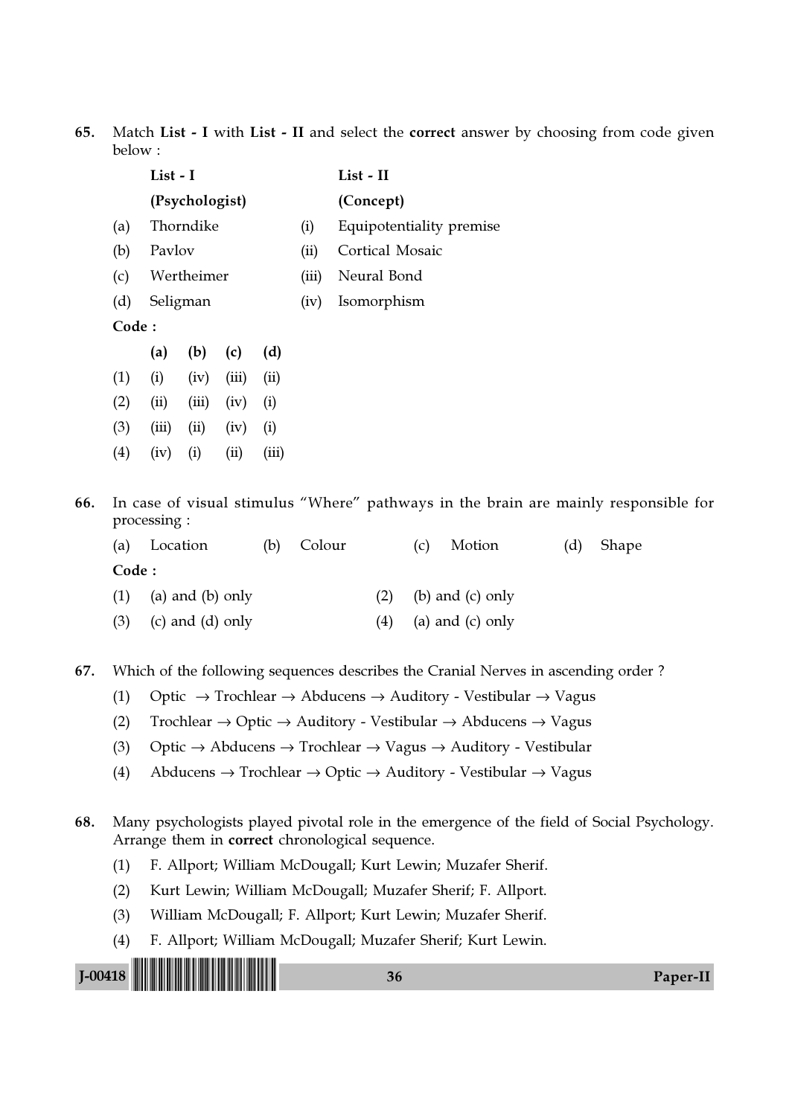65. Match List - I with List - II and select the correct answer by choosing from code given below :

|       | List - I |                |       |       |       | List - II                                               |  |  |  |
|-------|----------|----------------|-------|-------|-------|---------------------------------------------------------|--|--|--|
|       |          | (Psychologist) |       |       |       | (Concept)                                               |  |  |  |
| (a)   |          | Thorndike      |       |       | (i)   | Equipotentiality premise                                |  |  |  |
| (b)   | Pavlov   |                |       |       | (ii)  | Cortical Mosaic                                         |  |  |  |
| (c)   |          | Wertheimer     |       |       | (iii) | Neural Bond                                             |  |  |  |
| (d)   |          | Seligman       |       |       | (iv)  | Isomorphism                                             |  |  |  |
| Code: |          |                |       |       |       |                                                         |  |  |  |
|       | (a)      | $(b)$ (c)      |       | (d)   |       |                                                         |  |  |  |
| (1)   | (i)      | (iv)           | (iii) | (ii)  |       |                                                         |  |  |  |
| (2)   | (ii)     | (iii)          | (iv)  | (i)   |       |                                                         |  |  |  |
| (3)   | (iii)    | (ii)           | (iv)  | (i)   |       |                                                         |  |  |  |
| (4)   | (iv)     | (i)            | (ii)  | (iii) |       |                                                         |  |  |  |
|       |          |                |       |       |       |                                                         |  |  |  |
|       |          |                |       |       |       | In case of visual stimulus "Where" pathways in the brai |  |  |  |

66. In case of visual stimulus "Where" pathways in the brain are mainly responsible for processing :

|        | (a) Location               | (b) | Colour |     | (C) | Motion                 | (d) | Shape |
|--------|----------------------------|-----|--------|-----|-----|------------------------|-----|-------|
| Code : |                            |     |        |     |     |                        |     |       |
|        | $(1)$ (a) and (b) only     |     |        |     |     | $(2)$ (b) and (c) only |     |       |
|        | $(3)$ $(c)$ and $(d)$ only |     |        | (4) |     | (a) and $(c)$ only     |     |       |

67. Which of the following sequences describes the Cranial Nerves in ascending order ?

- (1) Optic  $\rightarrow$  Trochlear  $\rightarrow$  Abducens  $\rightarrow$  Auditory Vestibular  $\rightarrow$  Vagus
- (2) Trochlear  $\rightarrow$  Optic  $\rightarrow$  Auditory Vestibular  $\rightarrow$  Abducens  $\rightarrow$  Vagus
- (3) Optic  $\rightarrow$  Abducens  $\rightarrow$  Trochlear  $\rightarrow$  Vagus  $\rightarrow$  Auditory Vestibular
- (4) Abducens  $\rightarrow$  Trochlear  $\rightarrow$  Optic  $\rightarrow$  Auditory Vestibular  $\rightarrow$  Vagus
- 68. Many psychologists played pivotal role in the emergence of the field of Social Psychology. Arrange them in correct chronological sequence.
	- (1) F. Allport; William McDougall; Kurt Lewin; Muzafer Sherif.
	- (2) Kurt Lewin; William McDougall; Muzafer Sherif; F. Allport.
	- (3) William McDougall; F. Allport; Kurt Lewin; Muzafer Sherif.
	- (4) F. Allport; William McDougall; Muzafer Sherif; Kurt Lewin.

J-00418 !J-00418-PAPER-II! <sup>36</sup> Paper-II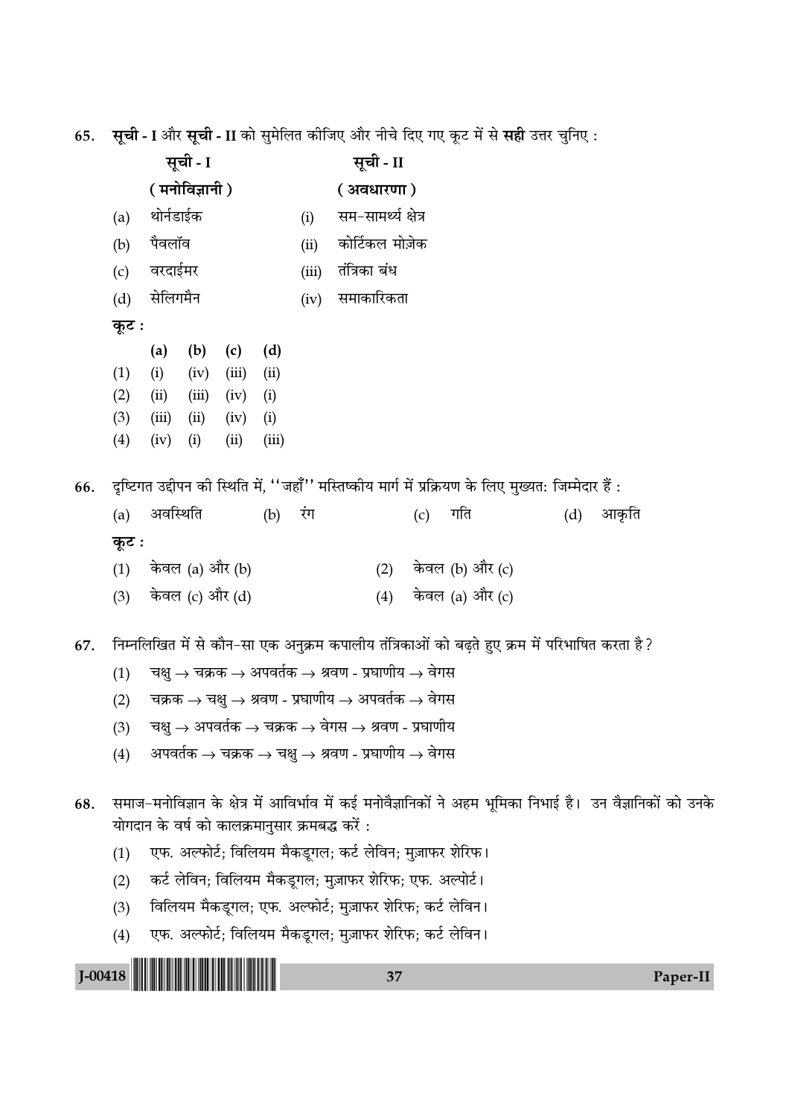65. सूची - I और सूची - II को सुमेलित कीजिए और नीचे दिए गए कूट में से सही उत्तर चुनिए :

|             | सूची - I |                |                 |       | सूची - II |                     |                                                                                                   |     |     |                                                                                                               |     |       |          |
|-------------|----------|----------------|-----------------|-------|-----------|---------------------|---------------------------------------------------------------------------------------------------|-----|-----|---------------------------------------------------------------------------------------------------------------|-----|-------|----------|
|             |          | ( मनोविज्ञानी) |                 |       |           | ( अवधारणा)          |                                                                                                   |     |     |                                                                                                               |     |       |          |
|             | (a)      | थोर्नडाईक      |                 |       | (i)       | सम–सामर्थ्य क्षेत्र |                                                                                                   |     |     |                                                                                                               |     |       |          |
|             | (b)      | पैवलॉव         |                 |       | (ii)      | कोर्टिकल मोज़ेक     |                                                                                                   |     |     |                                                                                                               |     |       |          |
|             | (c)      | वरदाईमर        |                 |       |           | (iii)               | तंत्रिका बंध                                                                                      |     |     |                                                                                                               |     |       |          |
|             | (d)      | सेलिगमैन       |                 |       |           | (iv)                | समाकारिकता                                                                                        |     |     |                                                                                                               |     |       |          |
|             | कूट :    |                |                 |       |           |                     |                                                                                                   |     |     |                                                                                                               |     |       |          |
|             |          | (a)            | (b)             | (c)   | (d)       |                     |                                                                                                   |     |     |                                                                                                               |     |       |          |
|             | (1)      | (i)            | (iv)            | (iii) | (ii)      |                     |                                                                                                   |     |     |                                                                                                               |     |       |          |
|             | (2)      | (ii)           | (iii)           | (iv)  | (i)       |                     |                                                                                                   |     |     |                                                                                                               |     |       |          |
|             | (3)      | (iii)          | (ii)            | (iv)  | (i)       |                     |                                                                                                   |     |     |                                                                                                               |     |       |          |
|             | (4)      | (iv)           | (i)             | (ii)  | (iii)     |                     |                                                                                                   |     |     |                                                                                                               |     |       |          |
| 66.         |          |                |                 |       |           |                     |                                                                                                   |     |     | दृष्टिगत उद्दीपन की स्थिति में, ''जहाँ'' मस्तिष्कीय मार्ग में प्रक्रियण के लिए मुख्यत: जिम्मेदार हैं :        |     |       |          |
|             | (a)      | अवस्थिति       |                 |       | (b)       | रंग                 |                                                                                                   |     | (c) | गति                                                                                                           | (d) | आकृति |          |
|             | कूट :    |                |                 |       |           |                     |                                                                                                   |     |     |                                                                                                               |     |       |          |
|             | (1)      |                | केवल (a) और (b) |       |           |                     |                                                                                                   |     |     | (2) केवल (b) और (c)                                                                                           |     |       |          |
|             | (3)      |                | केवल (c) और (d) |       |           |                     |                                                                                                   | (4) |     | केवल (a) और (c)                                                                                               |     |       |          |
|             |          |                |                 |       |           |                     |                                                                                                   |     |     |                                                                                                               |     |       |          |
| 67.         |          |                |                 |       |           |                     |                                                                                                   |     |     | निम्नलिखित में से कौन-सा एक अनुक्रम कपालीय तंत्रिकाओं को बढ़ते हुए क्रम में परिभाषित करता है ?                |     |       |          |
|             | (1)      |                |                 |       |           |                     | चक्षु → चक्रक → अपवर्तक → श्रवण - प्रघाणीय → वेगस                                                 |     |     |                                                                                                               |     |       |          |
|             | (2)      |                |                 |       |           |                     | चक्रक $\rightarrow$ चक्षु $\rightarrow$ श्रवण - प्रघाणीय $\rightarrow$ अपवर्तक $\rightarrow$ वेगस |     |     |                                                                                                               |     |       |          |
|             | (3)      |                |                 |       |           |                     | चक्षु $\rightarrow$ अपवर्तक $\rightarrow$ चक्रक $\rightarrow$ वेगस $\rightarrow$ श्रवण - प्रघाणीय |     |     |                                                                                                               |     |       |          |
|             | (4)      |                |                 |       |           |                     | अपवर्तक $\rightarrow$ चक्रक $\rightarrow$ चक्षु $\rightarrow$ श्रवण - प्रघाणीय $\rightarrow$ वेगस |     |     |                                                                                                               |     |       |          |
| 68.         |          |                |                 |       |           |                     |                                                                                                   |     |     | समाज–मनोविज्ञान के क्षेत्र में आविर्भाव में कई मनोवैज्ञानिकों ने अहम भूमिका निभाई है।  उन वैज्ञानिकों को उनके |     |       |          |
|             |          |                |                 |       |           |                     | योगदान के वर्ष को कालक्रमानुसार क्रमबद्ध करें :                                                   |     |     |                                                                                                               |     |       |          |
|             | (1)      |                |                 |       |           |                     | एफ. अल्फोर्ट; विलियम मैकडूगल; कर्ट लेविन; मुज़ाफर शेरिफ।                                          |     |     |                                                                                                               |     |       |          |
|             | (2)      |                |                 |       |           |                     | कर्ट लेविन; विलियम मैकड्गल; मुज़ाफर शेरिफ; एफ. अल्पोर्ट।                                          |     |     |                                                                                                               |     |       |          |
|             | (3)      |                |                 |       |           |                     | विलियम मैकडूगल; एफ. अल्फोर्ट; मुज़ाफर शेरिफ; कर्ट लेविन।                                          |     |     |                                                                                                               |     |       |          |
|             | (4)      |                |                 |       |           |                     | एफ. अल्फोर्ट; विलियम मैकडूगल; मुज़ाफर शेरिफ; कर्ट लेविन।                                          |     |     |                                                                                                               |     |       |          |
| $J - 00418$ |          |                |                 |       |           |                     |                                                                                                   | 37  |     |                                                                                                               |     |       | Paper-II |
|             |          |                |                 |       |           |                     |                                                                                                   |     |     |                                                                                                               |     |       |          |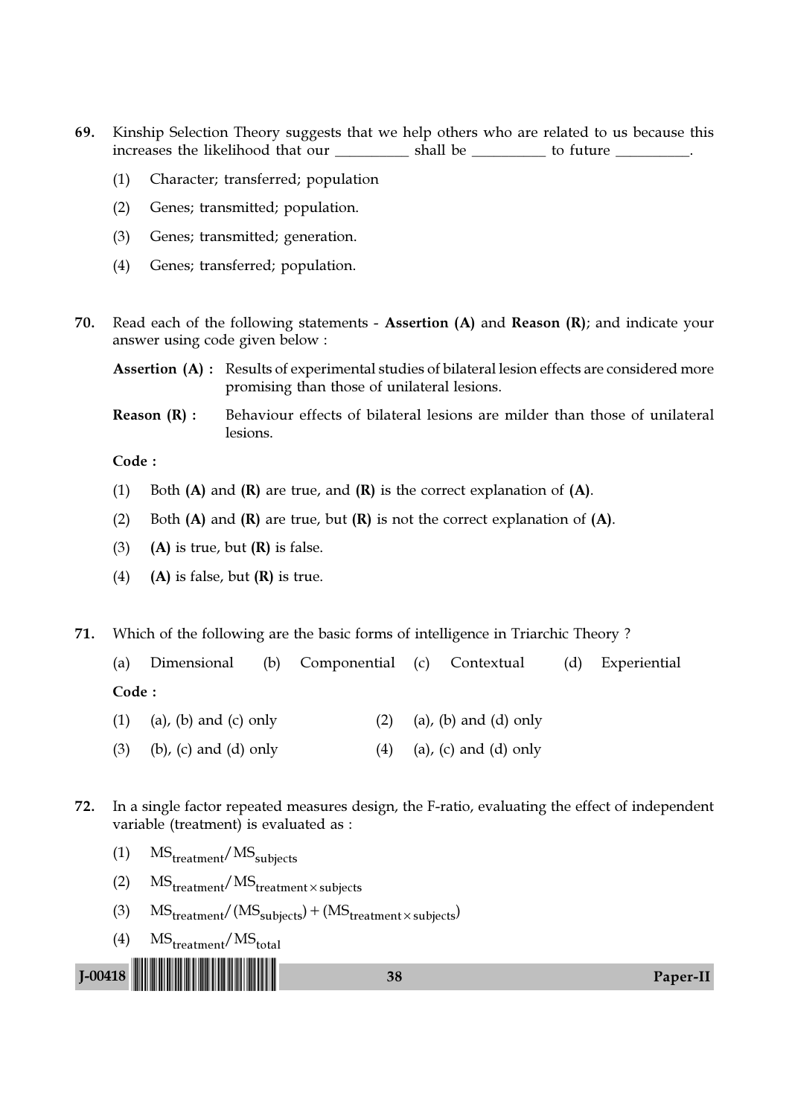- 69. Kinship Selection Theory suggests that we help others who are related to us because this increases the likelihood that our \_\_\_\_\_\_\_\_\_\_\_ shall be \_\_\_\_\_\_\_\_\_\_ to future \_\_\_\_\_\_\_\_\_.
	- (1) Character; transferred; population
	- (2) Genes; transmitted; population.
	- (3) Genes; transmitted; generation.
	- (4) Genes; transferred; population.
- 70. Read each of the following statements Assertion (A) and Reason (R); and indicate your answer using code given below :
	- Assertion (A) : Results of experimental studies of bilateral lesion effects are considered more promising than those of unilateral lesions.
	- **Reason**  $(R)$ **:** Behaviour effects of bilateral lesions are milder than those of unilateral lesions.

- (1) Both  $(A)$  and  $(R)$  are true, and  $(R)$  is the correct explanation of  $(A)$ .
- (2) Both  $(A)$  and  $(R)$  are true, but  $(R)$  is not the correct explanation of  $(A)$ .
- (3) (A) is true, but  $(R)$  is false.
- (4) (A) is false, but  $(R)$  is true.
- 71. Which of the following are the basic forms of intelligence in Triarchic Theory ?

|       |  | (a) Dimensional (b) Componential (c) Contextual (d) Experiential |  |  |
|-------|--|------------------------------------------------------------------|--|--|
| Code: |  |                                                                  |  |  |

- (1) (a), (b) and (c) only (2) (a), (b) and (d) only
- (3) (b), (c) and (d) only (4) (a), (c) and (d) only
- 72. In a single factor repeated measures design, the F-ratio, evaluating the effect of independent variable (treatment) is evaluated as :
	- $(1)$  MS<sub>treatment</sub>/MS<sub>subjects</sub>
	- (2)  $MS_{treatment}/MS_{treatment} \times subjects$
	- (3)  $\text{MS}_{\text{treatment}} / (\text{MS}_{\text{subjects}}) + (\text{MS}_{\text{treatment} \times \text{subjects}})$
	- $(4)$  MS<sub>treatment</sub>/MS<sub>total</sub>

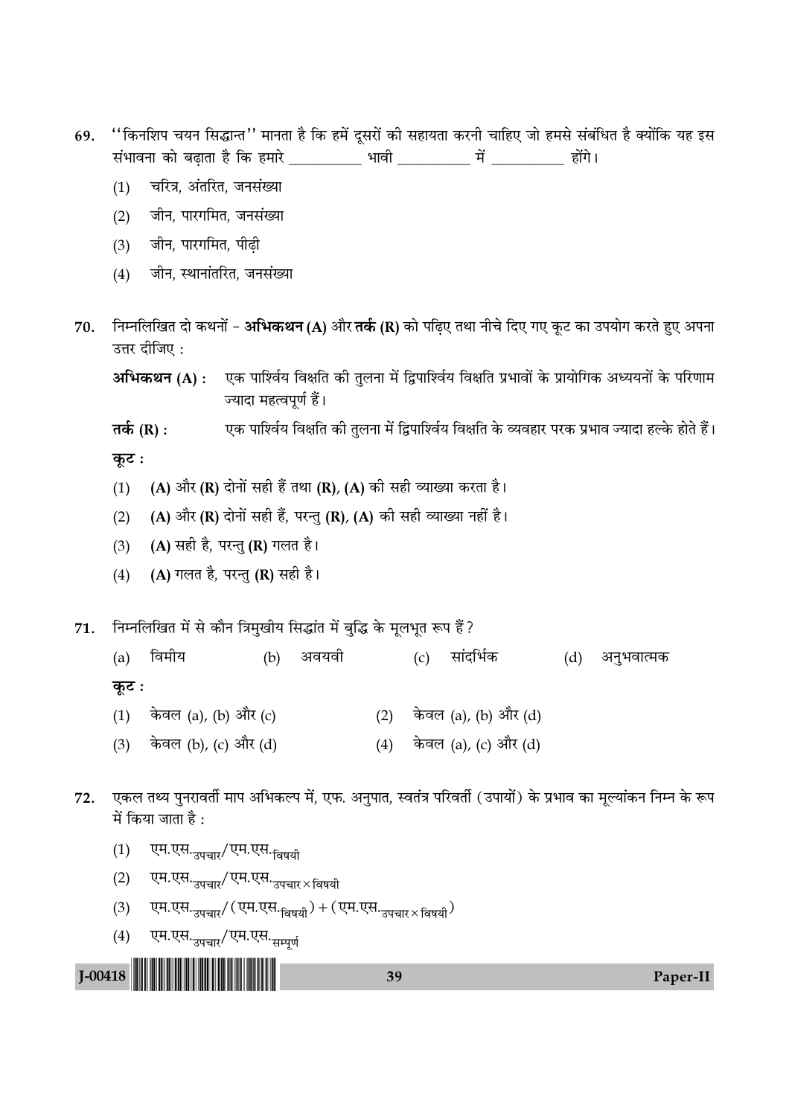- ''किनशिप चयन सिद्धान्त'' मानता है कि हमें दूसरों की सहायता करनी चाहिए जो हमसे संबंधित है क्योंकि यह इस 69. संभावना को बढ़ाता है कि हमारे \_\_\_\_\_\_\_\_\_ भावी \_\_\_\_\_\_\_\_\_\_ में \_\_\_\_\_\_\_\_\_ होंगे।
	- चरित्र, अंतरित, जनसंख्या  $(1)$
	- जीन, पारगमित, जनसंख्या  $(2)$
	- जीन, पारगमित, पीढी  $(3)$
	- जीन, स्थानांतरित, जनसंख्या  $(4)$
- निम्नलिखित दो कथनों अभिकथन (A) और तर्क (R) को पढ़िए तथा नीचे दिए गए कूट का उपयोग करते हुए अपना 70. उत्तर दीजिए:

एक पाश्विय विक्षति की तुलना में द्विपाश्विय विक्षति प्रभावों के प्रायोगिक अध्ययनों के परिणाम अभिकथन (A) : ज्यादा महत्वपर्ण हैं।

तर्क  $(R)$  : एक पाश्विय विक्षति को तुलना में द्विपाश्विय विक्षति के व्यवहार परक प्रभाव ज्यादा हल्के होते हैं।

कूट:

- (A) और (R) दोनों सही हैं तथा (R), (A) की सही व्याख्या करता है।  $(1)$
- (A) और (R) दोनों सही हैं, परन्तु (R), (A) की सही व्याख्या नहीं है।  $(2)$
- (A) सही है, परन्तु (R) गलत है।  $(3)$
- (A) गलत है, परन्तु (R) सही है।  $(4)$
- निम्नलिखित में से कौन त्रिमुखीय सिद्धांत में बुद्धि के मूलभूत रूप हैं? 71.

| (a)   | विमीय                | (b) | अवयवी |     | (c) | सांदर्भिक                  | (d) | अनुभवात्मक |
|-------|----------------------|-----|-------|-----|-----|----------------------------|-----|------------|
| कूट : |                      |     |       |     |     |                            |     |            |
| (1)   | केवल (a), (b) और (c) |     |       | (2) |     | केवल (a), (b) और (d)       |     |            |
| (3)   | केवल (b), (c) और (d) |     |       |     |     | $(4)$ केवल (a), (c) और (d) |     |            |

- 72. एकल तथ्य पुनरावर्ती माप अभिकल्प में, एफ. अनुपात, स्वतंत्र परिवर्ती (उपायों) के प्रभाव का मूल्यांकन निम्न के रूप में किया जाता है:
	- एम.एस.<sub>उपचार</sub>/एम.एस.<sub>विषयी</sub>  $(1)$
	- एम.एस. उपचार/ एम.एस. उपचार × विषयी  $(2)$
	- एम.एस. 39 (एम.एस. <sub>विषयी</sub>) + (एम.एस. 39 वाल × विषयी)  $(3)$
	- $(4)$ एम.एस.<sub>उपचार</sub>/एम.एस.<sub>सम्पर्ण</sub>



### 39

Paper-II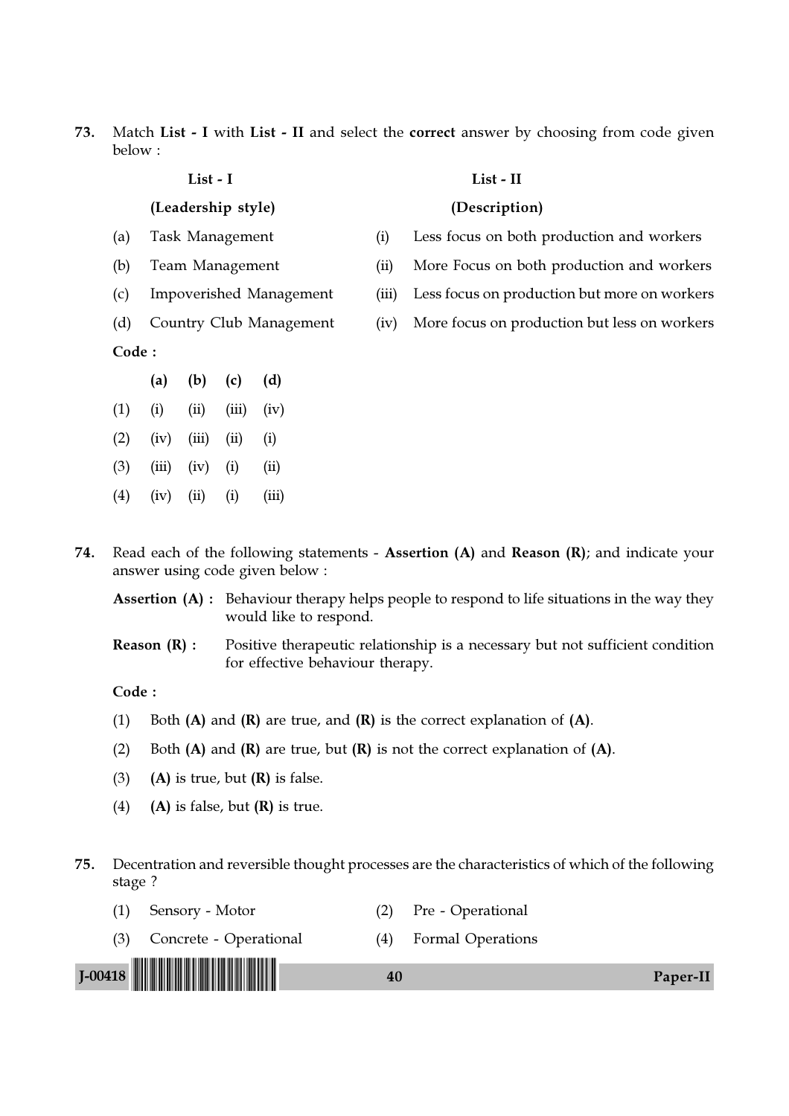73. Match List - I with List - II and select the correct answer by choosing from code given below :

| LIJL - 1                                                                                                                                                                                                                                                                      |
|-------------------------------------------------------------------------------------------------------------------------------------------------------------------------------------------------------------------------------------------------------------------------------|
| (Leadership style)                                                                                                                                                                                                                                                            |
| Task Management                                                                                                                                                                                                                                                               |
| Team Management                                                                                                                                                                                                                                                               |
| Impoverished Management                                                                                                                                                                                                                                                       |
| $C_{\rm{2}}$ and $C_{\rm{2}}$ and $C_{\rm{2}}$ and $C_{\rm{2}}$ and $C_{\rm{2}}$ and $C_{\rm{2}}$ and $C_{\rm{2}}$ and $C_{\rm{2}}$ and $C_{\rm{2}}$ and $C_{\rm{2}}$ and $C_{\rm{2}}$ and $C_{\rm{2}}$ and $C_{\rm{2}}$ and $C_{\rm{2}}$ and $C_{\rm{2}}$ and $C_{\rm{2}}$ a |

List - I List - II

### (Description)

- (a) Task Management (i) Less focus on both production and workers
- (b) Team Management (ii) More Focus on both production and workers
- (c) Impoverished Management (iii) Less focus on production but more on workers
- (d) Country Club Management (iv) More focus on production but less on workers

Code :

|     | (a)   | (b)   | (c)   | (d)   |
|-----|-------|-------|-------|-------|
| (1) | (i)   | (ii)  | (iii) | (iv)  |
| (2) | (iv)  | (iii) | (ii)  | (i)   |
| (3) | (iii) | (iv)  | (i)   | (ii)  |
| (4) | (iv)  | (ii)  | (i)   | (iii) |

74. Read each of the following statements - Assertion (A) and Reason (R); and indicate your answer using code given below :

Assertion (A) : Behaviour therapy helps people to respond to life situations in the way they would like to respond.

Reason (R) : Positive therapeutic relationship is a necessary but not sufficient condition for effective behaviour therapy.

Code :

- (1) Both  $(A)$  and  $(R)$  are true, and  $(R)$  is the correct explanation of  $(A)$ .
- (2) Both  $(A)$  and  $(R)$  are true, but  $(R)$  is not the correct explanation of  $(A)$ .
- (3) (A) is true, but  $(R)$  is false.
- (4) (A) is false, but  $(R)$  is true.

## 75. Decentration and reversible thought processes are the characteristics of which of the following stage ?

| J-00418 <b>                          </b> | 40  |                          | Paper-II |
|-------------------------------------------|-----|--------------------------|----------|
| (3) Concrete - Operational                | (4) | <b>Formal Operations</b> |          |
| Sensory - Motor                           |     | Pre - Operational        |          |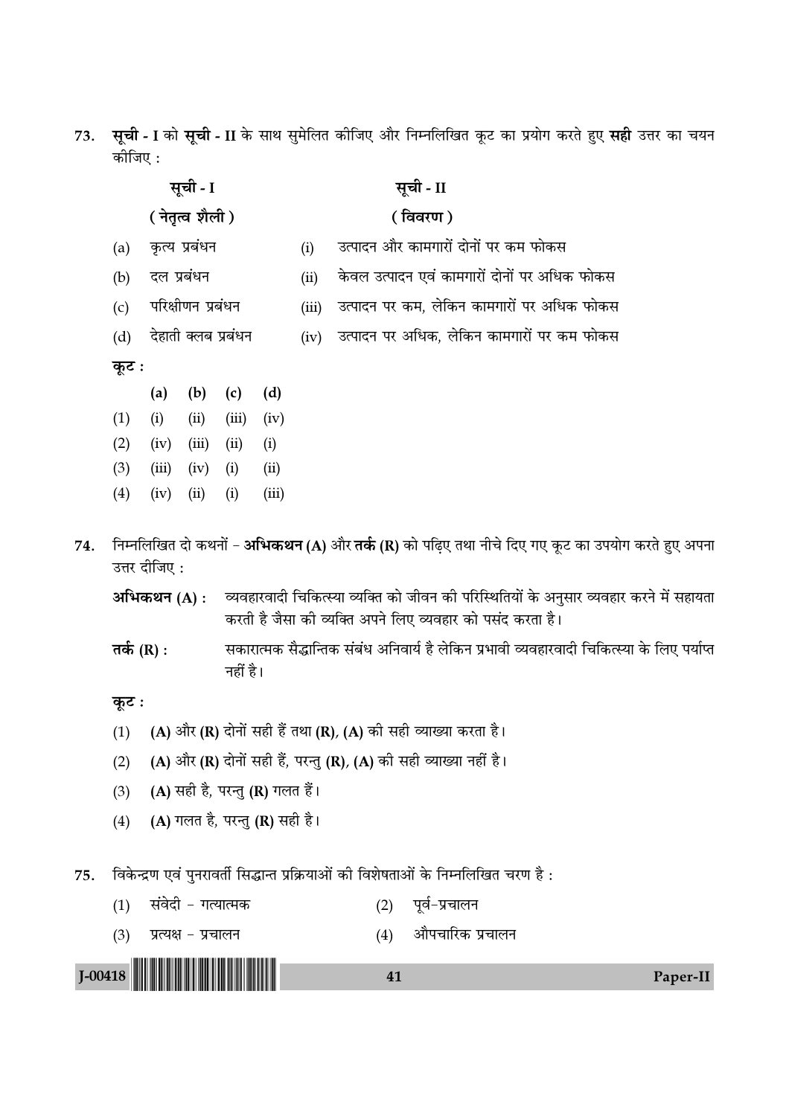73. सूची - I को सूची - II के साथ सुमेलित कीजिए और निम्नलिखित कूट का प्रयोग करते हुए सही उत्तर का चयन कोजिए :

| सूची - I<br>( नेतृत्व शैली ) |                                                                                                                                           |      |                                              |  | सूची - II                                  |
|------------------------------|-------------------------------------------------------------------------------------------------------------------------------------------|------|----------------------------------------------|--|--------------------------------------------|
|                              | कृत्य प्रबंधन<br>(i)<br>दल प्रबंधन<br>(ii)<br>परिक्षीणन प्रबंधन<br>(iii)<br>देहाती क्लब प्रबंधन<br>(iv)                                   |      |                                              |  | (विवरण)                                    |
| (a)                          | (b)<br>(d)<br>(c)<br>(a)<br>(i)<br>(ii)<br>(iii)<br>(iv)<br>(iii)<br>(ii)<br>(i)<br>(iv)<br>(ii)<br>(iii)<br>(i)<br>(iv)<br>(iii)<br>(iv) |      | उत्पादन और कामगारों दोनों पर कम फोकस         |  |                                            |
| (b)                          |                                                                                                                                           |      | केवल उत्पादन एवं कामगारों दोनों पर अधिक फोकस |  |                                            |
| (c)                          |                                                                                                                                           |      |                                              |  | उत्पादन पर कम, लेकिन कामगारों पर अधिक फोकस |
| (d)                          |                                                                                                                                           |      |                                              |  | उत्पादन पर अधिक, लेकिन कामगारों पर कम फोकस |
| कूट :                        |                                                                                                                                           |      |                                              |  |                                            |
|                              |                                                                                                                                           |      |                                              |  |                                            |
| (1)                          |                                                                                                                                           |      |                                              |  |                                            |
| (2)                          |                                                                                                                                           |      |                                              |  |                                            |
| (3)                          |                                                                                                                                           |      |                                              |  |                                            |
| (4)                          |                                                                                                                                           | (ii) | (i)                                          |  |                                            |

- निम्नलिखित दो कथनों अभिकथन (A) और तर्क (R) को पढ़िए तथा नीचे दिए गए कूट का उपयोग करते हुए अपना 74. उत्तर दीजिए:
	- अभिकथन (A) : व्यवहारवादी चिकित्स्या व्यक्ति को जीवन की परिस्थितियों के अनुसार व्यवहार करने में सहायता करती है जैसा की व्यक्ति अपने लिए व्यवहार को पसंद करता है।
	- सकारात्मक सैद्धान्तिक संबंध अनिवार्य है लेकिन प्रभावी व्यवहारवादी चिकित्स्या के लिए पर्याप्त तर्क  $(R)$  : नहीं है।

## कूट :

- (A) और (R) दोनों सही हैं तथा (R), (A) की सही व्याख्या करता है।  $(1)$
- (A) और (R) दोनों सही हैं, परन्तु (R), (A) की सही व्याख्या नहीं है।  $(2)$
- (A) सही है, परन्तु (R) गलत हैं।  $(3)$
- (A) गलत है, परन्तु (R) सही है।  $(4)$

विकेन्द्रण एवं पुनरावर्ती सिद्धान्त प्रक्रियाओं की विशेषताओं के निम्नलिखित चरण है: 75.

- $(1)$  संवेदी गत्यात्मक (2) पूर्व-प्रचालन
- $(3)$ प्रत्यक्ष - प्रचालन (4) औपचारिक प्रचालन 41 Paper-II

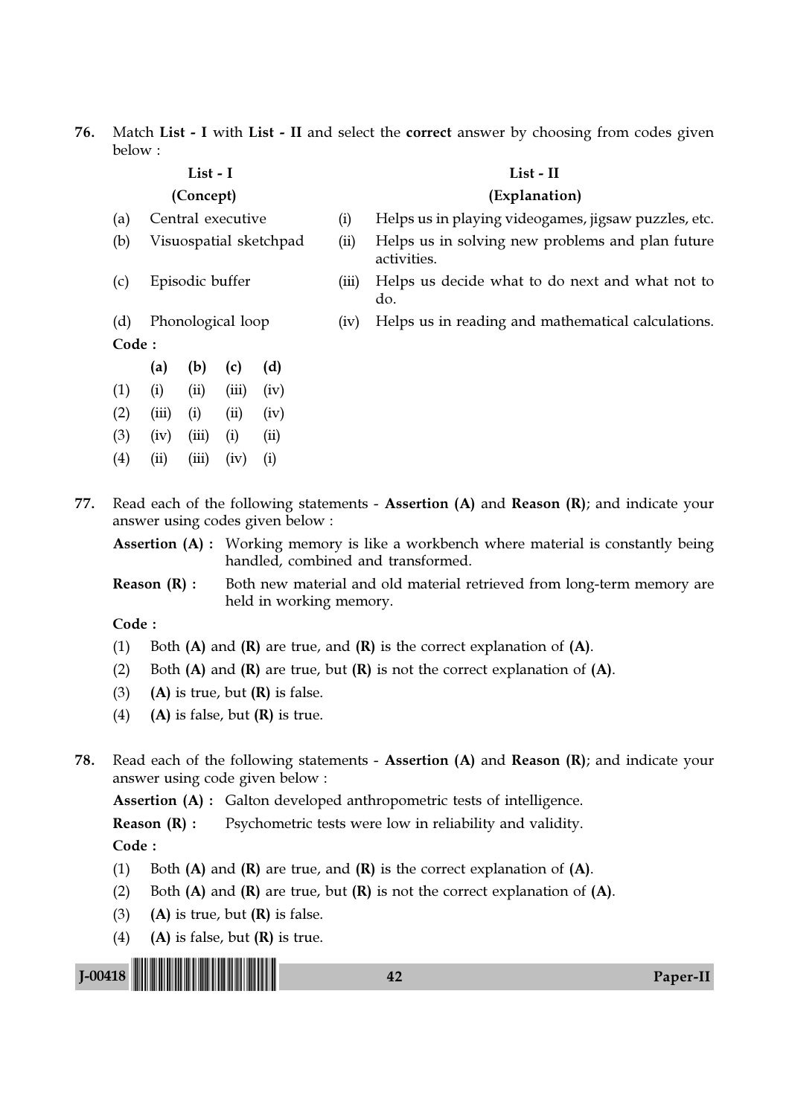76. Match List - I with List - II and select the correct answer by choosing from codes given below :

activities.

### List - I List - II

### (Concept) (Explanation)

- (a) Central executive (i) Helps us in playing videogames, jigsaw puzzles, etc.
- (b) Visuospatial sketchpad (ii) Helps us in solving new problems and plan future
- (c) Episodic buffer (iii) Helps us decide what to do next and what not to
	- do.
- Code :
- (a) (b) (c) (d)  $(1)$   $(ii)$   $(iii)$   $(iii)$   $(iv)$  $(2)$   $(iii)$   $(i)$   $(ii)$   $(iv)$  $(3)$   $(iv)$   $(iii)$   $(i)$   $(ii)$  $(4)$   $(ii)$   $(iii)$   $(iv)$   $(i)$
- (d) Phonological loop (iv) Helps us in reading and mathematical calculations.

77. Read each of the following statements - Assertion (A) and Reason (R); and indicate your answer using codes given below :

Assertion (A) : Working memory is like a workbench where material is constantly being handled, combined and transformed.

**Reason (R) :** Both new material and old material retrieved from long-term memory are held in working memory.

Code :

- (1) Both  $(A)$  and  $(R)$  are true, and  $(R)$  is the correct explanation of  $(A)$ .
- (2) Both  $(A)$  and  $(R)$  are true, but  $(R)$  is not the correct explanation of  $(A)$ .
- (3) (A) is true, but  $(R)$  is false.
- (4) (A) is false, but  $(R)$  is true.
- 78. Read each of the following statements Assertion (A) and Reason (R); and indicate your answer using code given below :

Assertion (A) : Galton developed anthropometric tests of intelligence.

**Reason (R) :** Psychometric tests were low in reliability and validity.

- (1) Both  $(A)$  and  $(R)$  are true, and  $(R)$  is the correct explanation of  $(A)$ .
- (2) Both  $(A)$  and  $(R)$  are true, but  $(R)$  is not the correct explanation of  $(A)$ .
- (3) (A) is true, but  $(R)$  is false.
- (4) (A) is false, but  $(R)$  is true.

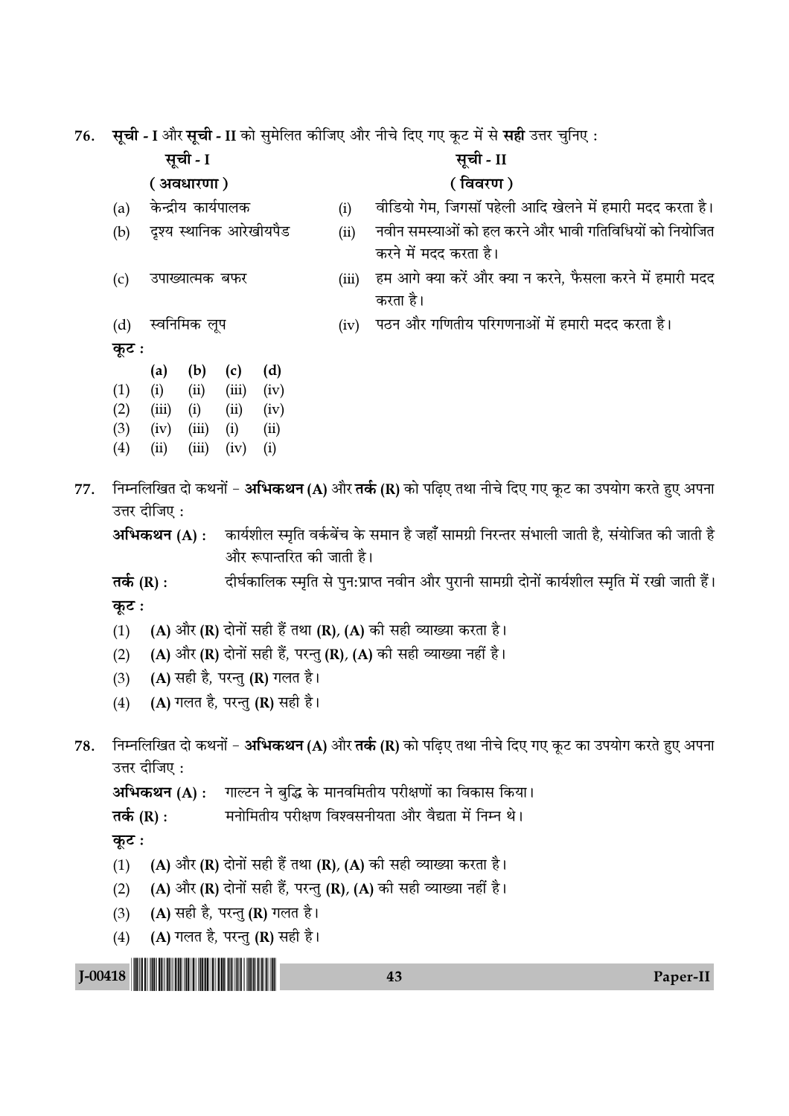76. सूची - I और सूची - II को सुमेलित कीजिए और नीचे दिए गए कूट में से सही उत्तर चुनिए :

 **'ÍøË** - I **'ÍøË** - II

**(** $\frac{1}{2}$  ) **(** $\frac{1}{2}$  ) **(** $\frac{1}{2}$  ) **(** $\frac{1}{2}$  ) **(** $\frac{1}{2}$  ) **(** $\frac{1}{2}$  ) **(** $\frac{1}{2}$  ) **(** $\frac{1}{2}$  ) **(** $\frac{1}{2}$  ) **(** $\frac{1}{2}$  ) **(** $\frac{1}{2}$  ) **(** $\frac{1}{2}$  ) **(** $\frac{1}{2}$  ) **(** $\frac{1}{2}$  ) **(** $\frac{1}{2}$ 

- 
- 

- (a) केन्द्रीय कार्यपालक (i) वीडियो गेम, जिगसॉ पहेली आदि खेलने में हमारी मदद करता है।
- (b) दृश्य स्थानिक आरेखीयपैड (ii) नवीन समस्याओं को हल करने और भावी गतिविधियों को नियोजित करने में मदद करता है।
- (c) ठपाख्यात्मक बफर (iii) हम आगे क्या करें और क्या न करने, फैसला करने में हमारी मदद करता है।
- (d) स्वनिमिक लूप (iv) पठन और गणितीय परिगणनाओं में हमारी मदद करता है।

**कुट:** 

|                   | (a)   | (b)   | (c)   | (d)  |
|-------------------|-------|-------|-------|------|
| (1)               | (i)   | (ii)  | (iii) | (iv) |
| (2)               | (iii) | (i)   | (ii)  | (iv) |
| (3)               | (iv)  | (iii) | (i)   | (ii) |
| $\left( 4\right)$ | (ii)  | (iii) | (iv)  | (i)  |

77. निम्नलिखित दो कथनों − **अभिकथन (A)** और **तर्क (R)** को पढिए तथा नीचे दिए गए कूट का उपयोग करते हुए अपना उत्तर दीजिए :

**अभिकथन (A) :** कार्यशील स्मृति वर्कबेंच के समान है जहाँ सामग्री निरन्तर संभाली जाती है, संयोजित की जाती है और रूपान्तरित की जाती है।

- **तर्क (R) :** दीर्घकालिक स्मृति से पुन:प्राप्त नवीन और पुरानी सामग्री दोनों कार्यशील स्मृति में रखी जाती हैं। **कुट:**
- (1) (A) और (R) दोनों सही हैं तथा (R), (A) की सही व्याख्या करता है।
- (2) (A) और (R) दोनों सही हैं, परन्तु (R), (A) की सही व्याख्या नहीं है।
- (3) (A) सही है, परन्तु (R) गलत है।
- (4) (A) गलत है, परन्तु (R) सही है।
- 78. निम्नलिखित दो कथनों **अभिकथन (A)** और **तर्क (R)** को पढ़िए तथा नीचे दिए गए कूट का उपयोग करते हुए अपना उत्तर दीजिए:

**अभिकथन (A) :** गाल्टन ने बुद्धि के मानवमितीय परीक्षणों का विकास किया।

```
Ã∑¸§ (R) : ◊ŸÊÁ◊ÃËÿ ¬⁄UˡÊáÊ Áfl‡fl'ŸËÿÃÊ •ÊÒ⁄U flÒlÃÊ ◊¥ ÁŸêŸ Õ–
```
**कूट**ः

- (1) (A) और (R) दोनों सही हैं तथा (R), (A) की सही व्याख्या करता है।
- (2) (A) और (R) दोनों सही हैं, परन्तु (R), (A) की सही व्याख्या नहीं है।
- (3) (A) सही है, परन्तु (R) गलत है।
- (4) (A) गलत है, परन्तु (R) सही है।

J-00418 !J-00418-PAPER-II! <sup>43</sup> Paper-II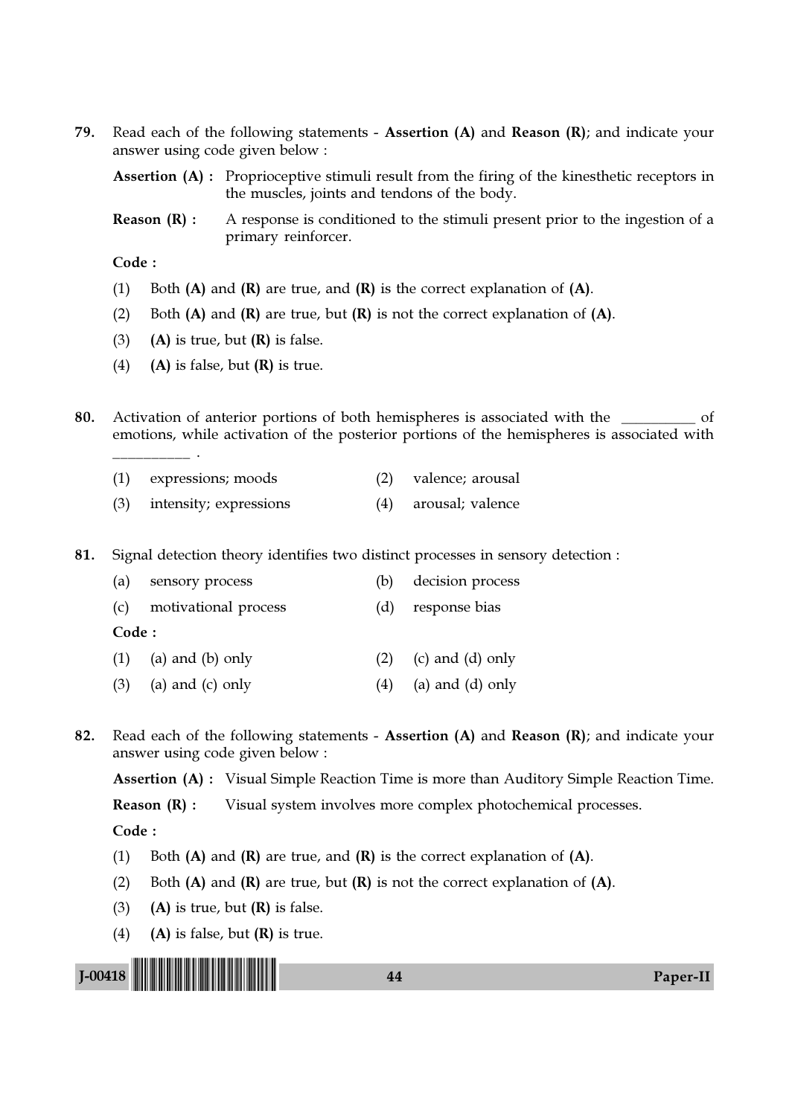79. Read each of the following statements - Assertion  $(A)$  and Reason  $(R)$ ; and indicate your answer using code given below :

Assertion (A) : Proprioceptive stimuli result from the firing of the kinesthetic receptors in the muscles, joints and tendons of the body.

**Reason**  $(R)$ **:** A response is conditioned to the stimuli present prior to the ingestion of a primary reinforcer.

Code :

\_\_\_\_\_\_\_\_\_\_ .

- (1) Both  $(A)$  and  $(R)$  are true, and  $(R)$  is the correct explanation of  $(A)$ .
- (2) Both  $(A)$  and  $(R)$  are true, but  $(R)$  is not the correct explanation of  $(A)$ .
- (3) (A) is true, but  $(R)$  is false.
- (4) (A) is false, but  $(R)$  is true.
- 80. Activation of anterior portions of both hemispheres is associated with the \_\_\_\_\_\_\_\_\_ of emotions, while activation of the posterior portions of the hemispheres is associated with

| (1) | expressions; moods | valence; arousal |
|-----|--------------------|------------------|
|     |                    |                  |

(3) intensity; expressions (4) arousal; valence

81. Signal detection theory identifies two distinct processes in sensory detection :

| (a)    | sensory process          | (b) | decision process   |
|--------|--------------------------|-----|--------------------|
|        | (c) motivational process | (d) | response bias      |
| Code : |                          |     |                    |
|        | $(1)$ (a) and (b) only   | (2) | (c) and (d) only   |
| (3)    | (a) and $(c)$ only       | (4) | (a) and $(d)$ only |
|        |                          |     |                    |

82. Read each of the following statements - Assertion (A) and Reason (R); and indicate your answer using code given below :

Assertion (A) : Visual Simple Reaction Time is more than Auditory Simple Reaction Time.

Reason (R) : Visual system involves more complex photochemical processes.

- (1) Both  $(A)$  and  $(R)$  are true, and  $(R)$  is the correct explanation of  $(A)$ .
- (2) Both  $(A)$  and  $(R)$  are true, but  $(R)$  is not the correct explanation of  $(A)$ .
- (3) (A) is true, but  $(R)$  is false.
- (4) (A) is false, but  $(R)$  is true.

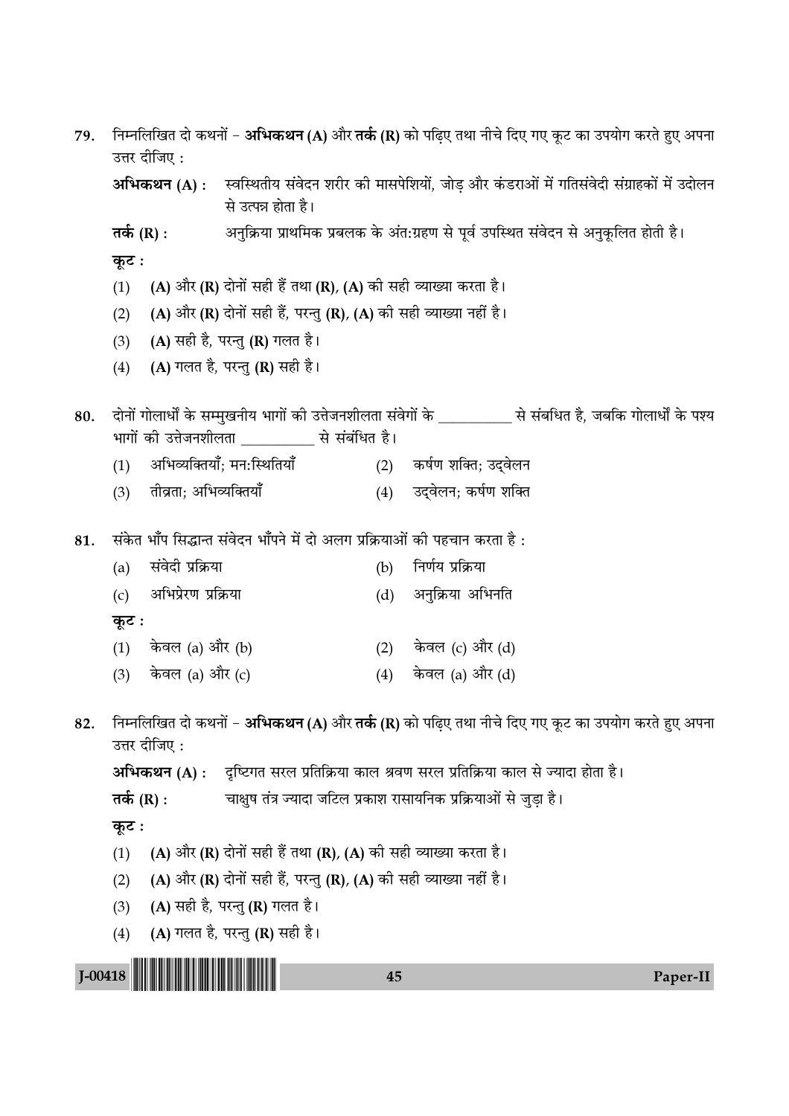| 79.         | निम्नलिखित दो कथनों – अभिकथन (A) और तर्क (R) को पढ़िए तथा नीचे दिए गए कूट का उपयोग करते हुए अपना<br>उत्तर दीजिए : |                        |                                                                                     |     |                                                                                                                 |  |  |  |
|-------------|-------------------------------------------------------------------------------------------------------------------|------------------------|-------------------------------------------------------------------------------------|-----|-----------------------------------------------------------------------------------------------------------------|--|--|--|
|             |                                                                                                                   | अभिकथन (A) :           | से उत्पन्न होता है।                                                                 |     | स्वस्थितीय संवेदन शरीर की मासपेशियों, जोड़ और कंडराओं में गतिसंवेदी संग्राहकों में उदोलन                        |  |  |  |
|             | तर्क (R) :                                                                                                        |                        | अनुक्रिया प्राथमिक प्रबलक के अंत:ग्रहण से पूर्व उपस्थित संवेदन से अनुकूलित होती है। |     |                                                                                                                 |  |  |  |
|             | कूट :                                                                                                             |                        |                                                                                     |     |                                                                                                                 |  |  |  |
|             | (1)                                                                                                               |                        | (A) और (R) दोनों सही हैं तथा (R), (A) को सही व्याख्या करता है।                      |     |                                                                                                                 |  |  |  |
|             | (2)                                                                                                               |                        | (A) और (R) दोनों सही हैं, परन्तु (R), (A) की सही व्याख्या नहीं है।                  |     |                                                                                                                 |  |  |  |
|             | (3)                                                                                                               |                        | (A) सही है, परन्तु (R) गलत है।                                                      |     |                                                                                                                 |  |  |  |
|             | (4)                                                                                                               |                        | (A) गलत है, परन्तु (R) सही है।                                                      |     |                                                                                                                 |  |  |  |
| 80.         | भागों की उत्तेजनशीलता ____________ से संबंधित है।                                                                 |                        |                                                                                     |     | दोनों गोलार्धों के सम्मुखनीय भागों की उत्तेजनशीलता संवेगों के ____________ से संबधित है, जबकि गोलार्धों के पश्य |  |  |  |
|             | (1)                                                                                                               |                        | अभिव्यक्तियाँ; मन:स्थितियाँ                                                         |     | (2) कर्षण शक्ति; उद्वेलन                                                                                        |  |  |  |
|             | (3)                                                                                                               | तीव्रता; अभिव्यक्तियाँ |                                                                                     | (4) | उद्वेलन; कर्षण शक्ति                                                                                            |  |  |  |
| 81.         |                                                                                                                   |                        |                                                                                     |     | संकेत भाँप सिद्धान्त संवेदन भाँपने में दो अलग प्रक्रियाओं की पहचान करता है :                                    |  |  |  |
|             | (a)                                                                                                               | संवेदी प्रक्रिया       |                                                                                     | (b) | निर्णय प्रक्रिया                                                                                                |  |  |  |
|             | (c)                                                                                                               | अभिप्रेरण प्रक्रिया    |                                                                                     | (d) | अनुक्रिया अभिनति                                                                                                |  |  |  |
|             | कूट :                                                                                                             |                        |                                                                                     |     |                                                                                                                 |  |  |  |
|             |                                                                                                                   | (1) केवल (a) और (b)    |                                                                                     | (2) | केवल (c) और (d)                                                                                                 |  |  |  |
|             | (3)                                                                                                               | केवल (a) और (c)        |                                                                                     | (4) | केवल (a) और (d)                                                                                                 |  |  |  |
| 82.         |                                                                                                                   | उत्तर दीजिए:           |                                                                                     |     | निम्नलिखित दो कथनों – अभिकथन (A) और तर्क (R) को पढ़िए तथा नीचे दिए गए कूट का उपयोग करते हुए अपना                |  |  |  |
|             |                                                                                                                   | अभिकथन (A) :           |                                                                                     |     | दृष्टिगत सरल प्रतिक्रिया काल श्रवण सरल प्रतिक्रिया काल से ज्यादा होता है।                                       |  |  |  |
|             | तर्क (R) :                                                                                                        |                        |                                                                                     |     | चाक्षुष तंत्र ज्यादा जटिल प्रकाश रासायनिक प्रक्रियाओं से जुड़ा है।                                              |  |  |  |
|             | कूट :                                                                                                             |                        |                                                                                     |     |                                                                                                                 |  |  |  |
|             | (1)                                                                                                               |                        | (A) और (R) दोनों सही हैं तथा (R), (A) की सही व्याख्या करता है।                      |     |                                                                                                                 |  |  |  |
|             | (2)                                                                                                               |                        | (A) और (R) दोनों सही हैं, परन्तु (R), (A) की सही व्याख्या नहीं है।                  |     |                                                                                                                 |  |  |  |
|             | (3)                                                                                                               |                        | (A) सही है, परन्तु (R) गलत है।                                                      |     |                                                                                                                 |  |  |  |
|             | (4)                                                                                                               |                        | (A) गलत है, परन्तु (R) सही है।                                                      |     |                                                                                                                 |  |  |  |
| $J - 00418$ |                                                                                                                   |                        |                                                                                     | 45  | Paper-II                                                                                                        |  |  |  |
|             |                                                                                                                   |                        |                                                                                     |     |                                                                                                                 |  |  |  |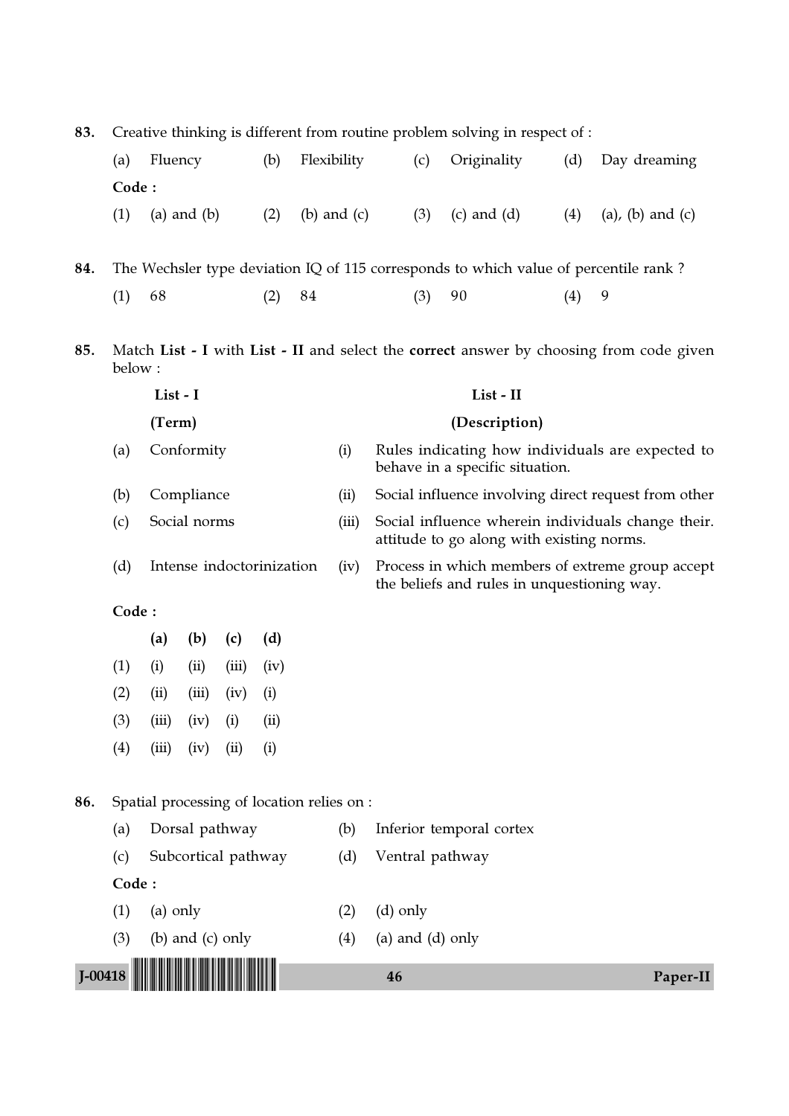83. Creative thinking is different from routine problem solving in respect of :

|     | (a)                                                                                               | Fluency                                                                              | (b) | Flexibility     | (c)                                                                                 | Originality     | (d) | Day dreaming                                         |  |  |  |  |
|-----|---------------------------------------------------------------------------------------------------|--------------------------------------------------------------------------------------|-----|-----------------|-------------------------------------------------------------------------------------|-----------------|-----|------------------------------------------------------|--|--|--|--|
|     | Code:                                                                                             |                                                                                      |     |                 |                                                                                     |                 |     |                                                      |  |  |  |  |
|     | (1)                                                                                               | $(a)$ and $(b)$                                                                      | (2) | $(b)$ and $(c)$ | (3)                                                                                 | $(c)$ and $(d)$ | (4) | $(a)$ , $(b)$ and $(c)$                              |  |  |  |  |
| 84. |                                                                                                   | The Wechsler type deviation IQ of 115 corresponds to which value of percentile rank? |     |                 |                                                                                     |                 |     |                                                      |  |  |  |  |
|     | (1)                                                                                               | 68                                                                                   | (2) | 84              | (3)                                                                                 | 90              | (4) | 9                                                    |  |  |  |  |
|     |                                                                                                   |                                                                                      |     |                 |                                                                                     |                 |     |                                                      |  |  |  |  |
| 85. | Match List - I with List - II and select the correct answer by choosing from code given<br>below: |                                                                                      |     |                 |                                                                                     |                 |     |                                                      |  |  |  |  |
|     | List - I                                                                                          |                                                                                      |     | List - II       |                                                                                     |                 |     |                                                      |  |  |  |  |
|     | (Term)<br>Conformity<br>(a)<br>(b)<br>Compliance                                                  |                                                                                      |     | (Description)   |                                                                                     |                 |     |                                                      |  |  |  |  |
|     |                                                                                                   |                                                                                      |     | (i)             | Rules indicating how individuals are expected to<br>behave in a specific situation. |                 |     |                                                      |  |  |  |  |
|     |                                                                                                   |                                                                                      |     | (ii)            |                                                                                     |                 |     | Social influence involving direct request from other |  |  |  |  |
|     |                                                                                                   |                                                                                      |     |                 |                                                                                     |                 |     |                                                      |  |  |  |  |

- (c) Social norms (iii) Social influence wherein individuals change their. attitude to go along with existing norms.
- (d) Intense indoctorinization (iv) Process in which members of extreme group accept the beliefs and rules in unquestioning way.

Code :

|     | (a)   | (b)   | (c)   | (d)               |
|-----|-------|-------|-------|-------------------|
| (1) | (i)   | (ii)  | (iii) | (iv)              |
| (2) | (ii)  | (iii) | (iv)  | $\rm(i)$          |
| (3) | (iii) | (iv)  | (i)   | (ii)              |
| (4) | (iii) | (iv)  | (ii)  | $\left( i\right)$ |

86. Spatial processing of location relies on :

(a) Dorsal pathway (b) Inferior temporal cortex

- 
- (c) Subcortical pathway (d) Ventral pathway

- (1) (a) only (2) (d) only
	-
- (3) (b) and (c) only  $(4)$  (a) and (d) only
- 



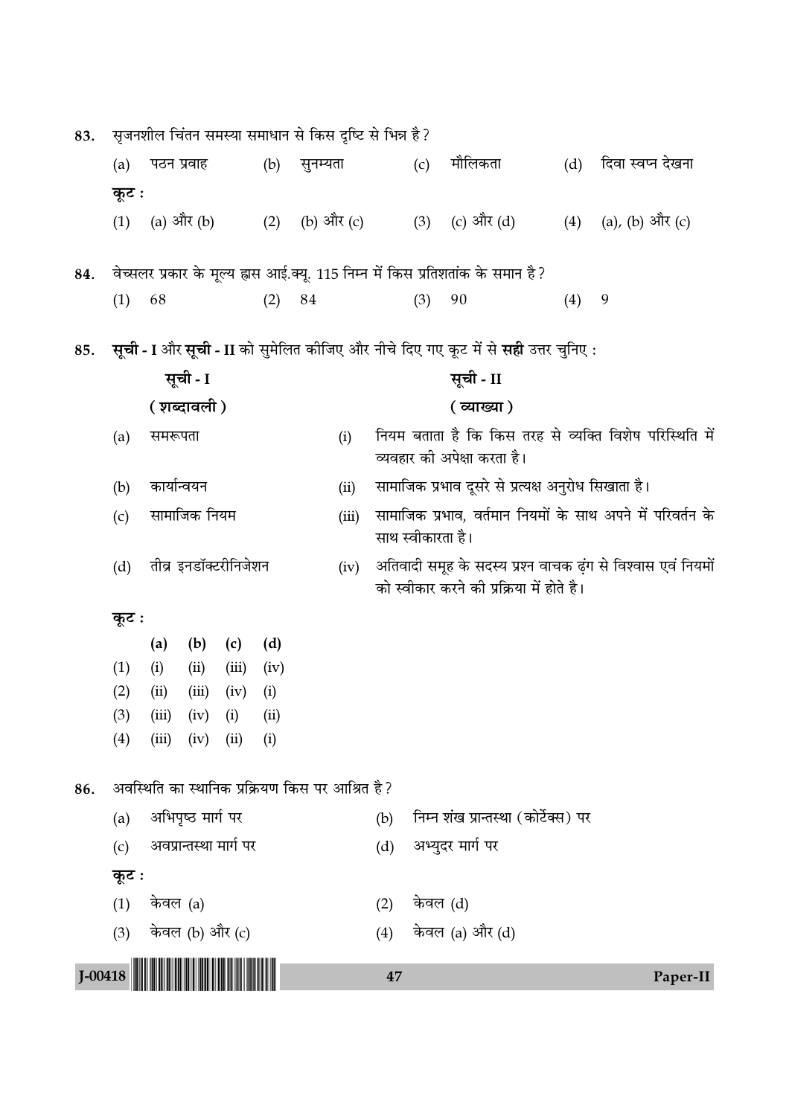| (a)                                                                                |                       |                                           |                                               | (b)                                                                       |                         |                                                                                        |                                                                                                           | (c)        | मौलिकता                                                | (d)                         | दिवा स्वप्न देखना                                                                                                        |  |  |
|------------------------------------------------------------------------------------|-----------------------|-------------------------------------------|-----------------------------------------------|---------------------------------------------------------------------------|-------------------------|----------------------------------------------------------------------------------------|-----------------------------------------------------------------------------------------------------------|------------|--------------------------------------------------------|-----------------------------|--------------------------------------------------------------------------------------------------------------------------|--|--|
|                                                                                    |                       |                                           |                                               |                                                                           |                         |                                                                                        |                                                                                                           |            |                                                        |                             |                                                                                                                          |  |  |
| (1)                                                                                |                       |                                           |                                               | (2)                                                                       |                         |                                                                                        |                                                                                                           | (3)        | (c) और (d)                                             | (4)                         | (a), (b) और (c)                                                                                                          |  |  |
|                                                                                    |                       |                                           |                                               |                                                                           |                         |                                                                                        |                                                                                                           |            |                                                        |                             |                                                                                                                          |  |  |
| (1)                                                                                | 68                    |                                           |                                               | (2)                                                                       | 84                      |                                                                                        |                                                                                                           | (3)        | 90                                                     | (4)                         | 9                                                                                                                        |  |  |
| सूची - I और सूची - II को सुमेलित कीजिए और नीचे दिए गए कूट में से सही उत्तर चुनिए : |                       |                                           |                                               |                                                                           |                         |                                                                                        |                                                                                                           |            |                                                        |                             |                                                                                                                          |  |  |
| सूची - I                                                                           |                       |                                           |                                               |                                                                           |                         |                                                                                        | सूची - II                                                                                                 |            |                                                        |                             |                                                                                                                          |  |  |
| ( शब्दावली )<br>समरूपता<br>(a)                                                     |                       |                                           |                                               |                                                                           |                         |                                                                                        | ( व्याख्या )                                                                                              |            |                                                        |                             |                                                                                                                          |  |  |
|                                                                                    |                       |                                           |                                               |                                                                           | (i)                     | नियम बताता है कि किस तरह से व्यक्ति विशेष परिस्थिति में<br>व्यवहार की अपेक्षा करता है। |                                                                                                           |            |                                                        |                             |                                                                                                                          |  |  |
| (b)                                                                                |                       |                                           |                                               |                                                                           |                         | (ii)                                                                                   | सामाजिक प्रभाव दूसरे से प्रत्यक्ष अनुरोध सिखाता है।                                                       |            |                                                        |                             |                                                                                                                          |  |  |
| (c)                                                                                | सामाजिक नियम          |                                           |                                               |                                                                           |                         | (iii)                                                                                  | सामाजिक प्रभाव, वर्तमान नियमों के साथ अपने में परिवर्तन के<br>साथ स्वीकारता है।                           |            |                                                        |                             |                                                                                                                          |  |  |
| (d)                                                                                | तीव्र इनडॉक्टरीनिजेशन |                                           |                                               |                                                                           |                         |                                                                                        | अतिवादी समूह के सदस्य प्रश्न वाचक ढ़ंग से विश्वास एवं नियमों<br>को स्वीकार करने की प्रक्रिया में होते है। |            |                                                        |                             |                                                                                                                          |  |  |
|                                                                                    |                       |                                           |                                               |                                                                           |                         |                                                                                        |                                                                                                           |            |                                                        |                             |                                                                                                                          |  |  |
|                                                                                    | (a)                   | (b)                                       | (c)                                           | (d)                                                                       |                         |                                                                                        |                                                                                                           |            |                                                        |                             |                                                                                                                          |  |  |
| (1)                                                                                | (i)                   | (ii)                                      | (iii)                                         | (iv)                                                                      |                         |                                                                                        |                                                                                                           |            |                                                        |                             |                                                                                                                          |  |  |
|                                                                                    | (ii)                  | (iii)                                     | (iv)                                          | (i)                                                                       |                         |                                                                                        |                                                                                                           |            |                                                        |                             |                                                                                                                          |  |  |
|                                                                                    |                       |                                           |                                               |                                                                           |                         |                                                                                        |                                                                                                           |            |                                                        |                             |                                                                                                                          |  |  |
|                                                                                    |                       |                                           |                                               |                                                                           |                         |                                                                                        |                                                                                                           |            |                                                        |                             |                                                                                                                          |  |  |
| अवस्थिति का स्थानिक प्रक्रियण किस पर आश्रित है ?<br>86.                            |                       |                                           |                                               |                                                                           |                         |                                                                                        |                                                                                                           |            |                                                        |                             |                                                                                                                          |  |  |
| (a)                                                                                |                       |                                           |                                               |                                                                           |                         |                                                                                        | (b)                                                                                                       |            |                                                        |                             |                                                                                                                          |  |  |
| अवप्रान्तस्था मार्ग पर<br>(c)                                                      |                       |                                           |                                               |                                                                           | अभ्युदर मार्ग पर<br>(d) |                                                                                        |                                                                                                           |            |                                                        |                             |                                                                                                                          |  |  |
|                                                                                    |                       |                                           |                                               |                                                                           |                         |                                                                                        |                                                                                                           |            |                                                        |                             |                                                                                                                          |  |  |
| (1)                                                                                |                       |                                           |                                               |                                                                           |                         |                                                                                        | (2)                                                                                                       |            |                                                        |                             |                                                                                                                          |  |  |
| (3)                                                                                |                       |                                           |                                               |                                                                           |                         |                                                                                        | (4)                                                                                                       |            |                                                        |                             |                                                                                                                          |  |  |
|                                                                                    |                       |                                           |                                               |                                                                           |                         |                                                                                        |                                                                                                           |            |                                                        |                             |                                                                                                                          |  |  |
|                                                                                    | (2)<br>(3)<br>(4)     | कूट :<br>कूट :<br>(iii)<br>(iii)<br>कूट : | पठन प्रवाह<br>कार्यान्वयन<br>(iv)<br>केवल (a) | (a) और (b)<br>(i)<br>(iv)<br>(ii)<br>अभिपृष्ठ मार्ग पर<br>केवल (b) और (c) | (ii)<br>(i)             |                                                                                        | सुनम्यता<br>(iv)                                                                                          | (b) और (c) | सृजनशील चिंतन समस्या समाधान से किस दृष्टि से भिन्न है? | केवल (d)<br>केवल (a) और (d) | वेच्सलर प्रकार के मूल्य ह्रास आई.क्यू. 115 निम्न में किस प्रतिशतांक के समान है ?<br>निम्न शंख प्रान्तस्था (कोर्टेक्स) पर |  |  |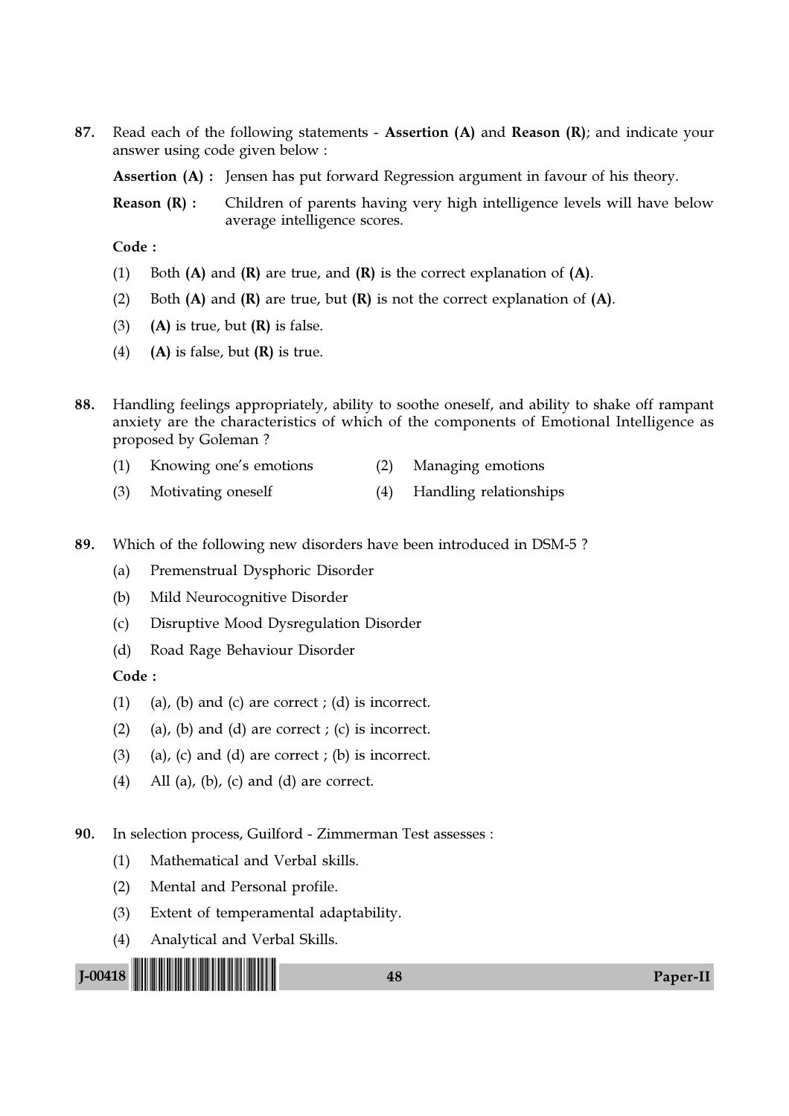87. Read each of the following statements - Assertion  $(A)$  and Reason  $(R)$ ; and indicate your answer using code given below :

Assertion (A) : Jensen has put forward Regression argument in favour of his theory.

**Reason (R) :** Children of parents having very high intelligence levels will have below average intelligence scores.

Code :

- (1) Both  $(A)$  and  $(R)$  are true, and  $(R)$  is the correct explanation of  $(A)$ .
- (2) Both  $(A)$  and  $(R)$  are true, but  $(R)$  is not the correct explanation of  $(A)$ .
- (3) (A) is true, but  $(R)$  is false.
- (4) (A) is false, but  $(R)$  is true.
- 88. Handling feelings appropriately, ability to soothe oneself, and ability to shake off rampant anxiety are the characteristics of which of the components of Emotional Intelligence as proposed by Goleman ?
	- (1) Knowing one's emotions (2) Managing emotions
	- (3) Motivating oneself (4) Handling relationships
- 89. Which of the following new disorders have been introduced in DSM-5 ?
	- (a) Premenstrual Dysphoric Disorder
	- (b) Mild Neurocognitive Disorder
	- (c) Disruptive Mood Dysregulation Disorder
	- (d) Road Rage Behaviour Disorder

Code :

- (1) (a), (b) and (c) are correct ; (d) is incorrect.
- (2) (a), (b) and (d) are correct ; (c) is incorrect.
- $(3)$  (a), (c) and (d) are correct ; (b) is incorrect.
- (4) All (a), (b), (c) and (d) are correct.

90. In selection process, Guilford - Zimmerman Test assesses :

- (1) Mathematical and Verbal skills.
- (2) Mental and Personal profile.
- (3) Extent of temperamental adaptability.
- (4) Analytical and Verbal Skills.

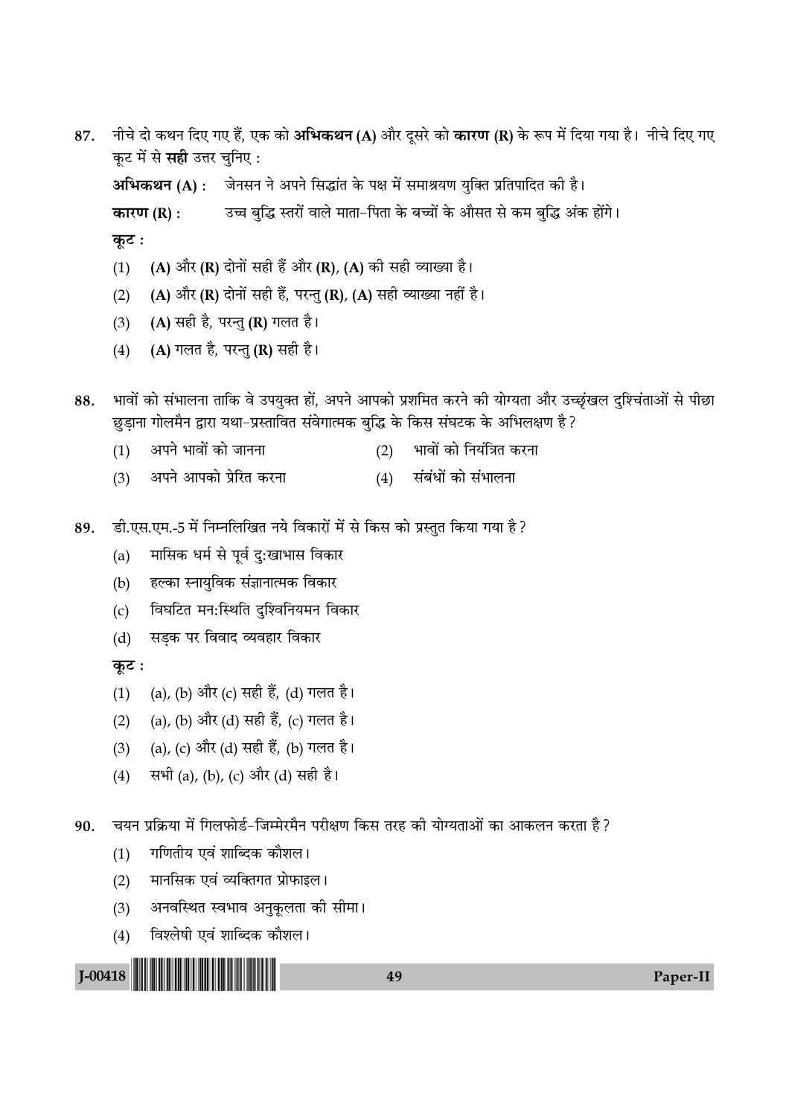- नीचे दो कथन दिए गए हैं, एक को **अभिकथन (A)** और दूसरे को **कारण (R)** के रूप में दिया गया है। नीचे दिए गए 87. कूट में से सही उत्तर चुनिए: अभिकथन (A) : जेनसन ने अपने सिद्धांत के पक्ष में समाश्रयण युक्ति प्रतिपादित की है। उच्च बुद्धि स्तरों वाले माता-पिता के बच्चों के औसत से कम बुद्धि अंक होंगे। कारण  $(R)$ : कुट: (A) और (R) दोनों सही हैं और (R), (A) की सही व्याख्या है।  $(1)$ (A) और (R) दोनों सही हैं, परन्तु (R), (A) सही व्याख्या नहीं है।  $(2)$ 
	- (A) सही है, परन्तु (R) गलत है।  $(3)$
	- (A) गलत है, परन्तु (R) सही है।  $(4)$

भावों को संभालना ताकि वे उपयुक्त हों, अपने आपको प्रशमित करने की योग्यता और उच्छृंखल दुश्चिंताओं से पीछा 88. छुड़ाना गोलमैन द्वारा यथा-प्रस्तावित संवेगात्मक बुद्धि के किस संघटक के अभिलक्षण है?

- अपने भावों को जानना भावों को नियंत्रित करना  $(1)$  $(2)$
- (4) संबंधों को संभालना अपने आपको प्रेरित करना  $(3)$
- डी.एस.एम.-5 में निम्नलिखित नये विकारों में से किस को प्रस्तुत किया गया है ? 89.
	- मासिक धर्म से पूर्व दु:खाभास विकार  $(a)$
	- हल्का स्नायुविक संज्ञानात्मक विकार  $(b)$
	- विघटित मन:स्थिति दुश्विनियमन विकार  $(c)$
	- सड़क पर विवाद व्यवहार विकार  $(d)$

कुट:

- (a), (b) और (c) सही हैं, (d) गलत है।  $(1)$
- (a), (b) और (d) सही हैं, (c) गलत है।  $(2)$
- (a), (c) और (d) सही हैं, (b) गलत है।  $(3)$
- सभी (a), (b), (c) और (d) सही है।  $(4)$

चयन प्रक्रिया में गिलफोर्ड-जिम्मेरमैन परीक्षण किस तरह की योग्यताओं का आकलन करता है ? 90.

- गणितीय एवं शाब्दिक कौशल।  $(1)$
- मानसिक एवं व्यक्तिगत प्रोफाइल।  $(2)$
- अनवस्थित स्वभाव अनुकूलता की सीमा।  $(3)$
- विश्लेषी एवं शाब्दिक कौशल।  $(4)$



49

Paper-II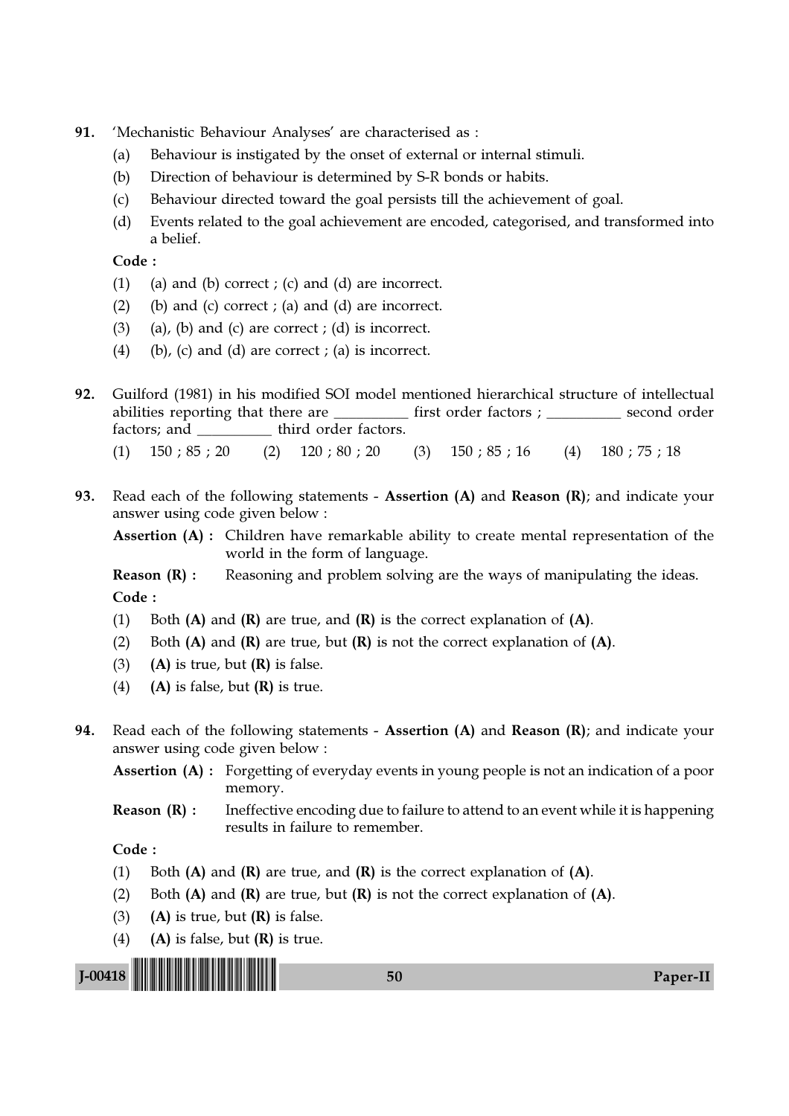- 91. 'Mechanistic Behaviour Analyses' are characterised as :
	- (a) Behaviour is instigated by the onset of external or internal stimuli.
	- (b) Direction of behaviour is determined by S-R bonds or habits.
	- (c) Behaviour directed toward the goal persists till the achievement of goal.
	- (d) Events related to the goal achievement are encoded, categorised, and transformed into a belief.

Code :

- (1) (a) and (b) correct ; (c) and (d) are incorrect.
- (2) (b) and (c) correct ; (a) and (d) are incorrect.
- $(3)$  (a), (b) and (c) are correct ; (d) is incorrect.
- (4) (b), (c) and (d) are correct ; (a) is incorrect.

92. Guilford (1981) in his modified SOI model mentioned hierarchical structure of intellectual abilities reporting that there are \_\_\_\_\_\_\_\_\_\_\_ first order factors ; \_\_\_\_\_\_\_\_\_\_\_ second order factors; and  $\qquad \qquad$  third order factors.

(1) 150 ; 85 ; 20 (2) 120 ; 80 ; 20 (3) 150 ; 85 ; 16 (4) 180 ; 75 ; 18

93. Read each of the following statements - Assertion (A) and Reason (R); and indicate your answer using code given below :

Assertion (A) : Children have remarkable ability to create mental representation of the world in the form of language.

**Reason (R) :** Reasoning and problem solving are the ways of manipulating the ideas. Code :

- (1) Both  $(A)$  and  $(R)$  are true, and  $(R)$  is the correct explanation of  $(A)$ .
- (2) Both  $(A)$  and  $(R)$  are true, but  $(R)$  is not the correct explanation of  $(A)$ .
- (3) (A) is true, but  $(R)$  is false.
- (4) (A) is false, but  $(R)$  is true.
- 94. Read each of the following statements Assertion (A) and Reason (R); and indicate your answer using code given below :

Assertion (A) : Forgetting of everyday events in young people is not an indication of a poor memory.

**Reason**  $(R)$ **:** Ineffective encoding due to failure to attend to an event while it is happening results in failure to remember.

- (1) Both  $(A)$  and  $(R)$  are true, and  $(R)$  is the correct explanation of  $(A)$ .
- (2) Both  $(A)$  and  $(R)$  are true, but  $(R)$  is not the correct explanation of  $(A)$ .
- (3) (A) is true, but  $(R)$  is false.
- (4) (A) is false, but  $(R)$  is true.

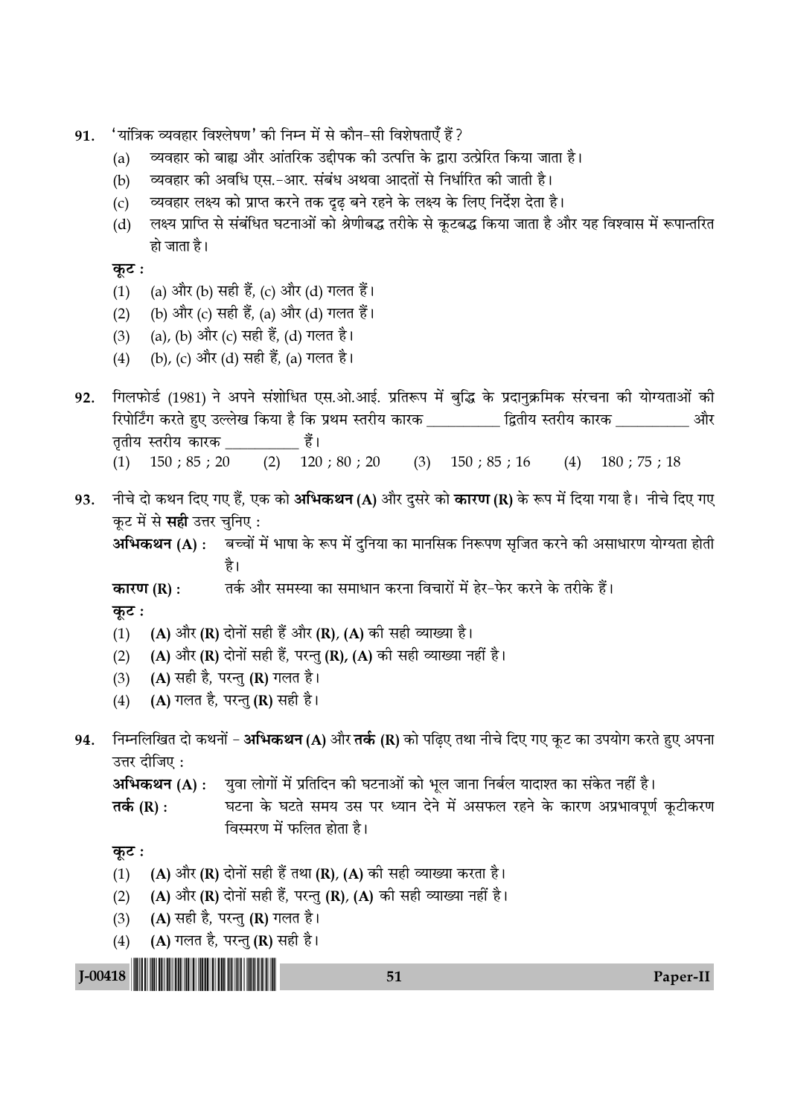- 'यांत्रिक व्यवहार विश्लेषण' की निम्न में से कौन–सी विशेषताएँ हैं ? 91.
	- व्यवहार को बाह्य और आंतरिक उद्दीपक की उत्पत्ति के द्वारा उत्प्रेरित किया जाता है।  $(a)$
	- व्यवहार को अवधि एस.-आर. संबंध अथवा आदतों से निर्धारित को जाती है।  $(b)$
	- व्यवहार लक्ष्य को प्राप्त करने तक दृढ बने रहने के लक्ष्य के लिए निर्देश देता है।  $(c)$
	- लक्ष्य प्राप्ति से संबंधित घटनाओं को श्रेणीबद्ध तरीके से कूटबद्ध किया जाता है और यह विश्वास में रूपान्तरित  $(d)$ हो जाता है।

```
कुट:
```
- (a) और (b) सही हैं, (c) और (d) गलत हैं।  $(1)$
- (b) और (c) सही हैं, (a) और (d) गलत हैं।  $(2)$
- (a), (b) और (c) सही हैं, (d) गलत है।  $(3)$
- (b), (c) और (d) सही हैं, (a) गलत है।  $(4)$
- गिलफोर्ड (1981) ने अपने संशोधित एस.ओ.आई. प्रतिरूप में बुद्धि के प्रदानुक्रमिक संरचना की योग्यताओं की 92. रिपोर्टिंग करते हुए उल्लेख किया है कि प्रथम स्तरीय कारक \_\_\_\_\_\_\_\_\_ द्वितीय स्तरीय कारक \_\_\_\_\_\_\_\_\_\_ और तृतीय स्तरीय कारक खाड़ी।  $(2)$  120; 80; 20  $(4)$  180; 75; 18  $(1)$  150; 85; 20  $(3)$  150; 85; 16
- नीचे दो कथन दिए गए हैं, एक को **अभिकथन (A)** और दुसरे को **कारण (R)** के रूप में दिया गया है। नीचे दिए गए 93. कूट में से सही उत्तर चुनिए:
	- अभिकथन (A) : बच्चों में भाषा के रूप में दुनिया का मानसिक निरूपण सुजित करने की असाधारण योग्यता होती है।
	- तर्क और समस्या का समाधान करना विचारों में हेर-फेर करने के तरीके हैं। कारण (R):

कूट :

- (A) और (R) दोनों सही हैं और (R), (A) की सही व्याख्या है।  $(1)$
- (A) और (R) दोनों सही हैं, परन्तु (R), (A) की सही व्याख्या नहीं है।  $(2)$
- (A) सही है, परन्तु (R) गलत है।  $(3)$
- (A) गलत है, परन्तु (R) सही है।  $(4)$
- निम्नलिखित दो कथनों **अभिकथन (A)** और **तर्क (R)** को पढिए तथा नीचे दिए गए कुट का उपयोग करते हुए अपना 94. उत्तर दीजिए:

अभिकथन (A) : युवा लोगों में प्रतिदिन की घटनाओं को भूल जाना निर्बल यादाश्त का संकेत नहीं है।

घटना के घटते समय उस पर ध्यान देने में असफल रहने के कारण अप्रभावपूर्ण कुटीकरण तर्क (R) : विस्मरण में फलित होता है।

## कट :

 $J$ -00418

- (A) और (R) दोनों सही हैं तथा (R), (A) की सही व्याख्या करता है।  $(1)$
- (A) और (R) दोनों सही हैं, परन्तु (R), (A) की सही व्याख्या नहीं है।  $(2)$
- (A) सही है, परन्तु (R) गलत है।  $(3)$
- (A) गलत है, परन्तु (R) सही है।  $(4)$



Paper-II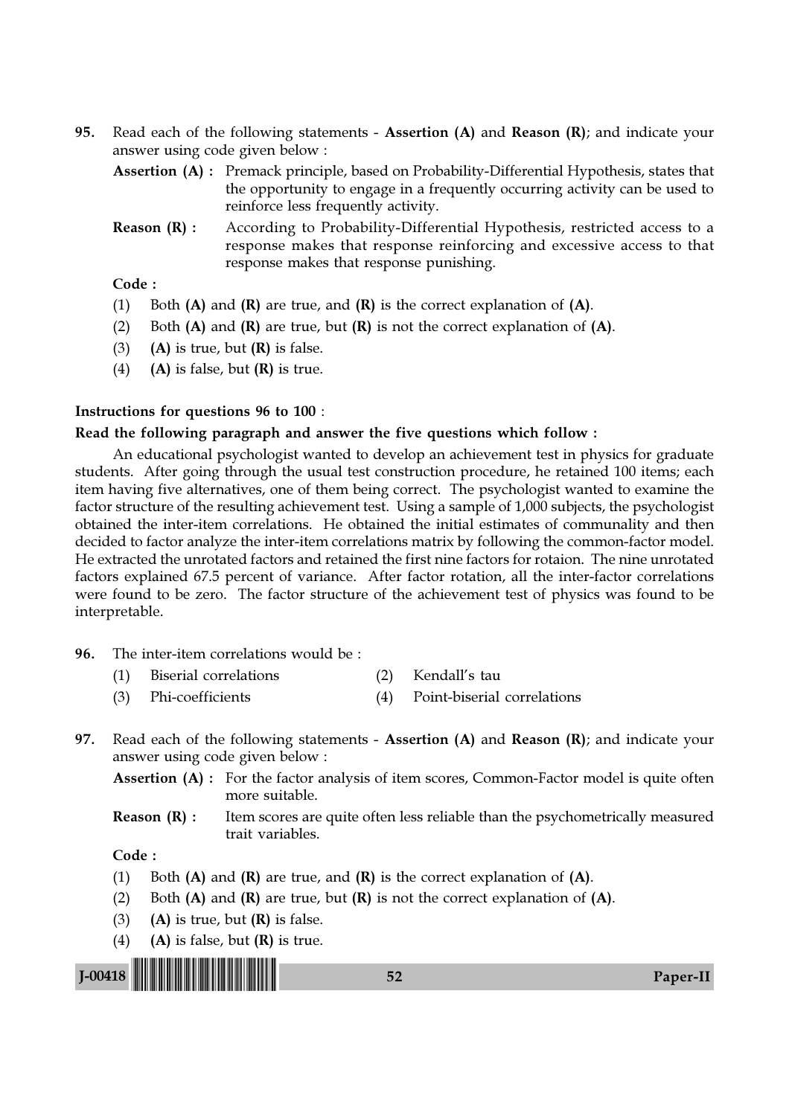- 95. Read each of the following statements Assertion  $(A)$  and Reason  $(R)$ ; and indicate your answer using code given below :
	- Assertion (A) : Premack principle, based on Probability-Differential Hypothesis, states that the opportunity to engage in a frequently occurring activity can be used to reinforce less frequently activity.
	- **Reason (R) :** According to Probability-Differential Hypothesis, restricted access to a response makes that response reinforcing and excessive access to that response makes that response punishing.

## Code :

- (1) Both  $(A)$  and  $(R)$  are true, and  $(R)$  is the correct explanation of  $(A)$ .
- (2) Both  $(A)$  and  $(R)$  are true, but  $(R)$  is not the correct explanation of  $(A)$ .
- (3) (A) is true, but  $(R)$  is false.
- (4) (A) is false, but  $(R)$  is true.

#### Instructions for questions 96 to 100 :

#### Read the following paragraph and answer the five questions which follow :

An educational psychologist wanted to develop an achievement test in physics for graduate students. After going through the usual test construction procedure, he retained 100 items; each item having five alternatives, one of them being correct. The psychologist wanted to examine the factor structure of the resulting achievement test. Using a sample of 1,000 subjects, the psychologist obtained the inter-item correlations. He obtained the initial estimates of communality and then decided to factor analyze the inter-item correlations matrix by following the common-factor model. He extracted the unrotated factors and retained the first nine factors for rotaion. The nine unrotated factors explained 67.5 percent of variance. After factor rotation, all the inter-factor correlations were found to be zero. The factor structure of the achievement test of physics was found to be interpretable.

- 96. The inter-item correlations would be :
	- (1) Biserial correlations (2) Kendall's tau
	- (3) Phi-coefficients (4) Point-biserial correlations
- 97. Read each of the following statements Assertion (A) and Reason (R); and indicate your answer using code given below :

Assertion (A) : For the factor analysis of item scores, Common-Factor model is quite often more suitable.

**Reason**  $(R)$ **:** Item scores are quite often less reliable than the psychometrically measured trait variables.

- (1) Both  $(A)$  and  $(R)$  are true, and  $(R)$  is the correct explanation of  $(A)$ .
- (2) Both  $(A)$  and  $(R)$  are true, but  $(R)$  is not the correct explanation of  $(A)$ .
- (3) (A) is true, but  $(R)$  is false.
- (4) (A) is false, but  $(R)$  is true.

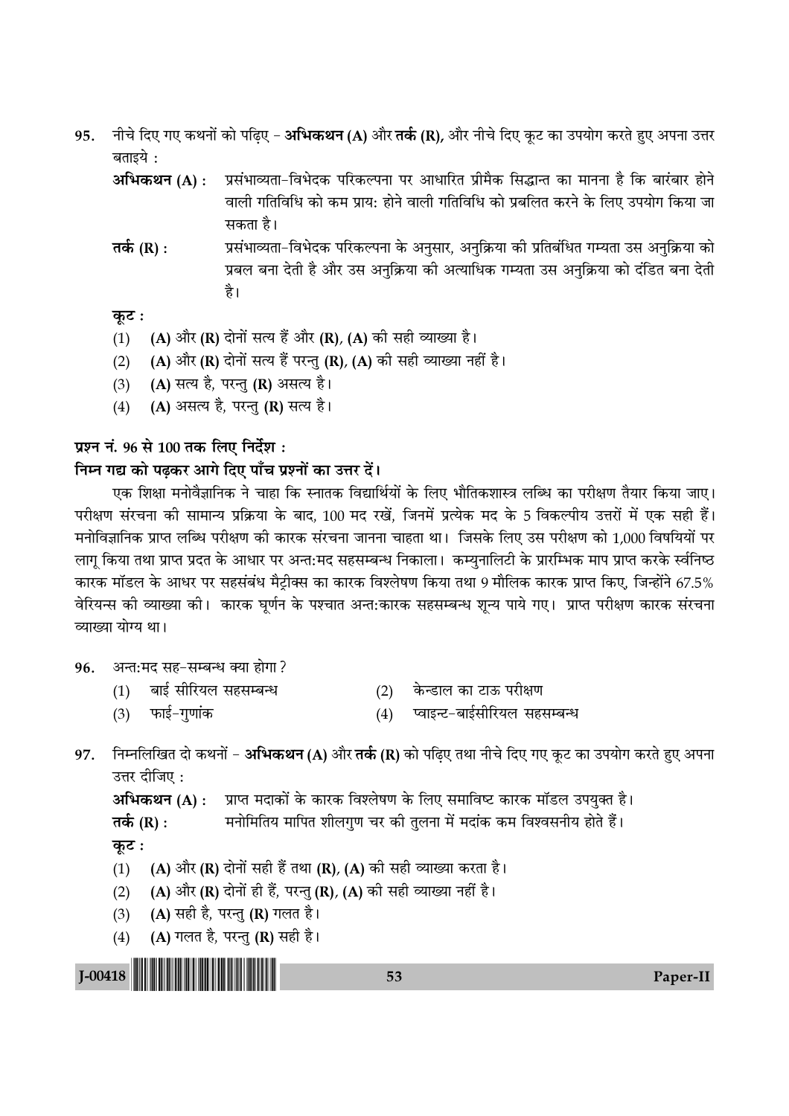- नीचे दिए गए कथनों को पढ़िए अभिकथन (A) और तर्क (R), और नीचे दिए कूट का उपयोग करते हुए अपना उत्तर 95. बताइये :
	- अभिकथन (A) : प्रसंभाव्यता-विभेदक परिकल्पना पर आधारित प्रीमैक सिद्धान्त का मानना है कि बारंबार होने वाली गतिविधि को कम प्राय: होने वाली गतिविधि को प्रबलित करने के लिए उपयोग किया जा सकता है।
	- प्रसंभाव्यता-विभेदक परिकल्पना के अनुसार, अनुक्रिया की प्रतिबंधित गम्यता उस अनुक्रिया को तर्क  $(R)$  : प्रबल बना देती है और उस अनक्रिया की अत्याधिक गम्यता उस अनक्रिया को दंडित बना देती है।

## कूट :

- (A) और (R) दोनों सत्य हैं और (R), (A) की सही व्याख्या है।  $(1)$
- (A) और (R) दोनों सत्य हैं परन्तु (R), (A) की सही व्याख्या नहीं है।  $(2)$
- (A) सत्य है, परन्तु (R) असत्य है।  $(3)$
- (A) असत्य है, परन्तु (R) सत्य है।  $(4)$

## प्रश्न नं. 96 से 100 तक लिए निर्देश :

## निम्न गद्य को पढ़कर आगे दिए पाँच प्रश्नों का उत्तर दें।

एक शिक्षा मनोवैज्ञानिक ने चाहा कि स्नातक विद्यार्थियों के लिए भौतिकशास्त्र लब्धि का परीक्षण तैयार किया जाए। परीक्षण संरचना की सामान्य प्रक्रिया के बाद, 100 मद रखें. जिनमें प्रत्येक मद के 5 विकल्पीय उत्तरों में एक सही हैं। मनोविज्ञानिक प्राप्त लब्धि परीक्षण की कारक संरचना जानना चाहता था। जिसके लिए उस परीक्षण को 1,000 विषयियों पर लागू किया तथा प्राप्त प्रदत के आधार पर अन्त:मद सहसम्बन्ध निकाला। कम्युनालिटी के प्रारम्भिक माप प्राप्त करके र्स्वनिष्ठ कारक मॉडल के आधर पर सहसंबंध मैट्रीक्स का कारक विश्लेषण किया तथा 9 मौलिक कारक प्राप्त किए, जिन्होंने 67.5% वेरियन्स को व्याख्या को। कारक घूर्णन के पश्चात अन्त:कारक सहसम्बन्ध शून्य पाये गए। प्राप्त परीक्षण कारक संरचना व्याख्या योग्य था।

- अन्त:मद सह-सम्बन्ध क्या होगा ? 96.
	- बाई सीरियल सहसम्बन्ध  $(1)$
	- $(3)$

केन्डाल का टाऊ परीक्षण  $(2)$ 

फाई–गुणांक

- प्वाइन्ट-बाईसीरियल सहसम्बन्ध  $(4)$
- निम्नलिखित दो कथनों अभिकथन (A) और तर्क (R) को पढ़िए तथा नीचे दिए गए कूट का उपयोग करते हुए अपना 97. उत्तर दीजिए:

अभिकथन (A) : प्राप्त मदाकों के कारक विश्लेषण के लिए समाविष्ट कारक मॉडल उपयुक्त है। मनोमितिय मापित शीलगुण चर की तुलना में मदांक कम विश्वसनीय होते हैं। तर्क (R) : कूट : (A) और (R) दोनों सही हैं तथा (R), (A) की सही व्याख्या करता है।  $(1)$ 

- (A) और (R) दोनों ही हैं, परन्तु (R), (A) की सही व्याख्या नहीं है।  $(2)$
- (A) सही है, परन्तु (R) गलत है।  $(3)$
- (A) गलत है, परन्तु (R) सही है।  $(4)$

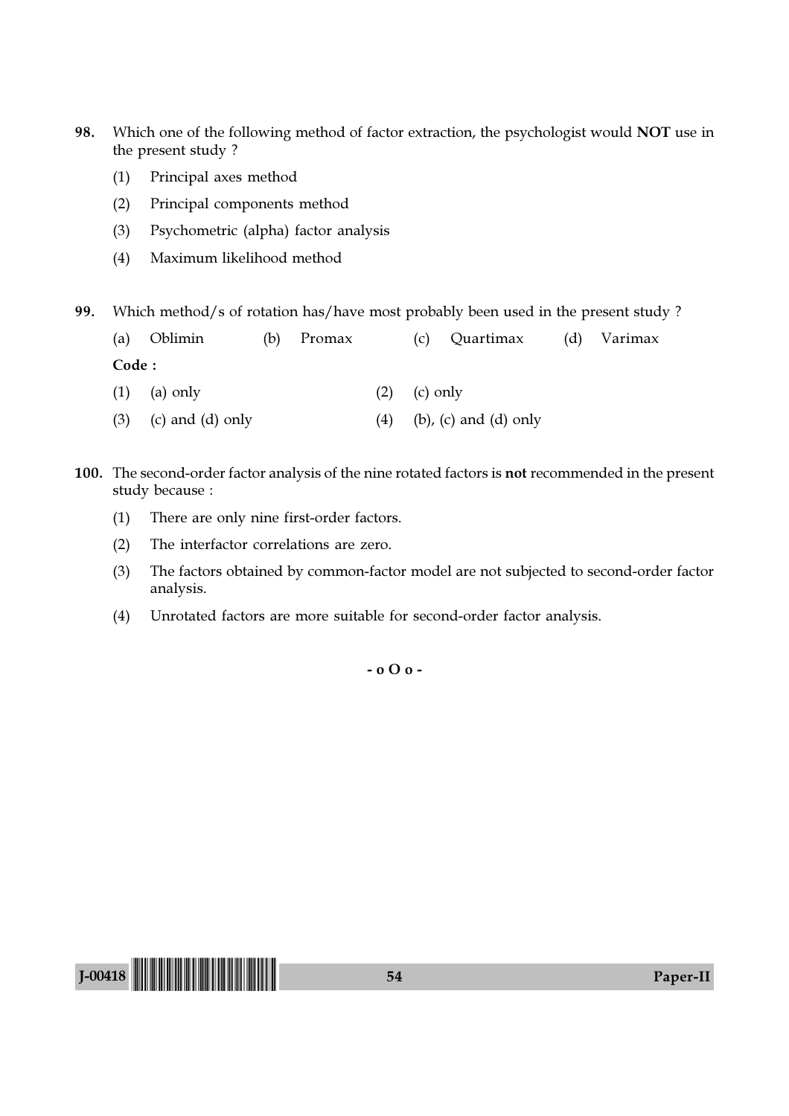- 98. Which one of the following method of factor extraction, the psychologist would NOT use in the present study ?
	- (1) Principal axes method
	- (2) Principal components method
	- (3) Psychometric (alpha) factor analysis
	- (4) Maximum likelihood method

99. Which method/s of rotation has/have most probably been used in the present study ?

|        | (a) Oblimin    | (b) Promax |                  | (c) Quartimax (d) Varimax |  |
|--------|----------------|------------|------------------|---------------------------|--|
| Code : |                |            |                  |                           |  |
|        | $(1)$ (a) only |            | $(2)$ $(c)$ only |                           |  |

- (3) (c) and (d) only  $(4)$  (b), (c) and (d) only
- 100. The second-order factor analysis of the nine rotated factors is not recommended in the present study because :
	- (1) There are only nine first-order factors.
	- (2) The interfactor correlations are zero.
	- (3) The factors obtained by common-factor model are not subjected to second-order factor analysis.
	- (4) Unrotated factors are more suitable for second-order factor analysis.

- o O o -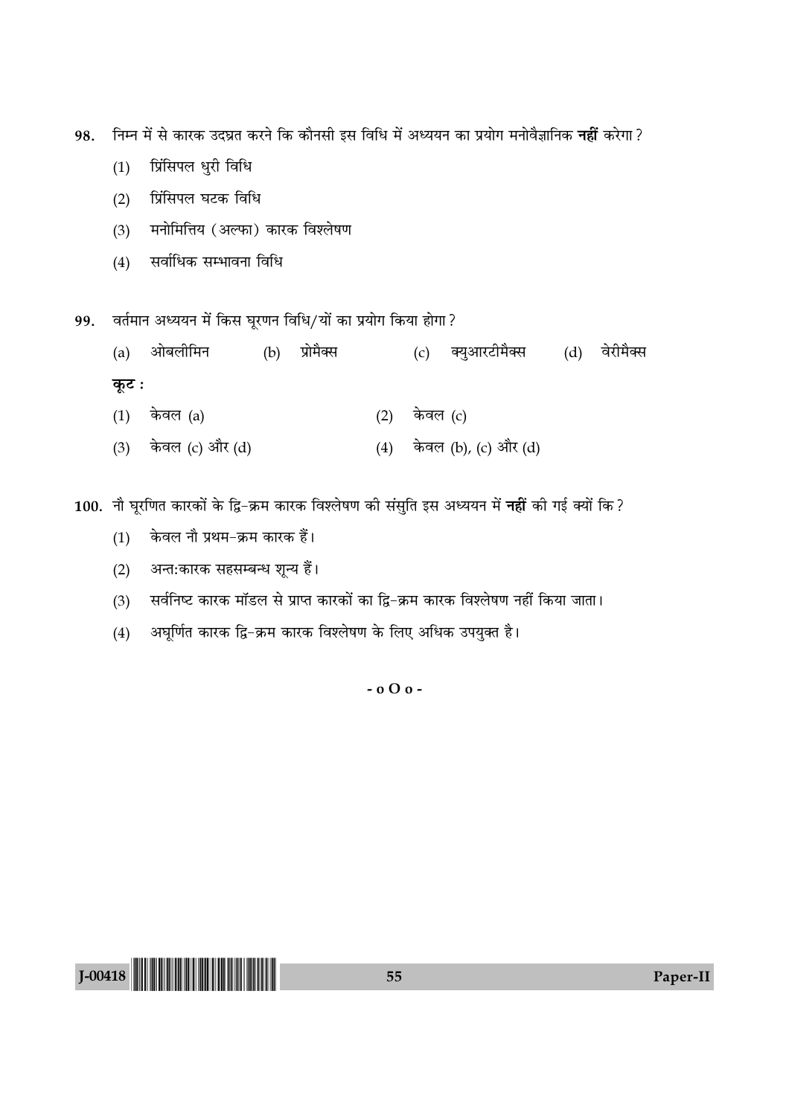98. निम्न में से कारक उदघ्रत करने कि कौनसी इस विधि में अध्ययन का प्रयोग मनोवैज्ञानिक **नहीं** करेगा?

- (1) प्रिंसिपल धुरी विधि
- (2) प्रिंसिपल घटक विधि
- (3) मनोमित्तिय (अल्फा) कारक विश्लेषण
- $(4)$  सर्वाधिक सम्भावना विधि

99. वर्तमान अध्ययन में किस घूरणन विधि/यों का प्रयोग किया होगा?

- (a) ओबलीमिन (b) प्रोमैक्स (c) क्युआरटीमैक्स (d) वेरीमैक्स **कूट**ः
- (1) केवल (a) (2) केवल (c)
- (3) केवल (c) और (d) (4) केवल (b), (c) और (d)

100. नौ घूरणित कारकों के द्वि-क्रम कारक विश्लेषण की संसुति इस अध्ययन में नहीं की गई क्यों कि?

- $(1)$  केवल नौ प्रथम-क्रम कारक हैं।
- (2) अन्त:कारक सहसम्बन्ध शून्य हैं।
- (3) सर्वनिष्ट कारक मॉडल से प्राप्त कारकों का द्वि−क्रम कारक विश्लेषण नहीं किया जाता।
- (4) अघूर्णित कारक द्वि−क्रम कारक विश्लेषण के लिए अधिक उपयुक्त है।

- o O o -